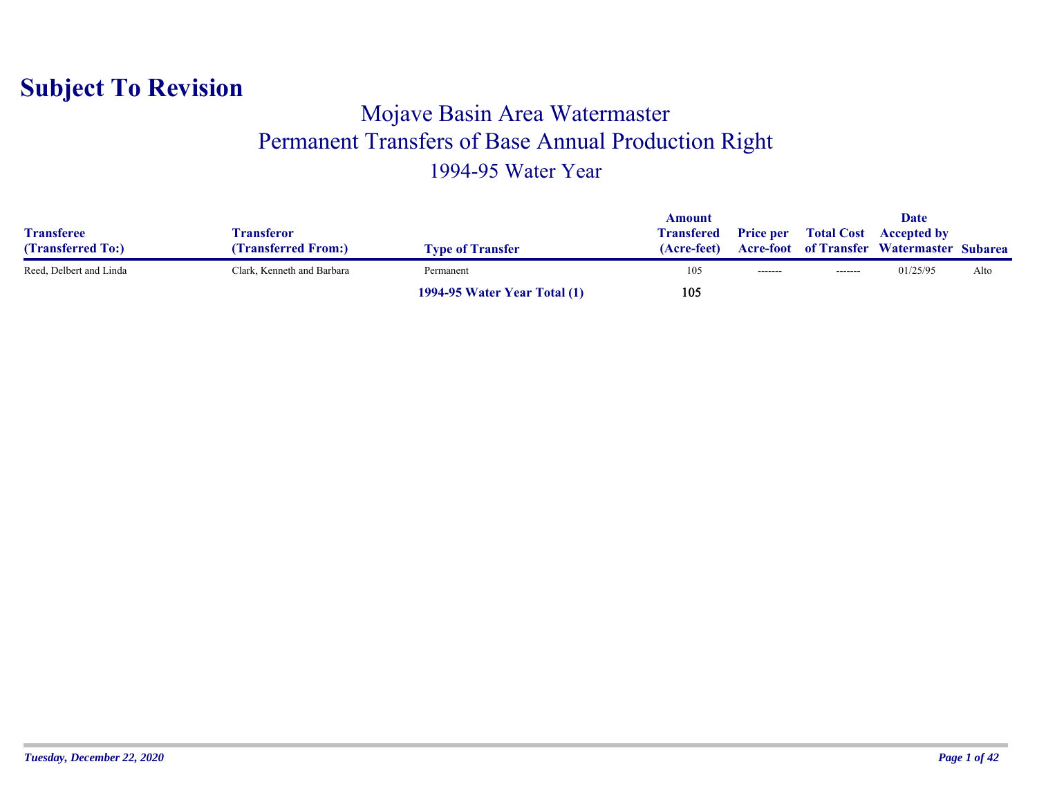#### Mojave Basin Area Watermaster Permanent Transfers of Base Annual Production Right 1994-95 Water Year

|                         |                            |                                     | Amount            |                  |                   | <b>Date</b>                                      |      |
|-------------------------|----------------------------|-------------------------------------|-------------------|------------------|-------------------|--------------------------------------------------|------|
| <b>Transferee</b>       | Fransferor                 |                                     | <b>Transfered</b> | <b>Price per</b> | <b>Total Cost</b> | <b>Accepted by</b>                               |      |
| (Transferred To:)       | <b>Transferred From:)</b>  | <b>Type of Transfer</b>             | (Acre-feet)       |                  |                   | <b>Acre-foot</b> of Transfer Watermaster Subarea |      |
| Reed, Delbert and Linda | Clark, Kenneth and Barbara | Permanent                           | 105               | --------         | --------          | 01/25/95                                         | Alto |
|                         |                            | <b>1994-95 Water Year Total (1)</b> | 105               |                  |                   |                                                  |      |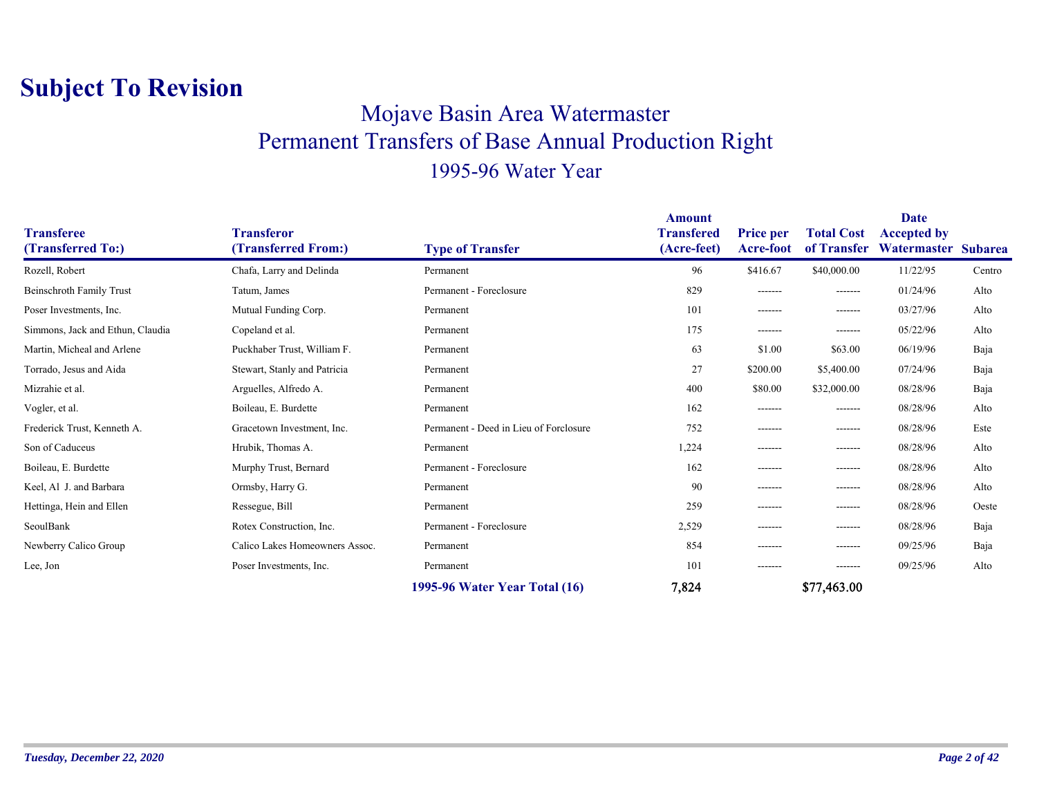#### Mojave Basin Area Watermaster Permanent Transfers of Base Annual Production Right 1995-96 Water Year

| <b>Transferee</b>                | <b>Transferor</b>              |                                        | <b>Amount</b><br><b>Transfered</b> | <b>Price per</b> | <b>Total Cost</b> | <b>Date</b><br><b>Accepted by</b> |                |
|----------------------------------|--------------------------------|----------------------------------------|------------------------------------|------------------|-------------------|-----------------------------------|----------------|
| (Transferred To:)                | (Transferred From:)            | <b>Type of Transfer</b>                | (Acre-feet)                        | Acre-foot        | of Transfer       | Watermaster                       | <b>Subarea</b> |
| Rozell, Robert                   | Chafa, Larry and Delinda       | Permanent                              | 96                                 | \$416.67         | \$40,000.00       | 11/22/95                          | Centro         |
| <b>Beinschroth Family Trust</b>  | Tatum, James                   | Permanent - Foreclosure                | 829                                | -------          | -------           | 01/24/96                          | Alto           |
| Poser Investments, Inc.          | Mutual Funding Corp.           | Permanent                              | 101                                | -------          | -------           | 03/27/96                          | Alto           |
| Simmons, Jack and Ethun, Claudia | Copeland et al.                | Permanent                              | 175                                | -------          | -------           | 05/22/96                          | Alto           |
| Martin, Micheal and Arlene       | Puckhaber Trust, William F.    | Permanent                              | 63                                 | \$1.00           | \$63.00           | 06/19/96                          | Baja           |
| Torrado, Jesus and Aida          | Stewart, Stanly and Patricia   | Permanent                              | 27                                 | \$200.00         | \$5,400.00        | 07/24/96                          | Baja           |
| Mizrahie et al.                  | Arguelles, Alfredo A.          | Permanent                              | 400                                | \$80.00          | \$32,000.00       | 08/28/96                          | Baja           |
| Vogler, et al.                   | Boileau, E. Burdette           | Permanent                              | 162                                | -------          | -------           | 08/28/96                          | Alto           |
| Frederick Trust, Kenneth A.      | Gracetown Investment, Inc.     | Permanent - Deed in Lieu of Forclosure | 752                                | -------          | --------          | 08/28/96                          | Este           |
| Son of Caduceus                  | Hrubik, Thomas A.              | Permanent                              | 1,224                              | -------          | -------           | 08/28/96                          | Alto           |
| Boileau, E. Burdette             | Murphy Trust, Bernard          | Permanent - Foreclosure                | 162                                | -------          | -------           | 08/28/96                          | Alto           |
| Keel, Al J. and Barbara          | Ormsby, Harry G.               | Permanent                              | 90                                 | -------          | -------           | 08/28/96                          | Alto           |
| Hettinga, Hein and Ellen         | Ressegue, Bill                 | Permanent                              | 259                                | -------          | -------           | 08/28/96                          | Oeste          |
| SeoulBank                        | Rotex Construction, Inc.       | Permanent - Foreclosure                | 2,529                              | -------          | -------           | 08/28/96                          | Baja           |
| Newberry Calico Group            | Calico Lakes Homeowners Assoc. | Permanent                              | 854                                | -------          | -------           | 09/25/96                          | Baja           |
| Lee, Jon                         | Poser Investments, Inc.        | Permanent                              | 101                                | -------          | --------          | 09/25/96                          | Alto           |
|                                  |                                | 1995-96 Water Year Total (16)          | 7,824                              |                  | \$77,463.00       |                                   |                |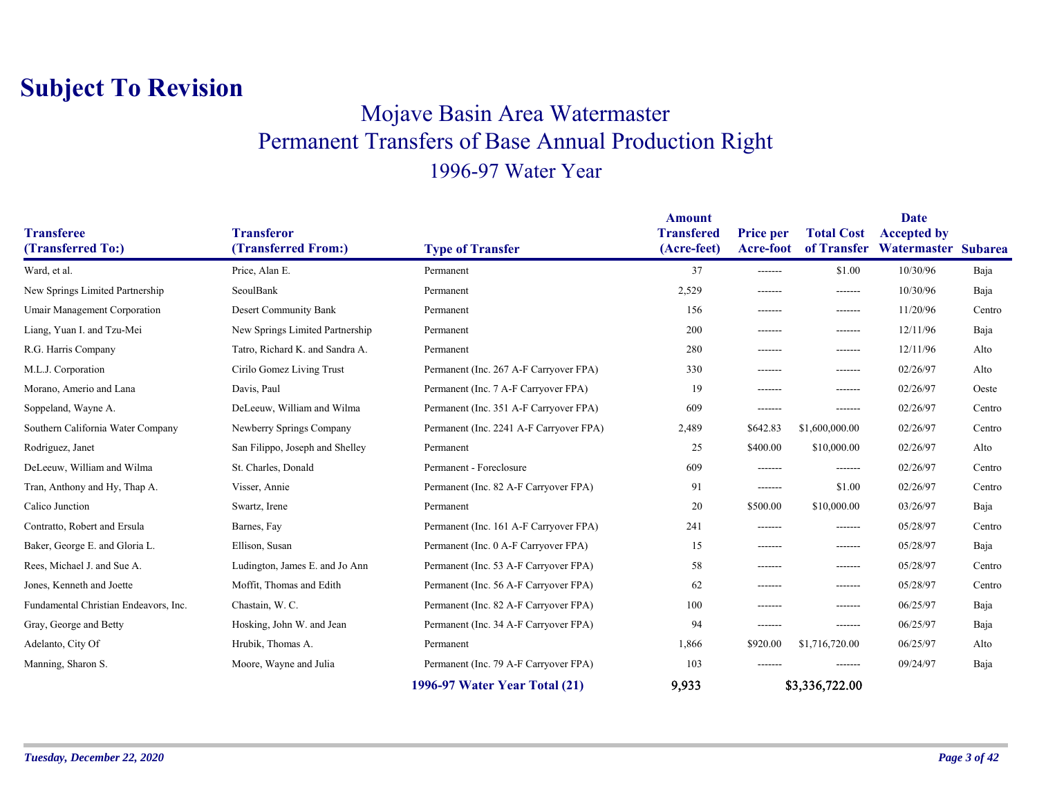### Mojave Basin Area Watermaster Permanent Transfers of Base Annual Production Right 1996-97 Water Year

|                                        |                                          |                                         | <b>Amount</b>                    |                                      |                                  | <b>Date</b>                               |        |
|----------------------------------------|------------------------------------------|-----------------------------------------|----------------------------------|--------------------------------------|----------------------------------|-------------------------------------------|--------|
| <b>Transferee</b><br>(Transferred To:) | <b>Transferor</b><br>(Transferred From:) |                                         | <b>Transfered</b><br>(Acre-feet) | <b>Price per</b><br><b>Acre-foot</b> | <b>Total Cost</b><br>of Transfer | <b>Accepted by</b><br>Watermaster Subarea |        |
|                                        |                                          | <b>Type of Transfer</b>                 |                                  |                                      |                                  |                                           |        |
| Ward, et al.                           | Price, Alan E.                           | Permanent                               | 37                               | $- - - - - - -$                      | \$1.00                           | 10/30/96                                  | Baja   |
| New Springs Limited Partnership        | SeoulBank                                | Permanent                               | 2,529                            | -------                              | -------                          | 10/30/96                                  | Baja   |
| <b>Umair Management Corporation</b>    | Desert Community Bank                    | Permanent                               | 156                              | -------                              | -------                          | 11/20/96                                  | Centro |
| Liang, Yuan I. and Tzu-Mei             | New Springs Limited Partnership          | Permanent                               | 200                              | -------                              | -------                          | 12/11/96                                  | Baja   |
| R.G. Harris Company                    | Tatro, Richard K. and Sandra A.          | Permanent                               | 280                              | -------                              | -------                          | 12/11/96                                  | Alto   |
| M.L.J. Corporation                     | Cirilo Gomez Living Trust                | Permanent (Inc. 267 A-F Carryover FPA)  | 330                              | -------                              | -------                          | 02/26/97                                  | Alto   |
| Morano, Amerio and Lana                | Davis, Paul                              | Permanent (Inc. 7 A-F Carryover FPA)    | 19                               | -------                              | -------                          | 02/26/97                                  | Oeste  |
| Soppeland, Wayne A.                    | DeLeeuw, William and Wilma               | Permanent (Inc. 351 A-F Carryover FPA)  | 609                              | -------                              | -------                          | 02/26/97                                  | Centro |
| Southern California Water Company      | Newberry Springs Company                 | Permanent (Inc. 2241 A-F Carryover FPA) | 2,489                            | \$642.83                             | \$1,600,000.00                   | 02/26/97                                  | Centro |
| Rodriguez, Janet                       | San Filippo, Joseph and Shelley          | Permanent                               | 25                               | \$400.00                             | \$10,000.00                      | 02/26/97                                  | Alto   |
| DeLeeuw, William and Wilma             | St. Charles, Donald                      | Permanent - Foreclosure                 | 609                              | -------                              | -------                          | 02/26/97                                  | Centro |
| Tran, Anthony and Hy, Thap A.          | Visser, Annie                            | Permanent (Inc. 82 A-F Carryover FPA)   | 91                               | -------                              | \$1.00                           | 02/26/97                                  | Centro |
| Calico Junction                        | Swartz, Irene                            | Permanent                               | 20                               | \$500.00                             | \$10,000.00                      | 03/26/97                                  | Baja   |
| Contratto, Robert and Ersula           | Barnes, Fay                              | Permanent (Inc. 161 A-F Carryover FPA)  | 241                              | -------                              | -------                          | 05/28/97                                  | Centro |
| Baker, George E. and Gloria L.         | Ellison, Susan                           | Permanent (Inc. 0 A-F Carryover FPA)    | 15                               | -------                              | -------                          | 05/28/97                                  | Baja   |
| Rees, Michael J. and Sue A.            | Ludington, James E. and Jo Ann           | Permanent (Inc. 53 A-F Carryover FPA)   | 58                               | -------                              | -------                          | 05/28/97                                  | Centro |
| Jones, Kenneth and Joette              | Moffit, Thomas and Edith                 | Permanent (Inc. 56 A-F Carryover FPA)   | 62                               | -------                              | -------                          | 05/28/97                                  | Centro |
| Fundamental Christian Endeavors, Inc.  | Chastain, W.C.                           | Permanent (Inc. 82 A-F Carryover FPA)   | 100                              | -------                              | -------                          | 06/25/97                                  | Baja   |
| Gray, George and Betty                 | Hosking, John W. and Jean                | Permanent (Inc. 34 A-F Carryover FPA)   | 94                               | -------                              | -------                          | 06/25/97                                  | Baja   |
| Adelanto, City Of                      | Hrubik, Thomas A.                        | Permanent                               | 1,866                            | \$920.00                             | \$1,716,720.00                   | 06/25/97                                  | Alto   |
| Manning, Sharon S.                     | Moore, Wayne and Julia                   | Permanent (Inc. 79 A-F Carryover FPA)   | 103                              | -------                              | -------                          | 09/24/97                                  | Baja   |
|                                        |                                          | 1996-97 Water Year Total (21)           | 9,933                            |                                      | \$3,336,722.00                   |                                           |        |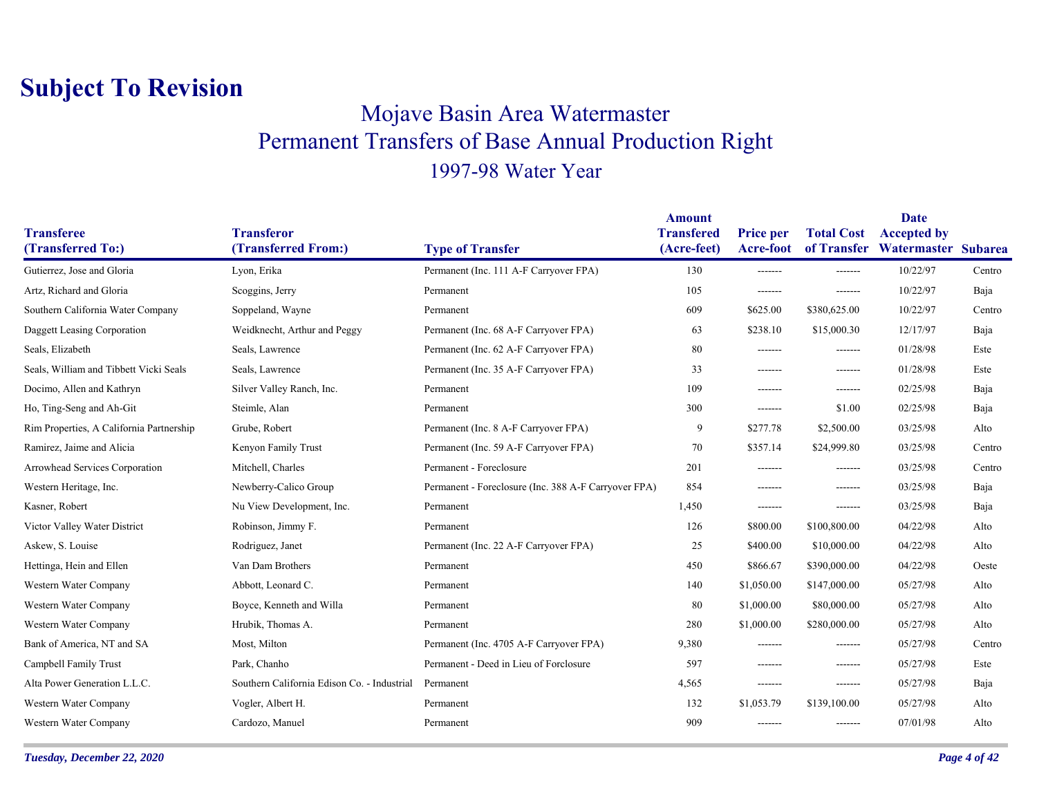### Mojave Basin Area Watermaster Permanent Transfers of Base Annual Production Right 1997-98 Water Year

|                                          |                                             |                                                      | <b>Amount</b>                    |                                      |                                  | Date                                      |        |
|------------------------------------------|---------------------------------------------|------------------------------------------------------|----------------------------------|--------------------------------------|----------------------------------|-------------------------------------------|--------|
| <b>Transferee</b><br>(Transferred To:)   | <b>Transferor</b><br>(Transferred From:)    | <b>Type of Transfer</b>                              | <b>Transfered</b><br>(Acre-feet) | <b>Price per</b><br><b>Acre-foot</b> | <b>Total Cost</b><br>of Transfer | <b>Accepted by</b><br>Watermaster Subarea |        |
| Gutierrez, Jose and Gloria               | Lyon, Erika                                 | Permanent (Inc. 111 A-F Carryover FPA)               | 130                              | -------                              | -------                          | 10/22/97                                  | Centro |
| Artz, Richard and Gloria                 | Scoggins, Jerry                             | Permanent                                            | 105                              | -------                              | -------                          | 10/22/97                                  | Baja   |
| Southern California Water Company        | Soppeland, Wayne                            | Permanent                                            | 609                              | \$625.00                             | \$380,625.00                     | 10/22/97                                  | Centro |
|                                          |                                             |                                                      |                                  |                                      |                                  |                                           |        |
| Daggett Leasing Corporation              | Weidknecht, Arthur and Peggy                | Permanent (Inc. 68 A-F Carryover FPA)                | 63                               | \$238.10                             | \$15,000.30                      | 12/17/97                                  | Baja   |
| Seals, Elizabeth                         | Seals, Lawrence                             | Permanent (Inc. 62 A-F Carryover FPA)                | 80                               | -------                              | -------                          | 01/28/98                                  | Este   |
| Seals, William and Tibbett Vicki Seals   | Seals, Lawrence                             | Permanent (Inc. 35 A-F Carryover FPA)                | 33                               | -------                              | -------                          | 01/28/98                                  | Este   |
| Docimo, Allen and Kathryn                | Silver Valley Ranch, Inc.                   | Permanent                                            | 109                              | -------                              | -------                          | 02/25/98                                  | Baja   |
| Ho, Ting-Seng and Ah-Git                 | Steimle, Alan                               | Permanent                                            | 300                              | -------                              | \$1.00                           | 02/25/98                                  | Baja   |
| Rim Properties, A California Partnership | Grube, Robert                               | Permanent (Inc. 8 A-F Carryover FPA)                 | 9                                | \$277.78                             | \$2,500.00                       | 03/25/98                                  | Alto   |
| Ramirez, Jaime and Alicia                | Kenyon Family Trust                         | Permanent (Inc. 59 A-F Carryover FPA)                | 70                               | \$357.14                             | \$24,999.80                      | 03/25/98                                  | Centro |
| Arrowhead Services Corporation           | Mitchell, Charles                           | Permanent - Foreclosure                              | 201                              | -------                              | -------                          | 03/25/98                                  | Centro |
| Western Heritage, Inc.                   | Newberry-Calico Group                       | Permanent - Foreclosure (Inc. 388 A-F Carryover FPA) | 854                              | -------                              | -------                          | 03/25/98                                  | Baja   |
| Kasner, Robert                           | Nu View Development, Inc.                   | Permanent                                            | 1,450                            | -------                              | -------                          | 03/25/98                                  | Baja   |
| Victor Valley Water District             | Robinson, Jimmy F.                          | Permanent                                            | 126                              | \$800.00                             | \$100,800.00                     | 04/22/98                                  | Alto   |
| Askew, S. Louise                         | Rodriguez, Janet                            | Permanent (Inc. 22 A-F Carryover FPA)                | 25                               | \$400.00                             | \$10,000.00                      | 04/22/98                                  | Alto   |
| Hettinga, Hein and Ellen                 | Van Dam Brothers                            | Permanent                                            | 450                              | \$866.67                             | \$390,000.00                     | 04/22/98                                  | Oeste  |
| Western Water Company                    | Abbott, Leonard C.                          | Permanent                                            | 140                              | \$1,050.00                           | \$147,000.00                     | 05/27/98                                  | Alto   |
| Western Water Company                    | Boyce, Kenneth and Willa                    | Permanent                                            | 80                               | \$1,000.00                           | \$80,000.00                      | 05/27/98                                  | Alto   |
| Western Water Company                    | Hrubik, Thomas A.                           | Permanent                                            | 280                              | \$1,000.00                           | \$280,000.00                     | 05/27/98                                  | Alto   |
| Bank of America, NT and SA               | Most, Milton                                | Permanent (Inc. 4705 A-F Carryover FPA)              | 9,380                            | -------                              | -------                          | 05/27/98                                  | Centro |
| Campbell Family Trust                    | Park, Chanho                                | Permanent - Deed in Lieu of Forclosure               | 597                              | -------                              | -------                          | 05/27/98                                  | Este   |
| Alta Power Generation L.L.C.             | Southern California Edison Co. - Industrial | Permanent                                            | 4,565                            | -------                              | -------                          | 05/27/98                                  | Baja   |
| Western Water Company                    | Vogler, Albert H.                           | Permanent                                            | 132                              | \$1,053.79                           | \$139,100.00                     | 05/27/98                                  | Alto   |
| Western Water Company                    | Cardozo, Manuel                             | Permanent                                            | 909                              | -------                              | -------                          | 07/01/98                                  | Alto   |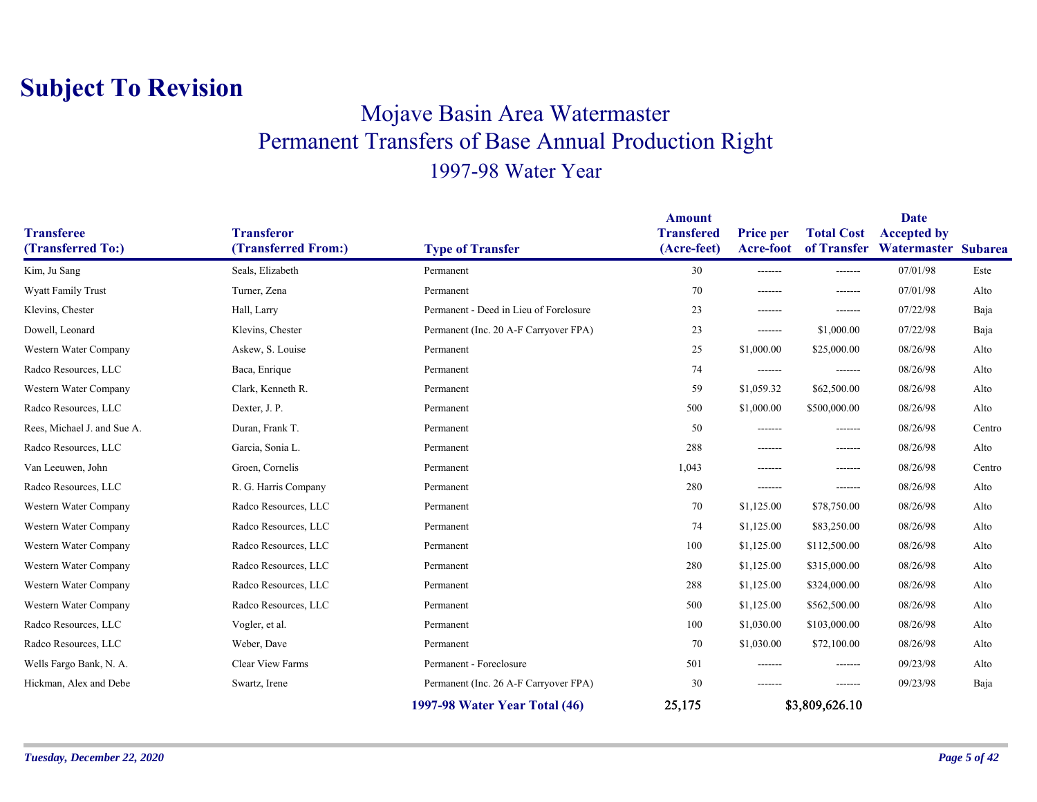### Mojave Basin Area Watermaster Permanent Transfers of Base Annual Production Right 1997-98 Water Year

| <b>Transferee</b><br>(Transferred To:) | <b>Transferor</b><br>(Transferred From:) | <b>Type of Transfer</b>                | <b>Amount</b><br><b>Transfered</b><br>(Acre-feet) | <b>Price per</b><br><b>Acre-foot</b> | <b>Total Cost</b><br>of Transfer | Date<br><b>Accepted by</b><br>Watermaster Subarea |        |
|----------------------------------------|------------------------------------------|----------------------------------------|---------------------------------------------------|--------------------------------------|----------------------------------|---------------------------------------------------|--------|
| Kim, Ju Sang                           | Seals, Elizabeth                         | Permanent                              | 30                                                | -------                              | -------                          | 07/01/98                                          | Este   |
| <b>Wyatt Family Trust</b>              | Turner, Zena                             | Permanent                              | 70                                                | -------                              | $- - - - - - -$                  | 07/01/98                                          | Alto   |
| Klevins, Chester                       | Hall, Larry                              | Permanent - Deed in Lieu of Forclosure | 23                                                | -------                              | $- - - - - - -$                  | 07/22/98                                          | Baja   |
| Dowell, Leonard                        | Klevins, Chester                         | Permanent (Inc. 20 A-F Carryover FPA)  | 23                                                | -------                              | \$1,000.00                       | 07/22/98                                          | Baja   |
| Western Water Company                  | Askew, S. Louise                         | Permanent                              | 25                                                | \$1,000.00                           | \$25,000.00                      | 08/26/98                                          | Alto   |
| Radco Resources, LLC                   | Baca, Enrique                            | Permanent                              | 74                                                | --------                             | -------                          | 08/26/98                                          | Alto   |
| Western Water Company                  | Clark, Kenneth R.                        | Permanent                              | 59                                                | \$1,059.32                           | \$62,500.00                      | 08/26/98                                          | Alto   |
| Radco Resources, LLC                   | Dexter, J. P.                            | Permanent                              | 500                                               | \$1,000.00                           | \$500,000.00                     | 08/26/98                                          | Alto   |
| Rees, Michael J. and Sue A.            | Duran, Frank T.                          | Permanent                              | 50                                                | -------                              | -------                          | 08/26/98                                          | Centro |
| Radco Resources, LLC                   | Garcia, Sonia L.                         | Permanent                              | 288                                               | -------                              | -------                          | 08/26/98                                          | Alto   |
| Van Leeuwen, John                      | Groen, Cornelis                          | Permanent                              | 1,043                                             | -------                              | $- - - - - - -$                  | 08/26/98                                          | Centro |
| Radco Resources, LLC                   | R. G. Harris Company                     | Permanent                              | 280                                               | -------                              | -------                          | 08/26/98                                          | Alto   |
| Western Water Company                  | Radco Resources, LLC                     | Permanent                              | 70                                                | \$1,125.00                           | \$78,750.00                      | 08/26/98                                          | Alto   |
| Western Water Company                  | Radco Resources, LLC                     | Permanent                              | 74                                                | \$1,125.00                           | \$83,250.00                      | 08/26/98                                          | Alto   |
| Western Water Company                  | Radco Resources, LLC                     | Permanent                              | 100                                               | \$1,125.00                           | \$112,500.00                     | 08/26/98                                          | Alto   |
| Western Water Company                  | Radco Resources, LLC                     | Permanent                              | 280                                               | \$1,125.00                           | \$315,000.00                     | 08/26/98                                          | Alto   |
| Western Water Company                  | Radco Resources, LLC                     | Permanent                              | 288                                               | \$1,125.00                           | \$324,000.00                     | 08/26/98                                          | Alto   |
| Western Water Company                  | Radco Resources, LLC                     | Permanent                              | 500                                               | \$1,125.00                           | \$562,500.00                     | 08/26/98                                          | Alto   |
| Radco Resources, LLC                   | Vogler, et al.                           | Permanent                              | 100                                               | \$1,030.00                           | \$103,000.00                     | 08/26/98                                          | Alto   |
| Radco Resources, LLC                   | Weber, Dave                              | Permanent                              | 70                                                | \$1,030.00                           | \$72,100.00                      | 08/26/98                                          | Alto   |
| Wells Fargo Bank, N. A.                | Clear View Farms                         | Permanent - Foreclosure                | 501                                               | -------                              | -------                          | 09/23/98                                          | Alto   |
| Hickman, Alex and Debe                 | Swartz, Irene                            | Permanent (Inc. 26 A-F Carryover FPA)  | 30                                                | -------                              | -------                          | 09/23/98                                          | Baja   |
|                                        |                                          | 1997-98 Water Year Total (46)          | 25,175                                            |                                      | \$3,809,626.10                   |                                                   |        |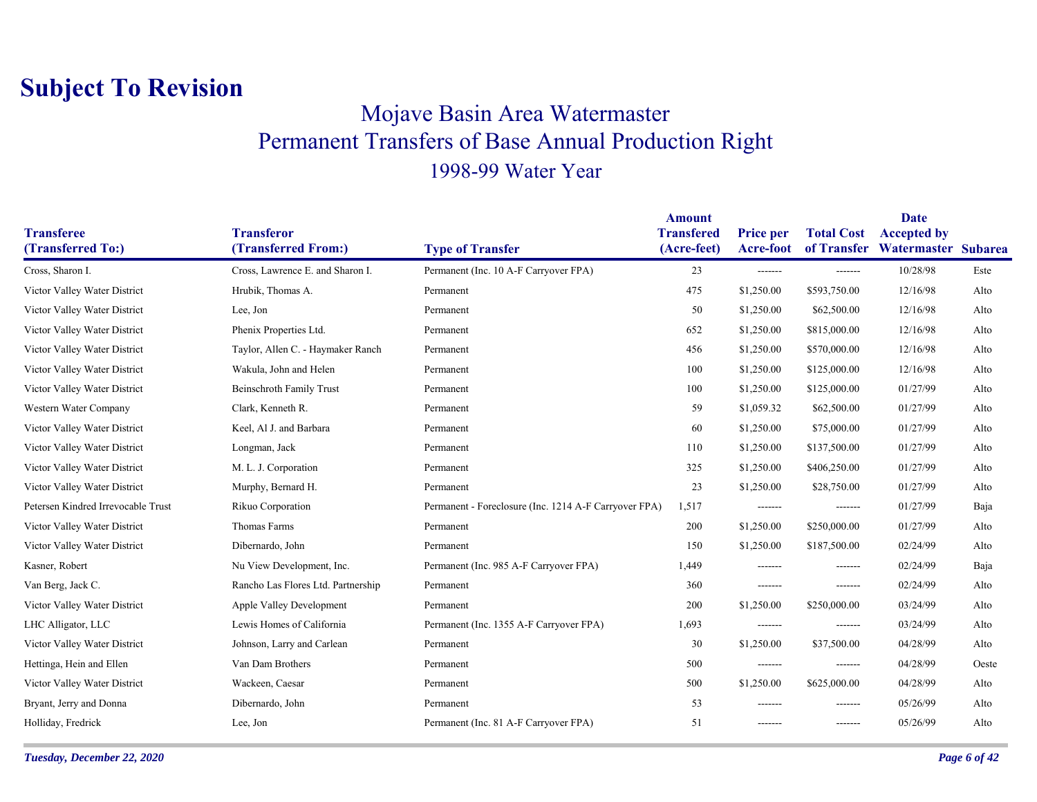### Mojave Basin Area Watermaster Permanent Transfers of Base Annual Production Right 1998-99 Water Year

|                                    |                                    |                                                       | <b>Amount</b>     |                  |                   | <b>Date</b>                     |       |
|------------------------------------|------------------------------------|-------------------------------------------------------|-------------------|------------------|-------------------|---------------------------------|-------|
| <b>Transferee</b>                  | <b>Transferor</b>                  |                                                       | <b>Transfered</b> | <b>Price per</b> | <b>Total Cost</b> | <b>Accepted by</b>              |       |
| (Transferred To:)                  | (Transferred From:)                | <b>Type of Transfer</b>                               | (Acre-feet)       | Acre-foot        |                   | of Transfer Watermaster Subarea |       |
| Cross, Sharon I.                   | Cross, Lawrence E. and Sharon I.   | Permanent (Inc. 10 A-F Carryover FPA)                 | 23                | -------          | -------           | 10/28/98                        | Este  |
| Victor Valley Water District       | Hrubik, Thomas A.                  | Permanent                                             | 475               | \$1,250.00       | \$593,750.00      | 12/16/98                        | Alto  |
| Victor Valley Water District       | Lee, Jon                           | Permanent                                             | 50                | \$1,250.00       | \$62,500.00       | 12/16/98                        | Alto  |
| Victor Valley Water District       | Phenix Properties Ltd.             | Permanent                                             | 652               | \$1,250.00       | \$815,000.00      | 12/16/98                        | Alto  |
| Victor Valley Water District       | Taylor, Allen C. - Haymaker Ranch  | Permanent                                             | 456               | \$1,250.00       | \$570,000.00      | 12/16/98                        | Alto  |
| Victor Valley Water District       | Wakula, John and Helen             | Permanent                                             | 100               | \$1,250.00       | \$125,000.00      | 12/16/98                        | Alto  |
| Victor Valley Water District       | <b>Beinschroth Family Trust</b>    | Permanent                                             | 100               | \$1,250.00       | \$125,000.00      | 01/27/99                        | Alto  |
| Western Water Company              | Clark, Kenneth R.                  | Permanent                                             | 59                | \$1,059.32       | \$62,500.00       | 01/27/99                        | Alto  |
| Victor Valley Water District       | Keel, Al J. and Barbara            | Permanent                                             | 60                | \$1,250.00       | \$75,000.00       | 01/27/99                        | Alto  |
| Victor Valley Water District       | Longman, Jack                      | Permanent                                             | 110               | \$1,250.00       | \$137,500.00      | 01/27/99                        | Alto  |
| Victor Valley Water District       | M. L. J. Corporation               | Permanent                                             | 325               | \$1,250.00       | \$406,250.00      | 01/27/99                        | Alto  |
| Victor Valley Water District       | Murphy, Bernard H.                 | Permanent                                             | 23                | \$1,250.00       | \$28,750.00       | 01/27/99                        | Alto  |
| Petersen Kindred Irrevocable Trust | Rikuo Corporation                  | Permanent - Foreclosure (Inc. 1214 A-F Carryover FPA) | 1,517             | -------          | -------           | 01/27/99                        | Baja  |
| Victor Valley Water District       | Thomas Farms                       | Permanent                                             | 200               | \$1,250.00       | \$250,000.00      | 01/27/99                        | Alto  |
| Victor Valley Water District       | Dibernardo, John                   | Permanent                                             | 150               | \$1,250.00       | \$187,500.00      | 02/24/99                        | Alto  |
| Kasner, Robert                     | Nu View Development, Inc.          | Permanent (Inc. 985 A-F Carryover FPA)                | 1,449             | -------          | -------           | 02/24/99                        | Baja  |
| Van Berg, Jack C.                  | Rancho Las Flores Ltd. Partnership | Permanent                                             | 360               | -------          | -------           | 02/24/99                        | Alto  |
| Victor Valley Water District       | Apple Valley Development           | Permanent                                             | 200               | \$1,250.00       | \$250,000.00      | 03/24/99                        | Alto  |
| LHC Alligator, LLC                 | Lewis Homes of California          | Permanent (Inc. 1355 A-F Carryover FPA)               | 1,693             | -------          | -------           | 03/24/99                        | Alto  |
| Victor Valley Water District       | Johnson, Larry and Carlean         | Permanent                                             | 30                | \$1,250.00       | \$37,500.00       | 04/28/99                        | Alto  |
| Hettinga, Hein and Ellen           | Van Dam Brothers                   | Permanent                                             | 500               | -------          | -------           | 04/28/99                        | Oeste |
| Victor Valley Water District       | Wackeen, Caesar                    | Permanent                                             | 500               | \$1,250.00       | \$625,000.00      | 04/28/99                        | Alto  |
| Bryant, Jerry and Donna            | Dibernardo, John                   | Permanent                                             | 53                | -------          | -------           | 05/26/99                        | Alto  |
| Holliday, Fredrick                 | Lee, Jon                           | Permanent (Inc. 81 A-F Carryover FPA)                 | 51                | -------          | -------           | 05/26/99                        | Alto  |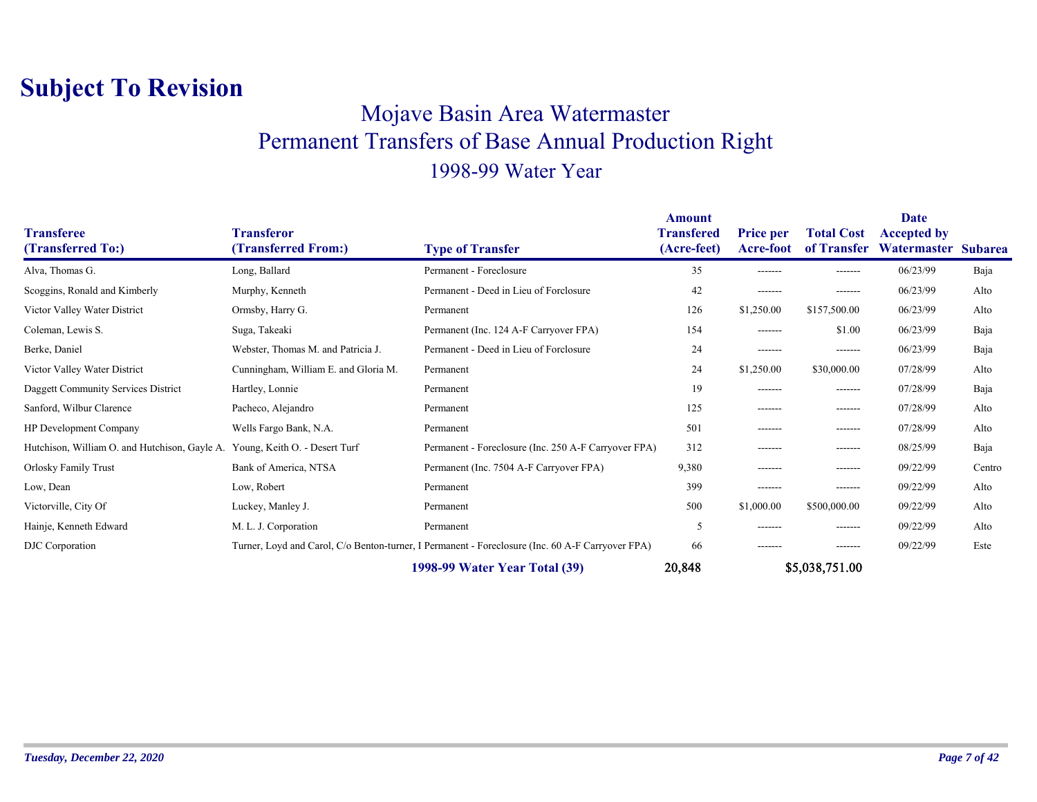#### Mojave Basin Area Watermaster Permanent Transfers of Base Annual Production Right 1998-99 Water Year

| <b>Transferee</b><br>(Transferred To:)                                      | <b>Transferor</b><br>(Transferred From:) | <b>Type of Transfer</b>                                                                          | <b>Amount</b><br><b>Transfered</b><br>(Acre-feet) | <b>Price per</b><br>Acre-foot | <b>Total Cost</b><br>of Transfer | Date<br><b>Accepted by</b><br>Watermaster Subarea |        |
|-----------------------------------------------------------------------------|------------------------------------------|--------------------------------------------------------------------------------------------------|---------------------------------------------------|-------------------------------|----------------------------------|---------------------------------------------------|--------|
| Alva, Thomas G.                                                             | Long, Ballard                            | Permanent - Foreclosure                                                                          | 35                                                | -------                       | -------                          | 06/23/99                                          | Baja   |
| Scoggins, Ronald and Kimberly                                               | Murphy, Kenneth                          | Permanent - Deed in Lieu of Forclosure                                                           | 42                                                | -------                       | -------                          | 06/23/99                                          | Alto   |
| Victor Valley Water District                                                | Ormsby, Harry G.                         | Permanent                                                                                        | 126                                               | \$1,250.00                    | \$157,500.00                     | 06/23/99                                          | Alto   |
| Coleman, Lewis S.                                                           | Suga, Takeaki                            | Permanent (Inc. 124 A-F Carryover FPA)                                                           | 154                                               | -------                       | \$1.00                           | 06/23/99                                          | Baja   |
| Berke, Daniel                                                               | Webster, Thomas M. and Patricia J.       | Permanent - Deed in Lieu of Forclosure                                                           | 24                                                | -------                       | -------                          | 06/23/99                                          | Baja   |
| Victor Valley Water District                                                | Cunningham, William E. and Gloria M.     | Permanent                                                                                        | 24                                                | \$1,250.00                    | \$30,000.00                      | 07/28/99                                          | Alto   |
| Daggett Community Services District                                         | Hartley, Lonnie                          | Permanent                                                                                        | 19                                                | -------                       | -------                          | 07/28/99                                          | Baja   |
| Sanford, Wilbur Clarence                                                    | Pacheco, Alejandro                       | Permanent                                                                                        | 125                                               | -------                       | --------                         | 07/28/99                                          | Alto   |
| <b>HP</b> Development Company                                               | Wells Fargo Bank, N.A.                   | Permanent                                                                                        | 501                                               | -------                       | --------                         | 07/28/99                                          | Alto   |
| Hutchison, William O. and Hutchison, Gayle A. Young, Keith O. - Desert Turf |                                          | Permanent - Foreclosure (Inc. 250 A-F Carryover FPA)                                             | 312                                               | -------                       | -------                          | 08/25/99                                          | Baja   |
| Orlosky Family Trust                                                        | Bank of America, NTSA                    | Permanent (Inc. 7504 A-F Carryover FPA)                                                          | 9,380                                             | -------                       | -------                          | 09/22/99                                          | Centro |
| Low, Dean                                                                   | Low, Robert                              | Permanent                                                                                        | 399                                               | -------                       | -------                          | 09/22/99                                          | Alto   |
| Victorville, City Of                                                        | Luckey, Manley J.                        | Permanent                                                                                        | 500                                               | \$1,000.00                    | \$500,000.00                     | 09/22/99                                          | Alto   |
| Hainje, Kenneth Edward                                                      | M. L. J. Corporation                     | Permanent                                                                                        | 5                                                 | -------                       | -------                          | 09/22/99                                          | Alto   |
| DJC Corporation                                                             |                                          | Turner, Loyd and Carol, C/o Benton-turner, I Permanent - Foreclosure (Inc. 60 A-F Carryover FPA) | 66                                                | -------                       | -------                          | 09/22/99                                          | Este   |
|                                                                             |                                          | 1998-99 Water Year Total (39)                                                                    | 20,848                                            |                               | \$5,038,751.00                   |                                                   |        |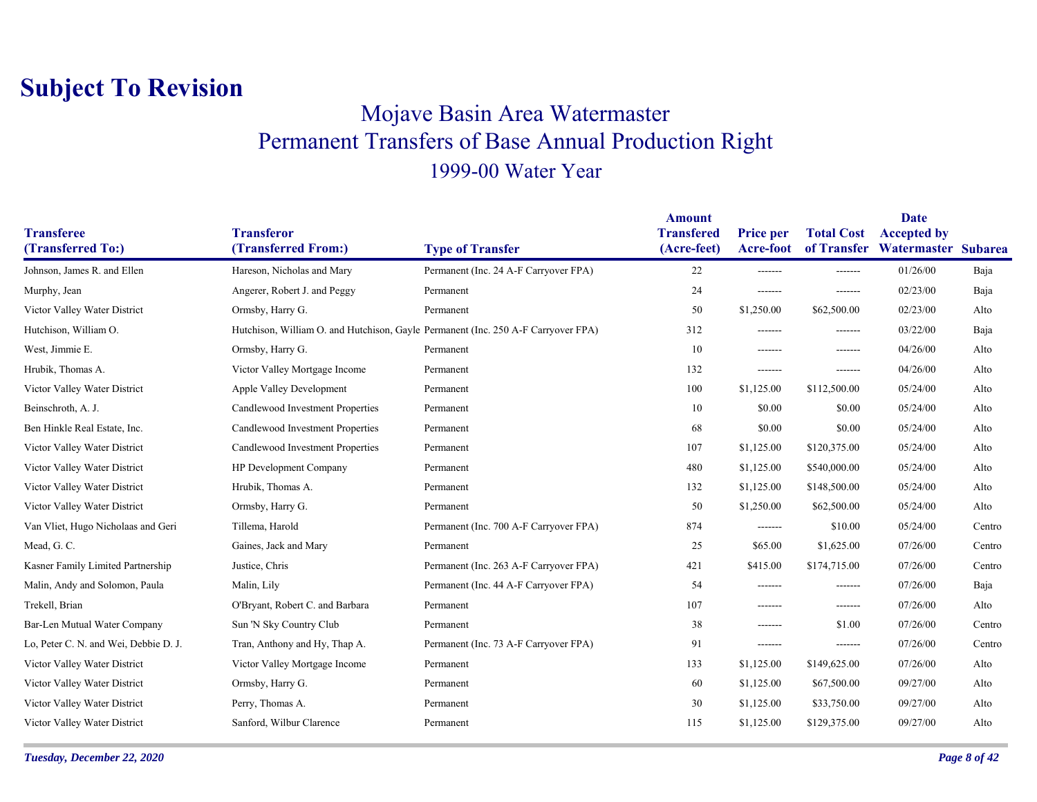### Mojave Basin Area Watermaster Permanent Transfers of Base Annual Production Right 1999-00 Water Year

|                                        |                                          |                                                                                   | <b>Amount</b>                    |                                      |                   | <b>Date</b>                                           |        |
|----------------------------------------|------------------------------------------|-----------------------------------------------------------------------------------|----------------------------------|--------------------------------------|-------------------|-------------------------------------------------------|--------|
| <b>Transferee</b><br>(Transferred To:) | <b>Transferor</b><br>(Transferred From:) | <b>Type of Transfer</b>                                                           | <b>Transfered</b><br>(Acre-feet) | <b>Price per</b><br><b>Acre-foot</b> | <b>Total Cost</b> | <b>Accepted by</b><br>of Transfer Watermaster Subarea |        |
|                                        |                                          |                                                                                   |                                  |                                      |                   |                                                       |        |
| Johnson, James R. and Ellen            | Hareson, Nicholas and Mary               | Permanent (Inc. 24 A-F Carryover FPA)                                             | 22                               | -------                              | -------           | 01/26/00                                              | Baja   |
| Murphy, Jean                           | Angerer, Robert J. and Peggy             | Permanent                                                                         | 24                               | -------                              | -------           | 02/23/00                                              | Baja   |
| Victor Valley Water District           | Ormsby, Harry G.                         | Permanent                                                                         | 50                               | \$1,250.00                           | \$62,500.00       | 02/23/00                                              | Alto   |
| Hutchison, William O.                  |                                          | Hutchison, William O. and Hutchison, Gayle Permanent (Inc. 250 A-F Carryover FPA) | 312                              | -------                              | -------           | 03/22/00                                              | Baja   |
| West, Jimmie E.                        | Ormsby, Harry G.                         | Permanent                                                                         | 10                               | -------                              | $- - - - - - -$   | 04/26/00                                              | Alto   |
| Hrubik, Thomas A.                      | Victor Valley Mortgage Income            | Permanent                                                                         | 132                              | -------                              | -------           | 04/26/00                                              | Alto   |
| Victor Valley Water District           | Apple Valley Development                 | Permanent                                                                         | 100                              | \$1,125.00                           | \$112,500.00      | 05/24/00                                              | Alto   |
| Beinschroth, A. J.                     | Candlewood Investment Properties         | Permanent                                                                         | 10                               | \$0.00                               | \$0.00            | 05/24/00                                              | Alto   |
| Ben Hinkle Real Estate, Inc.           | Candlewood Investment Properties         | Permanent                                                                         | 68                               | \$0.00                               | \$0.00            | 05/24/00                                              | Alto   |
| Victor Valley Water District           | Candlewood Investment Properties         | Permanent                                                                         | 107                              | \$1,125.00                           | \$120,375.00      | 05/24/00                                              | Alto   |
| Victor Valley Water District           | HP Development Company                   | Permanent                                                                         | 480                              | \$1,125.00                           | \$540,000.00      | 05/24/00                                              | Alto   |
| Victor Valley Water District           | Hrubik, Thomas A.                        | Permanent                                                                         | 132                              | \$1,125.00                           | \$148,500.00      | 05/24/00                                              | Alto   |
| Victor Valley Water District           | Ormsby, Harry G.                         | Permanent                                                                         | 50                               | \$1,250.00                           | \$62,500.00       | 05/24/00                                              | Alto   |
| Van Vliet, Hugo Nicholaas and Geri     | Tillema, Harold                          | Permanent (Inc. 700 A-F Carryover FPA)                                            | 874                              | -------                              | \$10.00           | 05/24/00                                              | Centro |
| Mead, G.C.                             | Gaines, Jack and Mary                    | Permanent                                                                         | 25                               | \$65.00                              | \$1,625.00        | 07/26/00                                              | Centro |
| Kasner Family Limited Partnership      | Justice, Chris                           | Permanent (Inc. 263 A-F Carryover FPA)                                            | 421                              | \$415.00                             | \$174,715.00      | 07/26/00                                              | Centro |
| Malin, Andy and Solomon, Paula         | Malin, Lily                              | Permanent (Inc. 44 A-F Carryover FPA)                                             | 54                               | -------                              | -------           | 07/26/00                                              | Baja   |
| Trekell, Brian                         | O'Bryant, Robert C. and Barbara          | Permanent                                                                         | 107                              | -------                              | $-----$           | 07/26/00                                              | Alto   |
| Bar-Len Mutual Water Company           | Sun 'N Sky Country Club                  | Permanent                                                                         | 38                               | -------                              | \$1.00            | 07/26/00                                              | Centro |
| Lo, Peter C. N. and Wei, Debbie D. J.  | Tran, Anthony and Hy, Thap A.            | Permanent (Inc. 73 A-F Carryover FPA)                                             | 91                               | -------                              | -------           | 07/26/00                                              | Centro |
| Victor Valley Water District           | Victor Valley Mortgage Income            | Permanent                                                                         | 133                              | \$1,125.00                           | \$149,625.00      | 07/26/00                                              | Alto   |
| Victor Valley Water District           | Ormsby, Harry G.                         | Permanent                                                                         | 60                               | \$1,125.00                           | \$67,500.00       | 09/27/00                                              | Alto   |
| Victor Valley Water District           | Perry, Thomas A.                         | Permanent                                                                         | 30                               | \$1,125.00                           | \$33,750.00       | 09/27/00                                              | Alto   |
| Victor Valley Water District           | Sanford, Wilbur Clarence                 | Permanent                                                                         | 115                              | \$1,125.00                           | \$129,375.00      | 09/27/00                                              | Alto   |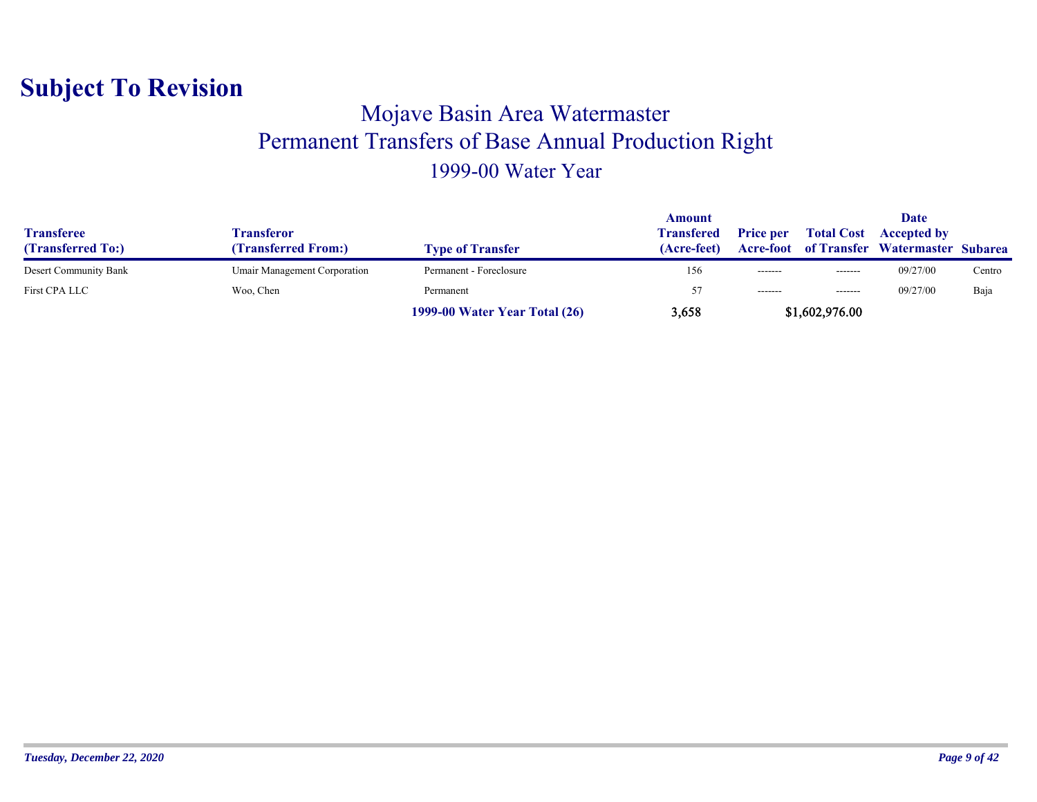#### Mojave Basin Area Watermaster Permanent Transfers of Base Annual Production Right 1999-00 Water Year

| <b>Transferee</b><br>(Transferred To:) | Transferor<br><b>(Transferred From:)</b> | <b>Type of Transfer</b>              | Amount<br><b>Transfered</b><br>(Acre-feet) | <b>Price per</b> | <b>Total Cost</b><br><b>Acre-foot</b> of Transfer | Date<br><b>Accepted by</b><br>Watermaster Subarea |        |
|----------------------------------------|------------------------------------------|--------------------------------------|--------------------------------------------|------------------|---------------------------------------------------|---------------------------------------------------|--------|
| Desert Community Bank                  | Umair Management Corporation             | Permanent - Foreclosure              | 156                                        | -------          | -------                                           | 09/27/00                                          | Centro |
| First CPA LLC                          | Woo, Chen                                | Permanent                            |                                            | $- - - - - - -$  | $- - - - - - -$                                   | 09/27/00                                          | Baja   |
|                                        |                                          | <b>1999-00 Water Year Total (26)</b> | 3,658                                      |                  | \$1,602,976.00                                    |                                                   |        |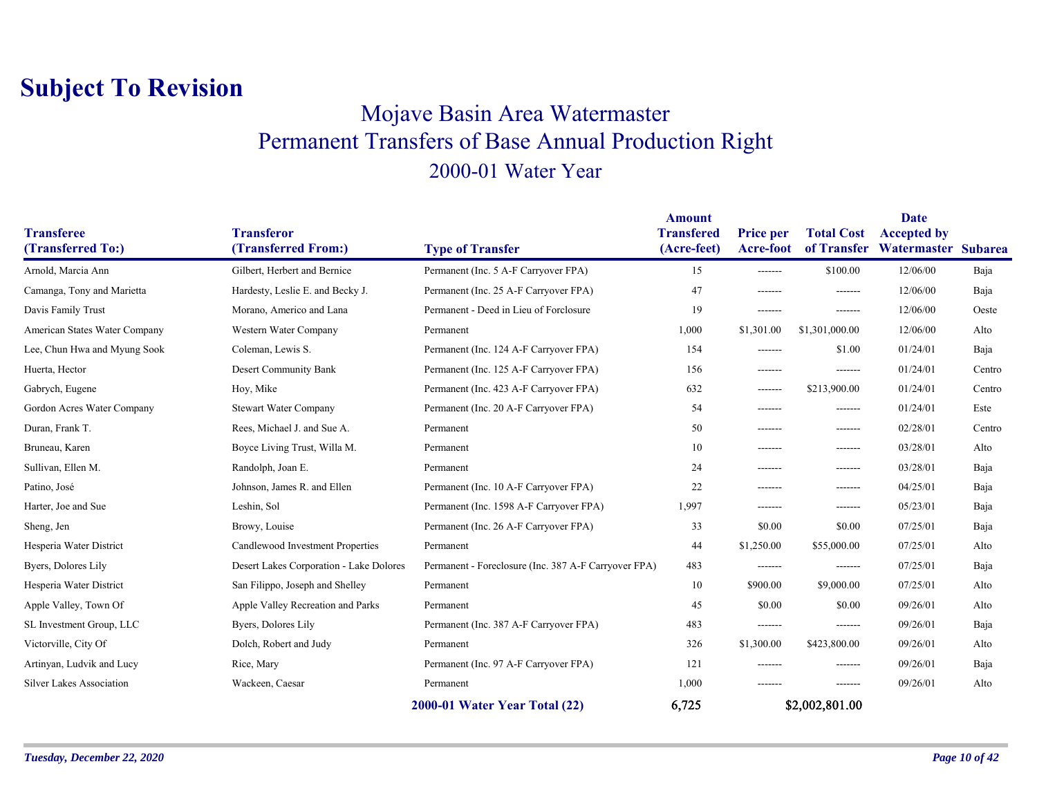#### Mojave Basin Area Watermaster Permanent Transfers of Base Annual Production Right 2000-01 Water Year

| <b>Transferee</b><br>(Transferred To:) | <b>Transferor</b><br>(Transferred From:) | <b>Type of Transfer</b>                              | <b>Amount</b><br><b>Transfered</b><br>(Acre-feet) | <b>Price per</b><br><b>Acre-foot</b> | <b>Total Cost</b><br>of Transfer | <b>Date</b><br><b>Accepted by</b><br>Watermaster | <b>Subarea</b> |
|----------------------------------------|------------------------------------------|------------------------------------------------------|---------------------------------------------------|--------------------------------------|----------------------------------|--------------------------------------------------|----------------|
| Arnold, Marcia Ann                     | Gilbert, Herbert and Bernice             | Permanent (Inc. 5 A-F Carryover FPA)                 | 15                                                | -------                              | \$100.00                         | 12/06/00                                         | Baja           |
| Camanga, Tony and Marietta             | Hardesty, Leslie E. and Becky J.         | Permanent (Inc. 25 A-F Carryover FPA)                | 47                                                | -------                              | -------                          | 12/06/00                                         | Baja           |
| Davis Family Trust                     | Morano, Americo and Lana                 | Permanent - Deed in Lieu of Forclosure               | 19                                                | -------                              | -------                          | 12/06/00                                         | Oeste          |
| American States Water Company          | Western Water Company                    | Permanent                                            | 1,000                                             | \$1,301.00                           | \$1,301,000.00                   | 12/06/00                                         | Alto           |
| Lee, Chun Hwa and Myung Sook           | Coleman, Lewis S.                        | Permanent (Inc. 124 A-F Carryover FPA)               | 154                                               | -------                              | \$1.00                           | 01/24/01                                         | Baja           |
| Huerta, Hector                         | Desert Community Bank                    | Permanent (Inc. 125 A-F Carryover FPA)               | 156                                               | -------                              | -------                          | 01/24/01                                         | Centro         |
| Gabrych, Eugene                        | Hoy, Mike                                | Permanent (Inc. 423 A-F Carryover FPA)               | 632                                               | -------                              | \$213,900.00                     | 01/24/01                                         | Centro         |
| Gordon Acres Water Company             | <b>Stewart Water Company</b>             | Permanent (Inc. 20 A-F Carryover FPA)                | 54                                                | -------                              | -------                          | 01/24/01                                         | Este           |
| Duran, Frank T.                        | Rees, Michael J. and Sue A.              | Permanent                                            | 50                                                | -------                              | -------                          | 02/28/01                                         | Centro         |
| Bruneau, Karen                         | Boyce Living Trust, Willa M.             | Permanent                                            | 10                                                | -------                              | -------                          | 03/28/01                                         | Alto           |
| Sullivan, Ellen M.                     | Randolph, Joan E.                        | Permanent                                            | 24                                                | -------                              | -------                          | 03/28/01                                         | Baja           |
| Patino, José                           | Johnson, James R. and Ellen              | Permanent (Inc. 10 A-F Carryover FPA)                | 22                                                | -------                              | -------                          | 04/25/01                                         | Baja           |
| Harter, Joe and Sue                    | Leshin, Sol                              | Permanent (Inc. 1598 A-F Carryover FPA)              | 1,997                                             | -------                              | -------                          | 05/23/01                                         | Baja           |
| Sheng, Jen                             | Browy, Louise                            | Permanent (Inc. 26 A-F Carryover FPA)                | 33                                                | \$0.00                               | \$0.00                           | 07/25/01                                         | Baja           |
| Hesperia Water District                | Candlewood Investment Properties         | Permanent                                            | 44                                                | \$1,250.00                           | \$55,000.00                      | 07/25/01                                         | Alto           |
| Byers, Dolores Lily                    | Desert Lakes Corporation - Lake Dolores  | Permanent - Foreclosure (Inc. 387 A-F Carryover FPA) | 483                                               | -------                              | -------                          | 07/25/01                                         | Baja           |
| Hesperia Water District                | San Filippo, Joseph and Shelley          | Permanent                                            | 10                                                | \$900.00                             | \$9,000.00                       | 07/25/01                                         | Alto           |
| Apple Valley, Town Of                  | Apple Valley Recreation and Parks        | Permanent                                            | 45                                                | \$0.00                               | \$0.00                           | 09/26/01                                         | Alto           |
| SL Investment Group, LLC               | Byers, Dolores Lily                      | Permanent (Inc. 387 A-F Carryover FPA)               | 483                                               | -------                              | -------                          | 09/26/01                                         | Baja           |
| Victorville, City Of                   | Dolch, Robert and Judy                   | Permanent                                            | 326                                               | \$1,300.00                           | \$423,800.00                     | 09/26/01                                         | Alto           |
| Artinyan, Ludvik and Lucy              | Rice, Mary                               | Permanent (Inc. 97 A-F Carryover FPA)                | 121                                               | -------                              | -------                          | 09/26/01                                         | Baja           |
| Silver Lakes Association               | Wackeen, Caesar                          | Permanent                                            | 1,000                                             | -------                              | -------                          | 09/26/01                                         | Alto           |
|                                        |                                          | 2000-01 Water Year Total (22)                        | 6,725                                             |                                      | \$2,002,801.00                   |                                                  |                |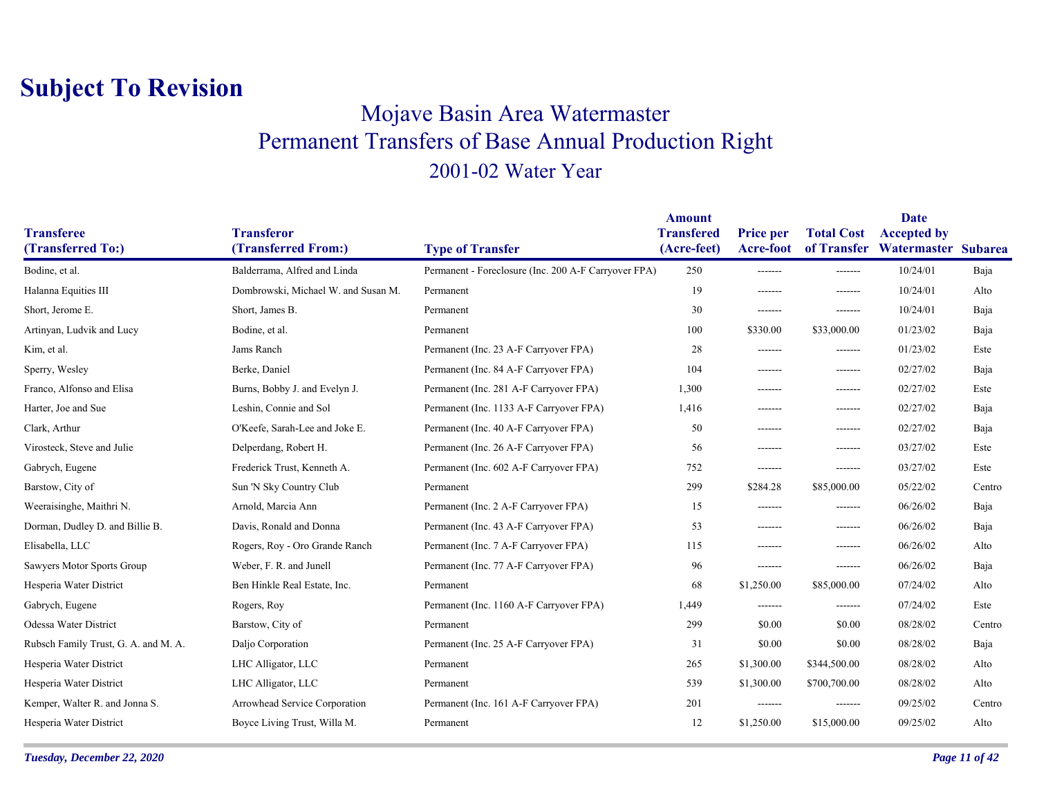### Mojave Basin Area Watermaster Permanent Transfers of Base Annual Production Right 2001-02 Water Year

|                                        |                                          |                                                      | <b>Amount</b>                    |                                      |                   | <b>Date</b>                                           |        |
|----------------------------------------|------------------------------------------|------------------------------------------------------|----------------------------------|--------------------------------------|-------------------|-------------------------------------------------------|--------|
| <b>Transferee</b><br>(Transferred To:) | <b>Transferor</b><br>(Transferred From:) | <b>Type of Transfer</b>                              | <b>Transfered</b><br>(Acre-feet) | <b>Price per</b><br><b>Acre-foot</b> | <b>Total Cost</b> | <b>Accepted by</b><br>of Transfer Watermaster Subarea |        |
| Bodine, et al.                         | Balderrama, Alfred and Linda             | Permanent - Foreclosure (Inc. 200 A-F Carryover FPA) | 250                              | -------                              | -------           | 10/24/01                                              | Baja   |
| Halanna Equities III                   | Dombrowski, Michael W. and Susan M.      | Permanent                                            | 19                               | -------                              | $- - - - - - -$   | 10/24/01                                              | Alto   |
| Short, Jerome E.                       | Short, James B.                          | Permanent                                            | 30                               | -------                              | $- - - - - - -$   | 10/24/01                                              | Baja   |
| Artinyan, Ludvik and Lucy              | Bodine, et al.                           | Permanent                                            | 100                              | \$330.00                             | \$33,000.00       | 01/23/02                                              | Baja   |
|                                        |                                          |                                                      |                                  |                                      |                   |                                                       |        |
| Kim, et al.                            | Jams Ranch                               | Permanent (Inc. 23 A-F Carryover FPA)                | 28                               | -------                              | -------           | 01/23/02                                              | Este   |
| Sperry, Wesley                         | Berke, Daniel                            | Permanent (Inc. 84 A-F Carryover FPA)                | 104                              | -------                              | $- - - - - - -$   | 02/27/02                                              | Baja   |
| Franco, Alfonso and Elisa              | Burns, Bobby J. and Evelyn J.            | Permanent (Inc. 281 A-F Carryover FPA)               | 1,300                            | -------                              | $- - - - - - -$   | 02/27/02                                              | Este   |
| Harter, Joe and Sue                    | Leshin, Connie and Sol                   | Permanent (Inc. 1133 A-F Carryover FPA)              | 1,416                            | -------                              | -------           | 02/27/02                                              | Baja   |
| Clark, Arthur                          | O'Keefe, Sarah-Lee and Joke E.           | Permanent (Inc. 40 A-F Carryover FPA)                | 50                               | -------                              | -------           | 02/27/02                                              | Baja   |
| Virosteck, Steve and Julie             | Delperdang, Robert H.                    | Permanent (Inc. 26 A-F Carryover FPA)                | 56                               | -------                              | -------           | 03/27/02                                              | Este   |
| Gabrych, Eugene                        | Frederick Trust, Kenneth A.              | Permanent (Inc. 602 A-F Carryover FPA)               | 752                              | -------                              | -------           | 03/27/02                                              | Este   |
| Barstow, City of                       | Sun 'N Sky Country Club                  | Permanent                                            | 299                              | \$284.28                             | \$85,000.00       | 05/22/02                                              | Centro |
| Weeraisinghe, Maithri N.               | Arnold, Marcia Ann                       | Permanent (Inc. 2 A-F Carryover FPA)                 | 15                               | -------                              | -------           | 06/26/02                                              | Baja   |
| Dorman, Dudley D. and Billie B.        | Davis, Ronald and Donna                  | Permanent (Inc. 43 A-F Carryover FPA)                | 53                               | -------                              | -------           | 06/26/02                                              | Baja   |
| Elisabella, LLC                        | Rogers, Roy - Oro Grande Ranch           | Permanent (Inc. 7 A-F Carryover FPA)                 | 115                              | -------                              | -------           | 06/26/02                                              | Alto   |
| Sawyers Motor Sports Group             | Weber, F. R. and Junell                  | Permanent (Inc. 77 A-F Carryover FPA)                | 96                               | -------                              | -------           | 06/26/02                                              | Baja   |
| Hesperia Water District                | Ben Hinkle Real Estate, Inc.             | Permanent                                            | 68                               | \$1,250.00                           | \$85,000.00       | 07/24/02                                              | Alto   |
| Gabrych, Eugene                        | Rogers, Roy                              | Permanent (Inc. 1160 A-F Carryover FPA)              | 1,449                            | -------                              | $- - - - - - -$   | 07/24/02                                              | Este   |
| Odessa Water District                  | Barstow, City of                         | Permanent                                            | 299                              | \$0.00                               | \$0.00            | 08/28/02                                              | Centro |
| Rubsch Family Trust, G. A. and M. A.   | Daljo Corporation                        | Permanent (Inc. 25 A-F Carryover FPA)                | 31                               | \$0.00                               | \$0.00            | 08/28/02                                              | Baja   |
| Hesperia Water District                | LHC Alligator, LLC                       | Permanent                                            | 265                              | \$1,300.00                           | \$344,500.00      | 08/28/02                                              | Alto   |
| Hesperia Water District                | LHC Alligator, LLC                       | Permanent                                            | 539                              | \$1,300.00                           | \$700,700.00      | 08/28/02                                              | Alto   |
| Kemper, Walter R. and Jonna S.         | Arrowhead Service Corporation            | Permanent (Inc. 161 A-F Carryover FPA)               | 201                              | -------                              | -------           | 09/25/02                                              | Centro |
| Hesperia Water District                | Boyce Living Trust, Willa M.             | Permanent                                            | 12                               | \$1,250.00                           | \$15,000.00       | 09/25/02                                              | Alto   |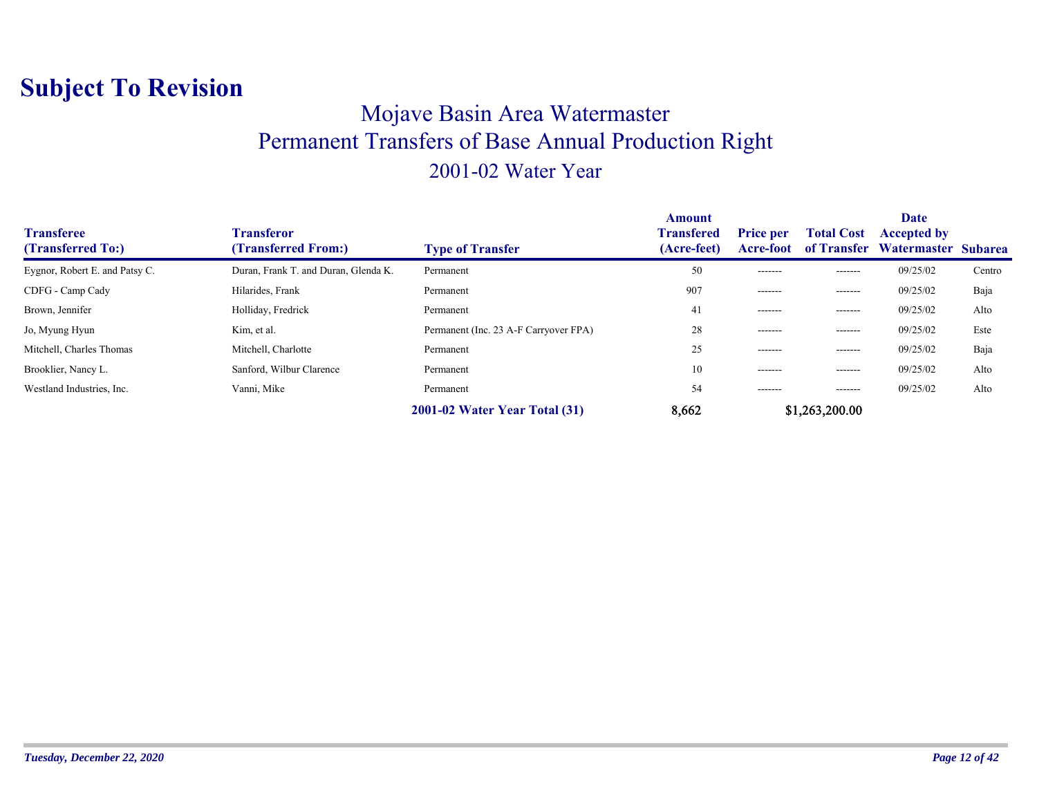### Mojave Basin Area Watermaster Permanent Transfers of Base Annual Production Right 2001-02 Water Year

| <b>Transferee</b><br>(Transferred To:) | Transferor<br>(Transferred From:)    | <b>Type of Transfer</b>               | <b>Amount</b><br><b>Transfered</b><br>(Acre-feet) | <b>Price per</b><br>Acre-foot | <b>Total Cost</b><br>of Transfer | Date<br><b>Accepted by</b><br>Watermaster Subarea |        |
|----------------------------------------|--------------------------------------|---------------------------------------|---------------------------------------------------|-------------------------------|----------------------------------|---------------------------------------------------|--------|
| Eygnor, Robert E. and Patsy C.         | Duran, Frank T. and Duran, Glenda K. | Permanent                             | 50                                                | -------                       | -------                          | 09/25/02                                          | Centro |
| CDFG - Camp Cady                       | Hilarides, Frank                     | Permanent                             | 907                                               | -------                       | --------                         | 09/25/02                                          | Baja   |
| Brown, Jennifer                        | Holliday, Fredrick                   | Permanent                             | 41                                                | -------                       | -------                          | 09/25/02                                          | Alto   |
| Jo, Myung Hyun                         | Kim, et al.                          | Permanent (Inc. 23 A-F Carryover FPA) | 28                                                | -------                       | -------                          | 09/25/02                                          | Este   |
| Mitchell, Charles Thomas               | Mitchell, Charlotte                  | Permanent                             | 25                                                | -------                       | -------                          | 09/25/02                                          | Baja   |
| Brooklier, Nancy L.                    | Sanford, Wilbur Clarence             | Permanent                             | 10                                                | -------                       | $- - - - - - -$                  | 09/25/02                                          | Alto   |
| Westland Industries, Inc.              | Vanni, Mike                          | Permanent                             | 54                                                | -------                       | --------                         | 09/25/02                                          | Alto   |
|                                        |                                      | 2001-02 Water Year Total (31)         | 8,662                                             |                               | \$1,263,200.00                   |                                                   |        |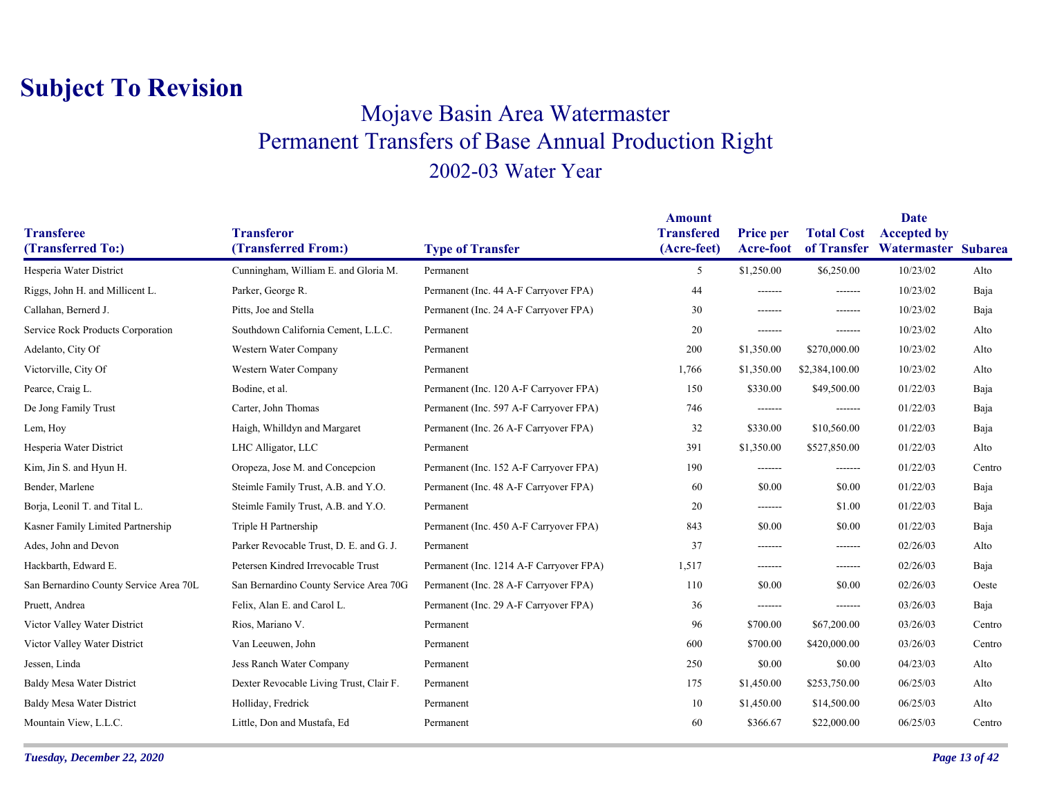### Mojave Basin Area Watermaster Permanent Transfers of Base Annual Production Right 2002-03 Water Year

|                                        |                                          |                                         | <b>Amount</b>                    |                                      |                                  | <b>Date</b>                               |        |
|----------------------------------------|------------------------------------------|-----------------------------------------|----------------------------------|--------------------------------------|----------------------------------|-------------------------------------------|--------|
| <b>Transferee</b><br>(Transferred To:) | <b>Transferor</b><br>(Transferred From:) | <b>Type of Transfer</b>                 | <b>Transfered</b><br>(Acre-feet) | <b>Price per</b><br><b>Acre-foot</b> | <b>Total Cost</b><br>of Transfer | <b>Accepted by</b><br>Watermaster Subarea |        |
| Hesperia Water District                | Cunningham, William E. and Gloria M.     | Permanent                               | 5                                | \$1,250.00                           | \$6,250.00                       | 10/23/02                                  | Alto   |
|                                        |                                          |                                         |                                  |                                      |                                  |                                           |        |
| Riggs, John H. and Millicent L.        | Parker, George R.                        | Permanent (Inc. 44 A-F Carryover FPA)   | 44                               | -------                              | -------                          | 10/23/02                                  | Baja   |
| Callahan, Bernerd J.                   | Pitts, Joe and Stella                    | Permanent (Inc. 24 A-F Carryover FPA)   | 30                               | -------                              | $-----$                          | 10/23/02                                  | Baja   |
| Service Rock Products Corporation      | Southdown California Cement, L.L.C.      | Permanent                               | 20                               | -------                              | $- - - - - - -$                  | 10/23/02                                  | Alto   |
| Adelanto, City Of                      | Western Water Company                    | Permanent                               | 200                              | \$1,350.00                           | \$270,000.00                     | 10/23/02                                  | Alto   |
| Victorville, City Of                   | Western Water Company                    | Permanent                               | 1,766                            | \$1,350.00                           | \$2,384,100.00                   | 10/23/02                                  | Alto   |
| Pearce, Craig L.                       | Bodine, et al.                           | Permanent (Inc. 120 A-F Carryover FPA)  | 150                              | \$330.00                             | \$49,500.00                      | 01/22/03                                  | Baja   |
| De Jong Family Trust                   | Carter, John Thomas                      | Permanent (Inc. 597 A-F Carryover FPA)  | 746                              | -------                              | $-----$                          | 01/22/03                                  | Baja   |
| Lem, Hoy                               | Haigh, Whilldyn and Margaret             | Permanent (Inc. 26 A-F Carryover FPA)   | 32                               | \$330.00                             | \$10,560.00                      | 01/22/03                                  | Baja   |
| Hesperia Water District                | LHC Alligator, LLC                       | Permanent                               | 391                              | \$1,350.00                           | \$527,850.00                     | 01/22/03                                  | Alto   |
| Kim, Jin S. and Hyun H.                | Oropeza, Jose M. and Concepcion          | Permanent (Inc. 152 A-F Carryover FPA)  | 190                              | -------                              | -------                          | 01/22/03                                  | Centro |
| Bender, Marlene                        | Steimle Family Trust, A.B. and Y.O.      | Permanent (Inc. 48 A-F Carryover FPA)   | 60                               | \$0.00                               | \$0.00                           | 01/22/03                                  | Baja   |
| Borja, Leonil T. and Tital L.          | Steimle Family Trust, A.B. and Y.O.      | Permanent                               | 20                               | -------                              | \$1.00                           | 01/22/03                                  | Baja   |
| Kasner Family Limited Partnership      | Triple H Partnership                     | Permanent (Inc. 450 A-F Carryover FPA)  | 843                              | \$0.00                               | \$0.00                           | 01/22/03                                  | Baja   |
| Ades, John and Devon                   | Parker Revocable Trust, D. E. and G. J.  | Permanent                               | 37                               | -------                              | $-----$                          | 02/26/03                                  | Alto   |
| Hackbarth, Edward E.                   | Petersen Kindred Irrevocable Trust       | Permanent (Inc. 1214 A-F Carryover FPA) | 1,517                            | -------                              | $- - - - - - -$                  | 02/26/03                                  | Baja   |
| San Bernardino County Service Area 70L | San Bernardino County Service Area 70G   | Permanent (Inc. 28 A-F Carryover FPA)   | 110                              | \$0.00                               | \$0.00                           | 02/26/03                                  | Oeste  |
| Pruett, Andrea                         | Felix, Alan E. and Carol L.              | Permanent (Inc. 29 A-F Carryover FPA)   | 36                               | -------                              | $-----$                          | 03/26/03                                  | Baja   |
| Victor Valley Water District           | Rios, Mariano V.                         | Permanent                               | 96                               | \$700.00                             | \$67,200.00                      | 03/26/03                                  | Centro |
| Victor Valley Water District           | Van Leeuwen, John                        | Permanent                               | 600                              | \$700.00                             | \$420,000.00                     | 03/26/03                                  | Centro |
| Jessen, Linda                          | Jess Ranch Water Company                 | Permanent                               | 250                              | \$0.00                               | \$0.00                           | 04/23/03                                  | Alto   |
| <b>Baldy Mesa Water District</b>       | Dexter Revocable Living Trust, Clair F.  | Permanent                               | 175                              | \$1,450.00                           | \$253,750.00                     | 06/25/03                                  | Alto   |
| <b>Baldy Mesa Water District</b>       | Holliday, Fredrick                       | Permanent                               | 10                               | \$1,450.00                           | \$14,500.00                      | 06/25/03                                  | Alto   |
| Mountain View, L.L.C.                  | Little, Don and Mustafa, Ed              | Permanent                               | 60                               | \$366.67                             | \$22,000.00                      | 06/25/03                                  | Centro |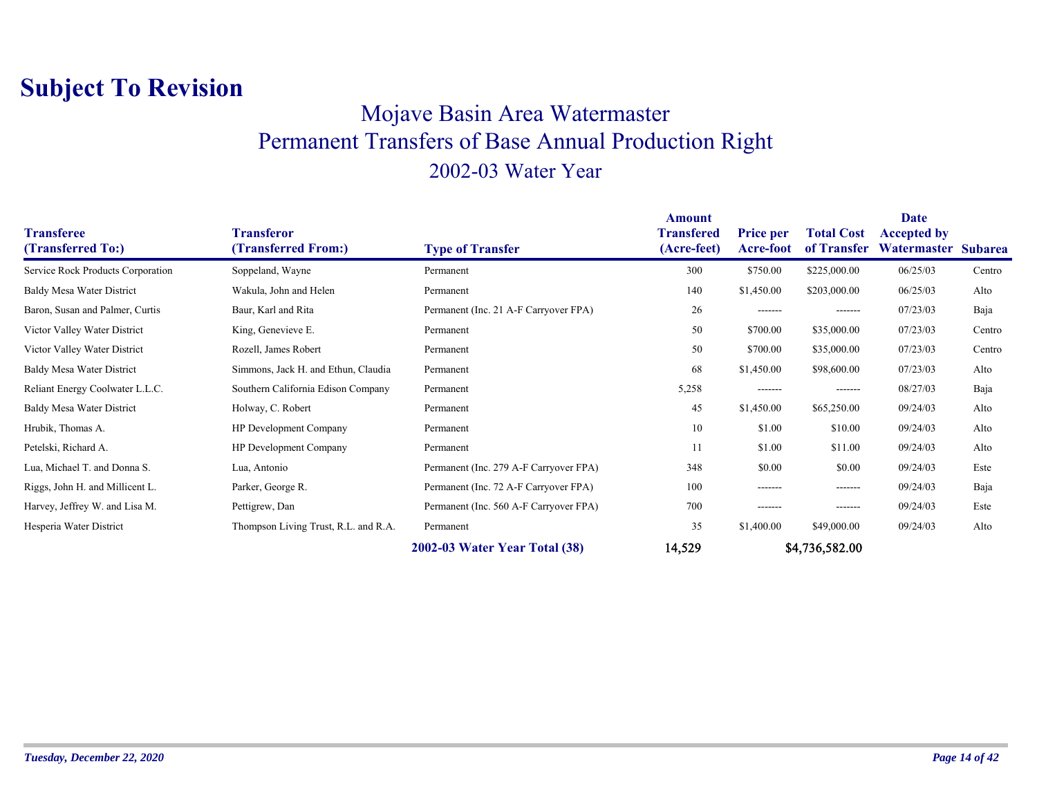### Mojave Basin Area Watermaster Permanent Transfers of Base Annual Production Right 2002-03 Water Year

| <b>Transferee</b><br>(Transferred To:) | <b>Transferor</b><br>(Transferred From:) | <b>Type of Transfer</b>                | <b>Amount</b><br>Transfered<br>(Acre-feet) | <b>Price per</b><br><b>Acre-foot</b> | <b>Total Cost</b><br>of Transfer | Date<br><b>Accepted by</b><br>Watermaster Subarea |        |
|----------------------------------------|------------------------------------------|----------------------------------------|--------------------------------------------|--------------------------------------|----------------------------------|---------------------------------------------------|--------|
| Service Rock Products Corporation      | Soppeland, Wayne                         | Permanent                              | 300                                        | \$750.00                             | \$225,000.00                     | 06/25/03                                          | Centro |
| Baldy Mesa Water District              | Wakula, John and Helen                   | Permanent                              | 140                                        | \$1,450.00                           | \$203,000.00                     | 06/25/03                                          | Alto   |
| Baron, Susan and Palmer, Curtis        | Baur, Karl and Rita                      | Permanent (Inc. 21 A-F Carryover FPA)  | 26                                         | -------                              | -------                          | 07/23/03                                          | Baja   |
| Victor Valley Water District           | King, Genevieve E.                       | Permanent                              | 50                                         | \$700.00                             | \$35,000.00                      | 07/23/03                                          | Centro |
| Victor Valley Water District           | Rozell, James Robert                     | Permanent                              | 50                                         | \$700.00                             | \$35,000.00                      | 07/23/03                                          | Centro |
| Baldy Mesa Water District              | Simmons, Jack H. and Ethun, Claudia      | Permanent                              | 68                                         | \$1,450.00                           | \$98,600.00                      | 07/23/03                                          | Alto   |
| Reliant Energy Coolwater L.L.C.        | Southern California Edison Company       | Permanent                              | 5,258                                      | -------                              | -------                          | 08/27/03                                          | Baja   |
| <b>Baldy Mesa Water District</b>       | Holway, C. Robert                        | Permanent                              | 45                                         | \$1,450.00                           | \$65,250.00                      | 09/24/03                                          | Alto   |
| Hrubik, Thomas A.                      | HP Development Company                   | Permanent                              | 10                                         | \$1.00                               | \$10.00                          | 09/24/03                                          | Alto   |
| Petelski, Richard A.                   | <b>HP</b> Development Company            | Permanent                              | 11                                         | \$1.00                               | \$11.00                          | 09/24/03                                          | Alto   |
| Lua, Michael T. and Donna S.           | Lua, Antonio                             | Permanent (Inc. 279 A-F Carryover FPA) | 348                                        | \$0.00                               | \$0.00                           | 09/24/03                                          | Este   |
| Riggs, John H. and Millicent L.        | Parker, George R.                        | Permanent (Inc. 72 A-F Carryover FPA)  | 100                                        | -------                              | -------                          | 09/24/03                                          | Baja   |
| Harvey, Jeffrey W. and Lisa M.         | Pettigrew, Dan                           | Permanent (Inc. 560 A-F Carryover FPA) | 700                                        | -------                              | -------                          | 09/24/03                                          | Este   |
| Hesperia Water District                | Thompson Living Trust, R.L. and R.A.     | Permanent                              | 35                                         | \$1,400.00                           | \$49,000.00                      | 09/24/03                                          | Alto   |
|                                        |                                          | 2002-03 Water Year Total (38)          | 14,529                                     |                                      | \$4,736,582.00                   |                                                   |        |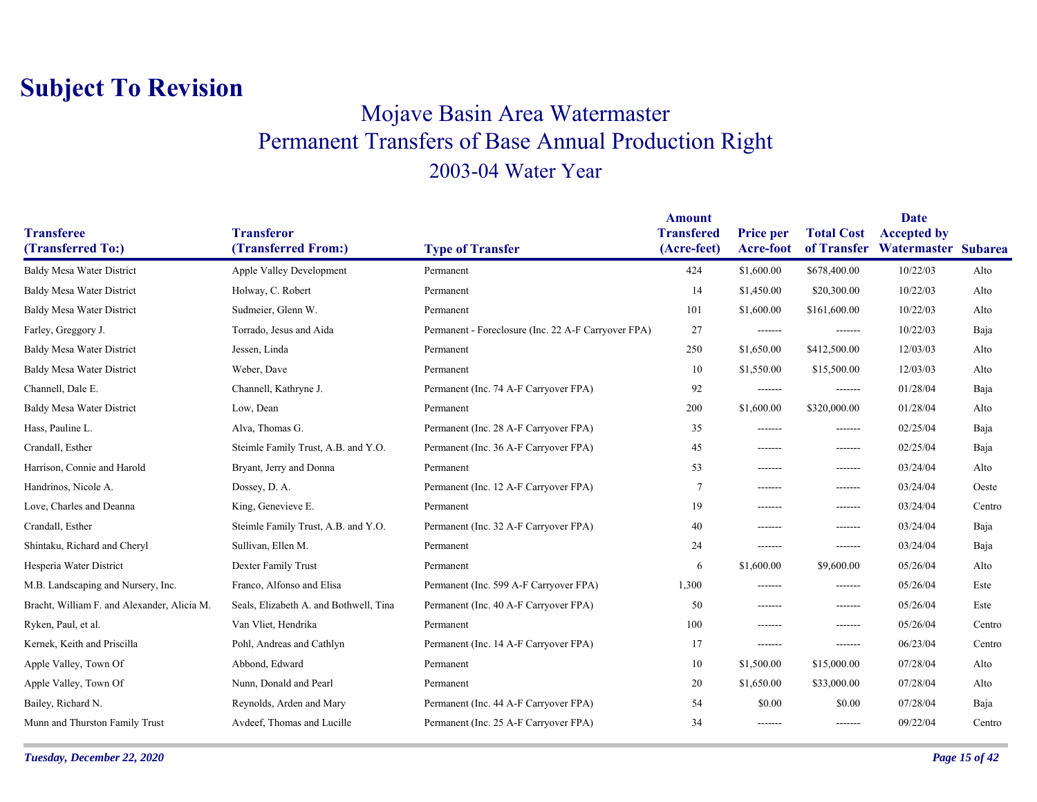### Mojave Basin Area Watermaster Permanent Transfers of Base Annual Production Right 2003-04 Water Year

|                                             |                                          |                                                     | <b>Amount</b>                    |                               |                   | Date                                                  |        |
|---------------------------------------------|------------------------------------------|-----------------------------------------------------|----------------------------------|-------------------------------|-------------------|-------------------------------------------------------|--------|
| <b>Transferee</b><br>(Transferred To:)      | <b>Transferor</b><br>(Transferred From:) | <b>Type of Transfer</b>                             | <b>Transfered</b><br>(Acre-feet) | <b>Price per</b><br>Acre-foot | <b>Total Cost</b> | <b>Accepted by</b><br>of Transfer Watermaster Subarea |        |
| <b>Baldy Mesa Water District</b>            | <b>Apple Valley Development</b>          | Permanent                                           | 424                              | \$1,600.00                    | \$678,400.00      | 10/22/03                                              | Alto   |
| Baldy Mesa Water District                   | Holway, C. Robert                        | Permanent                                           | 14                               | \$1,450.00                    | \$20,300.00       | 10/22/03                                              | Alto   |
| <b>Baldy Mesa Water District</b>            | Sudmeier, Glenn W.                       | Permanent                                           | 101                              | \$1,600.00                    | \$161,600.00      | 10/22/03                                              | Alto   |
| Farley, Greggory J.                         | Torrado, Jesus and Aida                  | Permanent - Foreclosure (Inc. 22 A-F Carryover FPA) | 27                               | -------                       | -------           | 10/22/03                                              | Baja   |
|                                             | Jessen, Linda                            |                                                     | 250                              |                               |                   | 12/03/03                                              | Alto   |
| Baldy Mesa Water District                   |                                          | Permanent                                           |                                  | \$1,650.00                    | \$412,500.00      |                                                       |        |
| <b>Baldy Mesa Water District</b>            | Weber, Dave                              | Permanent                                           | 10                               | \$1,550.00                    | \$15,500.00       | 12/03/03                                              | Alto   |
| Channell, Dale E.                           | Channell, Kathryne J.                    | Permanent (Inc. 74 A-F Carryover FPA)               | 92                               | -------                       | -------           | 01/28/04                                              | Baja   |
| <b>Baldy Mesa Water District</b>            | Low, Dean                                | Permanent                                           | 200                              | \$1,600.00                    | \$320,000.00      | 01/28/04                                              | Alto   |
| Hass, Pauline L.                            | Alva, Thomas G.                          | Permanent (Inc. 28 A-F Carryover FPA)               | 35                               | -------                       | -------           | 02/25/04                                              | Baja   |
| Crandall, Esther                            | Steimle Family Trust, A.B. and Y.O.      | Permanent (Inc. 36 A-F Carryover FPA)               | 45                               | -------                       | -------           | 02/25/04                                              | Baja   |
| Harrison, Connie and Harold                 | Bryant, Jerry and Donna                  | Permanent                                           | 53                               | -------                       | -------           | 03/24/04                                              | Alto   |
| Handrinos, Nicole A.                        | Dossey, D. A.                            | Permanent (Inc. 12 A-F Carryover FPA)               | 7                                | -------                       | -------           | 03/24/04                                              | Oeste  |
| Love, Charles and Deanna                    | King, Genevieve E.                       | Permanent                                           | 19                               | -------                       | -------           | 03/24/04                                              | Centro |
| Crandall, Esther                            | Steimle Family Trust, A.B. and Y.O.      | Permanent (Inc. 32 A-F Carryover FPA)               | 40                               | -------                       | -------           | 03/24/04                                              | Baja   |
| Shintaku, Richard and Cheryl                | Sullivan, Ellen M.                       | Permanent                                           | 24                               | -------                       | -------           | 03/24/04                                              | Baja   |
| Hesperia Water District                     | Dexter Family Trust                      | Permanent                                           | 6                                | \$1,600.00                    | \$9,600.00        | 05/26/04                                              | Alto   |
| M.B. Landscaping and Nursery, Inc.          | Franco, Alfonso and Elisa                | Permanent (Inc. 599 A-F Carryover FPA)              | 1,300                            | -------                       | -------           | 05/26/04                                              | Este   |
| Bracht, William F. and Alexander, Alicia M. | Seals, Elizabeth A. and Bothwell, Tina   | Permanent (Inc. 40 A-F Carryover FPA)               | 50                               | -------                       | -------           | 05/26/04                                              | Este   |
| Ryken, Paul, et al.                         | Van Vliet, Hendrika                      | Permanent                                           | 100                              | -------                       | -------           | 05/26/04                                              | Centro |
| Kernek, Keith and Priscilla                 | Pohl, Andreas and Cathlyn                | Permanent (Inc. 14 A-F Carryover FPA)               | 17                               | -------                       | -------           | 06/23/04                                              | Centro |
| Apple Valley, Town Of                       | Abbond, Edward                           | Permanent                                           | 10                               | \$1,500.00                    | \$15,000.00       | 07/28/04                                              | Alto   |
| Apple Valley, Town Of                       | Nunn, Donald and Pearl                   | Permanent                                           | 20                               | \$1,650.00                    | \$33,000.00       | 07/28/04                                              | Alto   |
| Bailey, Richard N.                          | Reynolds, Arden and Mary                 | Permanent (Inc. 44 A-F Carryover FPA)               | 54                               | \$0.00                        | \$0.00            | 07/28/04                                              | Baja   |
| Munn and Thurston Family Trust              | Avdeef, Thomas and Lucille               | Permanent (Inc. 25 A-F Carryover FPA)               | 34                               | -------                       | -------           | 09/22/04                                              | Centro |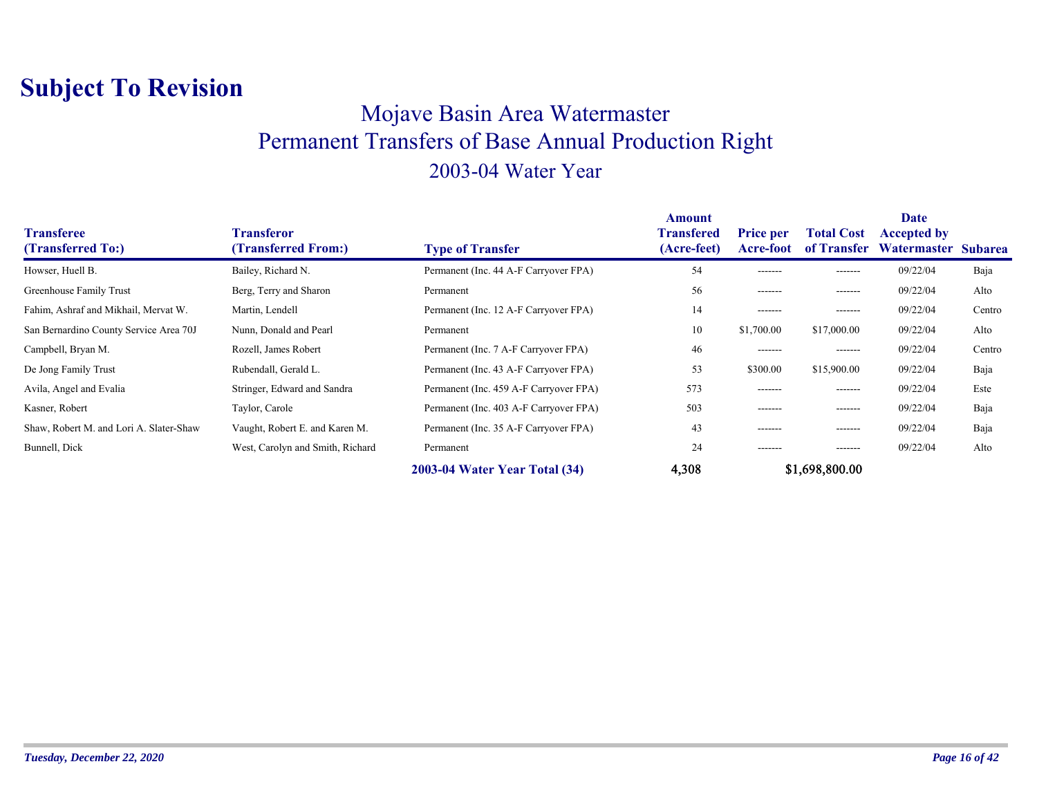### Mojave Basin Area Watermaster Permanent Transfers of Base Annual Production Right 2003-04 Water Year

| <b>Transferee</b><br>(Transferred To:)  | Transferor<br>(Transferred From:) | <b>Type of Transfer</b>                | Amount<br><b>Transfered</b><br>(Acre-feet) | <b>Price per</b><br>Acre-foot | <b>Total Cost</b><br>of Transfer | <b>Date</b><br><b>Accepted by</b><br>Watermaster | <b>Subarea</b> |
|-----------------------------------------|-----------------------------------|----------------------------------------|--------------------------------------------|-------------------------------|----------------------------------|--------------------------------------------------|----------------|
| Howser, Huell B.                        | Bailey, Richard N.                | Permanent (Inc. 44 A-F Carryover FPA)  | 54                                         | -------                       | -------                          | 09/22/04                                         | Baja           |
| Greenhouse Family Trust                 | Berg, Terry and Sharon            | Permanent                              | 56                                         | -------                       | -------                          | 09/22/04                                         | Alto           |
| Fahim, Ashraf and Mikhail, Mervat W.    | Martin, Lendell                   | Permanent (Inc. 12 A-F Carryover FPA)  | 14                                         | -------                       | -------                          | 09/22/04                                         | Centro         |
| San Bernardino County Service Area 70J  | Nunn, Donald and Pearl            | Permanent                              | 10                                         | \$1,700.00                    | \$17,000.00                      | 09/22/04                                         | Alto           |
| Campbell, Bryan M.                      | Rozell, James Robert              | Permanent (Inc. 7 A-F Carryover FPA)   | 46                                         | -------                       | -------                          | 09/22/04                                         | Centro         |
| De Jong Family Trust                    | Rubendall, Gerald L.              | Permanent (Inc. 43 A-F Carryover FPA)  | 53                                         | \$300.00                      | \$15,900.00                      | 09/22/04                                         | Baja           |
| Avila, Angel and Evalia                 | Stringer, Edward and Sandra       | Permanent (Inc. 459 A-F Carryover FPA) | 573                                        | -------                       | -------                          | 09/22/04                                         | Este           |
| Kasner, Robert                          | Taylor, Carole                    | Permanent (Inc. 403 A-F Carryover FPA) | 503                                        | -------                       | -------                          | 09/22/04                                         | Baja           |
| Shaw, Robert M. and Lori A. Slater-Shaw | Vaught, Robert E. and Karen M.    | Permanent (Inc. 35 A-F Carryover FPA)  | 43                                         | -------                       | -------                          | 09/22/04                                         | Baja           |
| Bunnell, Dick                           | West, Carolyn and Smith, Richard  | Permanent                              | 24                                         | -------                       | -------                          | 09/22/04                                         | Alto           |
|                                         |                                   | 2003-04 Water Year Total (34)          | 4,308                                      |                               | \$1,698,800.00                   |                                                  |                |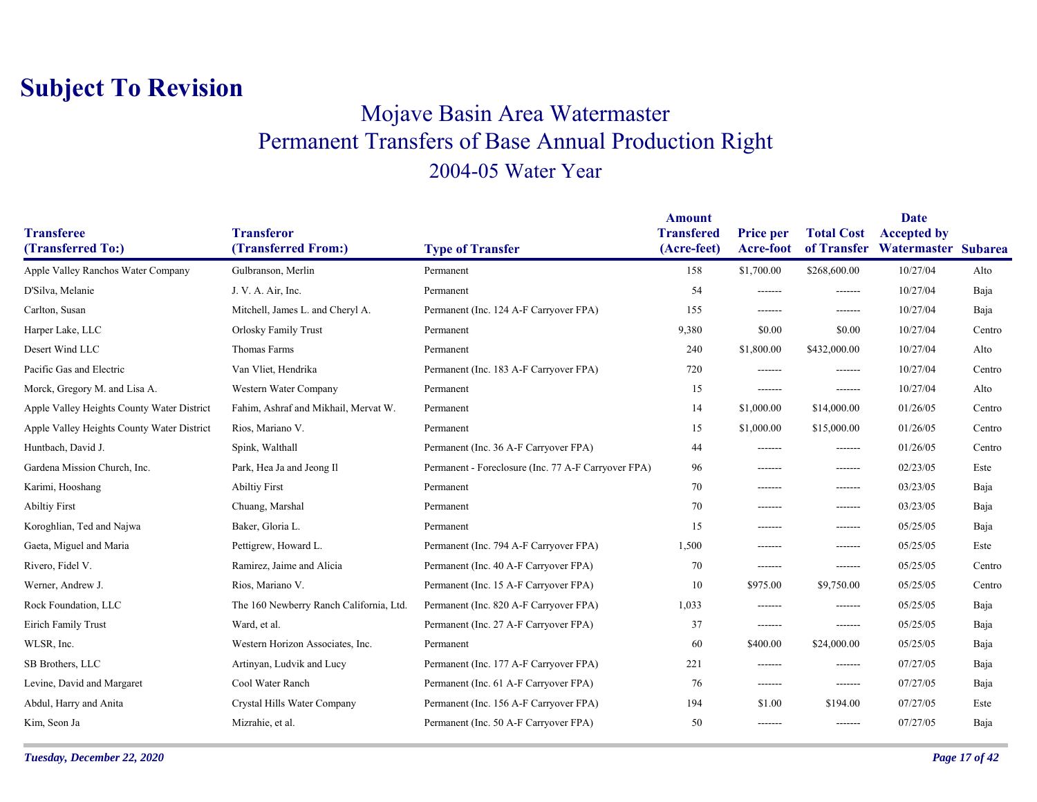### Mojave Basin Area Watermaster Permanent Transfers of Base Annual Production Right 2004-05 Water Year

|                                            |                                          |                                                     | <b>Amount</b>                    |                               |                                  | Date                                      |        |
|--------------------------------------------|------------------------------------------|-----------------------------------------------------|----------------------------------|-------------------------------|----------------------------------|-------------------------------------------|--------|
| <b>Transferee</b><br>(Transferred To:)     | <b>Transferor</b><br>(Transferred From:) | <b>Type of Transfer</b>                             | <b>Transfered</b><br>(Acre-feet) | <b>Price per</b><br>Acre-foot | <b>Total Cost</b><br>of Transfer | <b>Accepted by</b><br>Watermaster Subarea |        |
| Apple Valley Ranchos Water Company         | Gulbranson, Merlin                       | Permanent                                           | 158                              | \$1,700.00                    | \$268,600.00                     | 10/27/04                                  | Alto   |
| D'Silva, Melanie                           | J. V. A. Air, Inc.                       | Permanent                                           | 54                               | -------                       | -------                          | 10/27/04                                  | Baja   |
| Carlton, Susan                             | Mitchell, James L. and Cheryl A.         | Permanent (Inc. 124 A-F Carryover FPA)              | 155                              | -------                       | -------                          | 10/27/04                                  | Baja   |
| Harper Lake, LLC                           | <b>Orlosky Family Trust</b>              | Permanent                                           | 9,380                            | \$0.00                        | \$0.00                           | 10/27/04                                  | Centro |
| Desert Wind LLC                            | Thomas Farms                             | Permanent                                           | 240                              | \$1,800.00                    | \$432,000.00                     | 10/27/04                                  | Alto   |
| Pacific Gas and Electric                   | Van Vliet, Hendrika                      | Permanent (Inc. 183 A-F Carryover FPA)              | 720                              | -------                       | -------                          | 10/27/04                                  | Centro |
| Morck, Gregory M. and Lisa A.              | Western Water Company                    | Permanent                                           | 15                               | -------                       | -------                          | 10/27/04                                  | Alto   |
| Apple Valley Heights County Water District | Fahim, Ashraf and Mikhail, Mervat W.     | Permanent                                           | 14                               | \$1,000.00                    | \$14,000.00                      | 01/26/05                                  | Centro |
| Apple Valley Heights County Water District | Rios, Mariano V.                         | Permanent                                           | 15                               | \$1,000.00                    | \$15,000.00                      | 01/26/05                                  | Centro |
| Huntbach, David J.                         | Spink, Walthall                          | Permanent (Inc. 36 A-F Carryover FPA)               | 44                               | -------                       | -------                          | 01/26/05                                  | Centro |
| Gardena Mission Church, Inc.               | Park, Hea Ja and Jeong Il                | Permanent - Foreclosure (Inc. 77 A-F Carryover FPA) | 96                               | -------                       | -------                          | 02/23/05                                  | Este   |
| Karimi, Hooshang                           | <b>Abiltiy First</b>                     | Permanent                                           | 70                               | $- - - - - - -$               | -------                          | 03/23/05                                  | Baja   |
| <b>Abiltiy First</b>                       | Chuang, Marshal                          | Permanent                                           | 70                               | -------                       | -------                          | 03/23/05                                  | Baja   |
| Koroghlian, Ted and Najwa                  | Baker, Gloria L.                         | Permanent                                           | 15                               | -------                       | -------                          | 05/25/05                                  | Baja   |
| Gaeta, Miguel and Maria                    | Pettigrew, Howard L.                     | Permanent (Inc. 794 A-F Carryover FPA)              | 1,500                            | -------                       | -------                          | 05/25/05                                  | Este   |
| Rivero, Fidel V.                           | Ramirez, Jaime and Alicia                | Permanent (Inc. 40 A-F Carryover FPA)               | 70                               | -------                       | -------                          | 05/25/05                                  | Centro |
| Werner, Andrew J.                          | Rios, Mariano V.                         | Permanent (Inc. 15 A-F Carryover FPA)               | 10                               | \$975.00                      | \$9,750.00                       | 05/25/05                                  | Centro |
| Rock Foundation, LLC                       | The 160 Newberry Ranch California, Ltd.  | Permanent (Inc. 820 A-F Carryover FPA)              | 1,033                            | -------                       | -------                          | 05/25/05                                  | Baja   |
| Eirich Family Trust                        | Ward, et al.                             | Permanent (Inc. 27 A-F Carryover FPA)               | 37                               | -------                       | -------                          | 05/25/05                                  | Baja   |
| WLSR, Inc.                                 | Western Horizon Associates, Inc.         | Permanent                                           | 60                               | \$400.00                      | \$24,000.00                      | 05/25/05                                  | Baja   |
| SB Brothers, LLC                           | Artinyan, Ludvik and Lucy                | Permanent (Inc. 177 A-F Carryover FPA)              | 221                              | -------                       | -------                          | 07/27/05                                  | Baja   |
| Levine, David and Margaret                 | Cool Water Ranch                         | Permanent (Inc. 61 A-F Carryover FPA)               | 76                               | -------                       | -------                          | 07/27/05                                  | Baja   |
| Abdul, Harry and Anita                     | Crystal Hills Water Company              | Permanent (Inc. 156 A-F Carryover FPA)              | 194                              | \$1.00                        | \$194.00                         | 07/27/05                                  | Este   |
| Kim, Seon Ja                               | Mizrahie, et al.                         | Permanent (Inc. 50 A-F Carryover FPA)               | 50                               | -------                       | -------                          | 07/27/05                                  | Baja   |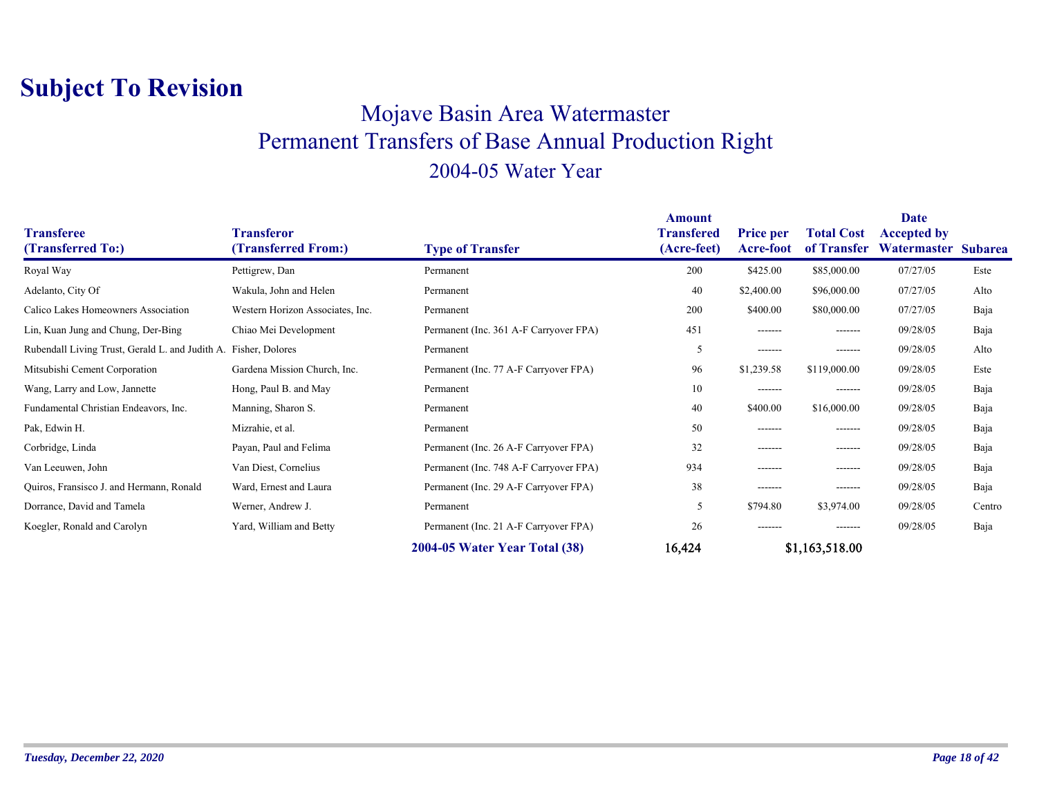### Mojave Basin Area Watermaster Permanent Transfers of Base Annual Production Right 2004-05 Water Year

| <b>Transferee</b><br>(Transferred To:)                          | <b>Transferor</b><br>(Transferred From:) | <b>Type of Transfer</b>                | <b>Amount</b><br>Transfered<br>(Acre-feet) | <b>Price per</b><br>Acre-foot | <b>Total Cost</b><br>of Transfer | <b>Date</b><br><b>Accepted by</b><br>Watermaster Subarea |        |
|-----------------------------------------------------------------|------------------------------------------|----------------------------------------|--------------------------------------------|-------------------------------|----------------------------------|----------------------------------------------------------|--------|
| Royal Way                                                       | Pettigrew, Dan                           | Permanent                              | 200                                        | \$425.00                      | \$85,000.00                      | 07/27/05                                                 | Este   |
| Adelanto, City Of                                               | Wakula, John and Helen                   | Permanent                              | 40                                         | \$2,400.00                    | \$96,000.00                      | 07/27/05                                                 | Alto   |
| Calico Lakes Homeowners Association                             | Western Horizon Associates, Inc.         | Permanent                              | 200                                        | \$400.00                      | \$80,000.00                      | 07/27/05                                                 | Baja   |
| Lin, Kuan Jung and Chung, Der-Bing                              | Chiao Mei Development                    | Permanent (Inc. 361 A-F Carryover FPA) | 451                                        | -------                       | -------                          | 09/28/05                                                 | Baja   |
| Rubendall Living Trust, Gerald L. and Judith A. Fisher, Dolores |                                          | Permanent                              | 5                                          | -------                       | -------                          | 09/28/05                                                 | Alto   |
| Mitsubishi Cement Corporation                                   | Gardena Mission Church, Inc.             | Permanent (Inc. 77 A-F Carryover FPA)  | 96                                         | \$1,239.58                    | \$119,000.00                     | 09/28/05                                                 | Este   |
| Wang, Larry and Low, Jannette                                   | Hong, Paul B. and May                    | Permanent                              | 10                                         | -------                       | --------                         | 09/28/05                                                 | Baja   |
| Fundamental Christian Endeavors, Inc.                           | Manning, Sharon S.                       | Permanent                              | 40                                         | \$400.00                      | \$16,000.00                      | 09/28/05                                                 | Baja   |
| Pak, Edwin H.                                                   | Mizrahie, et al.                         | Permanent                              | 50                                         | -------                       | -------                          | 09/28/05                                                 | Baja   |
| Corbridge, Linda                                                | Payan, Paul and Felima                   | Permanent (Inc. 26 A-F Carryover FPA)  | 32                                         | -------                       | --------                         | 09/28/05                                                 | Baja   |
| Van Leeuwen, John                                               | Van Diest, Cornelius                     | Permanent (Inc. 748 A-F Carryover FPA) | 934                                        | -------                       | -------                          | 09/28/05                                                 | Baja   |
| Quiros, Fransisco J. and Hermann, Ronald                        | Ward, Ernest and Laura                   | Permanent (Inc. 29 A-F Carryover FPA)  | 38                                         | -------                       | -------                          | 09/28/05                                                 | Baja   |
| Dorrance, David and Tamela                                      | Werner, Andrew J.                        | Permanent                              | 5                                          | \$794.80                      | \$3,974.00                       | 09/28/05                                                 | Centro |
| Koegler, Ronald and Carolyn                                     | Yard, William and Betty                  | Permanent (Inc. 21 A-F Carryover FPA)  | 26                                         | -------                       | --------                         | 09/28/05                                                 | Baja   |
|                                                                 |                                          | 2004-05 Water Year Total (38)          | 16,424                                     |                               | \$1,163,518.00                   |                                                          |        |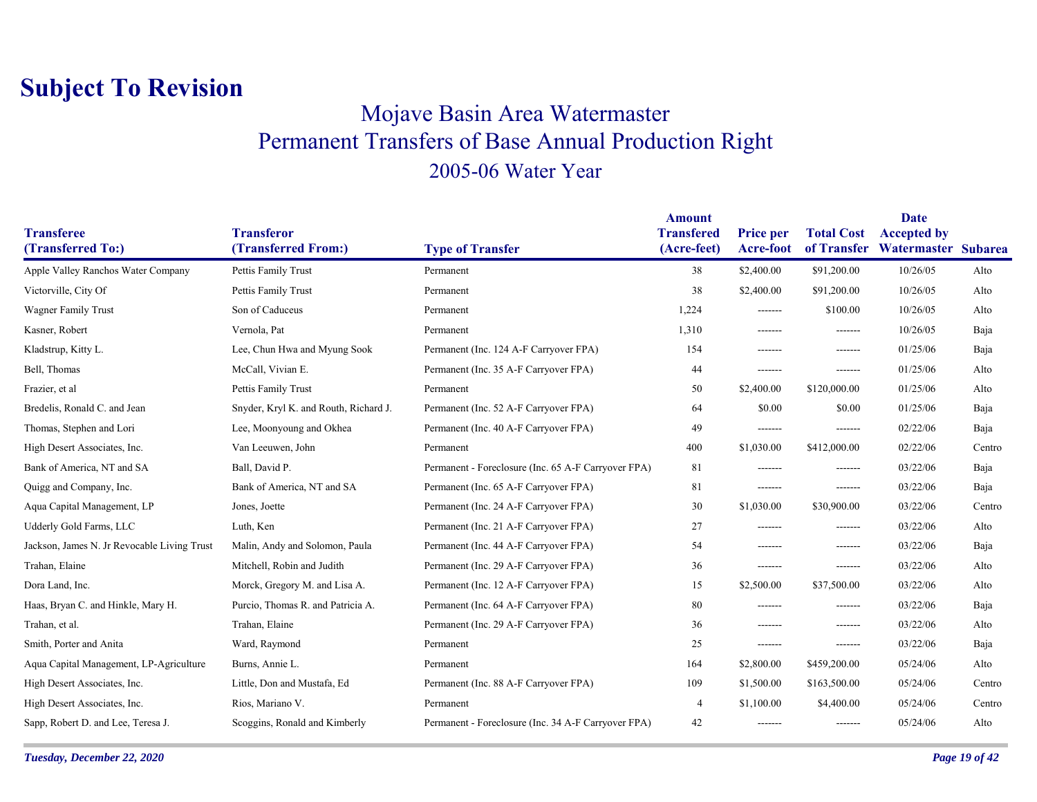### Mojave Basin Area Watermaster Permanent Transfers of Base Annual Production Right 2005-06 Water Year

|                                             |                                          |                                                     | <b>Amount</b>                    |                                      |                   | <b>Date</b>                                           |        |
|---------------------------------------------|------------------------------------------|-----------------------------------------------------|----------------------------------|--------------------------------------|-------------------|-------------------------------------------------------|--------|
| <b>Transferee</b><br>(Transferred To:)      | <b>Transferor</b><br>(Transferred From:) | <b>Type of Transfer</b>                             | <b>Transfered</b><br>(Acre-feet) | <b>Price per</b><br><b>Acre-foot</b> | <b>Total Cost</b> | <b>Accepted by</b><br>of Transfer Watermaster Subarea |        |
|                                             |                                          |                                                     |                                  |                                      |                   |                                                       |        |
| Apple Valley Ranchos Water Company          | Pettis Family Trust                      | Permanent                                           | 38                               | \$2,400.00                           | \$91,200.00       | 10/26/05                                              | Alto   |
| Victorville, City Of                        | Pettis Family Trust                      | Permanent                                           | 38                               | \$2,400.00                           | \$91,200.00       | 10/26/05                                              | Alto   |
| Wagner Family Trust                         | Son of Caduceus                          | Permanent                                           | 1,224                            | -------                              | \$100.00          | 10/26/05                                              | Alto   |
| Kasner, Robert                              | Vernola, Pat                             | Permanent                                           | 1,310                            | $- - - - - - -$                      | -------           | 10/26/05                                              | Baja   |
| Kladstrup, Kitty L.                         | Lee, Chun Hwa and Myung Sook             | Permanent (Inc. 124 A-F Carryover FPA)              | 154                              | -------                              | -------           | 01/25/06                                              | Baja   |
| Bell, Thomas                                | McCall, Vivian E.                        | Permanent (Inc. 35 A-F Carryover FPA)               | 44                               | -------                              | -------           | 01/25/06                                              | Alto   |
| Frazier, et al                              | Pettis Family Trust                      | Permanent                                           | 50                               | \$2,400.00                           | \$120,000.00      | 01/25/06                                              | Alto   |
| Bredelis, Ronald C. and Jean                | Snyder, Kryl K. and Routh, Richard J.    | Permanent (Inc. 52 A-F Carryover FPA)               | 64                               | \$0.00                               | \$0.00            | 01/25/06                                              | Baja   |
| Thomas, Stephen and Lori                    | Lee, Moonyoung and Okhea                 | Permanent (Inc. 40 A-F Carryover FPA)               | 49                               | -------                              | -------           | 02/22/06                                              | Baja   |
| High Desert Associates, Inc.                | Van Leeuwen, John                        | Permanent                                           | 400                              | \$1,030.00                           | \$412,000.00      | 02/22/06                                              | Centro |
| Bank of America, NT and SA                  | Ball, David P.                           | Permanent - Foreclosure (Inc. 65 A-F Carryover FPA) | 81                               | -------                              | -------           | 03/22/06                                              | Baja   |
| Quigg and Company, Inc.                     | Bank of America, NT and SA               | Permanent (Inc. 65 A-F Carryover FPA)               | 81                               | -------                              | -------           | 03/22/06                                              | Baja   |
| Aqua Capital Management, LP                 | Jones, Joette                            | Permanent (Inc. 24 A-F Carryover FPA)               | 30                               | \$1,030.00                           | \$30,900.00       | 03/22/06                                              | Centro |
| Udderly Gold Farms, LLC                     | Luth, Ken                                | Permanent (Inc. 21 A-F Carryover FPA)               | 27                               | -------                              | -------           | 03/22/06                                              | Alto   |
| Jackson, James N. Jr Revocable Living Trust | Malin, Andy and Solomon, Paula           | Permanent (Inc. 44 A-F Carryover FPA)               | 54                               | -------                              | -------           | 03/22/06                                              | Baja   |
| Trahan, Elaine                              | Mitchell, Robin and Judith               | Permanent (Inc. 29 A-F Carryover FPA)               | 36                               | -------                              | -------           | 03/22/06                                              | Alto   |
| Dora Land, Inc.                             | Morck, Gregory M. and Lisa A.            | Permanent (Inc. 12 A-F Carryover FPA)               | 15                               | \$2,500.00                           | \$37,500.00       | 03/22/06                                              | Alto   |
| Haas, Bryan C. and Hinkle, Mary H.          | Purcio, Thomas R. and Patricia A.        | Permanent (Inc. 64 A-F Carryover FPA)               | 80                               | -------                              | -------           | 03/22/06                                              | Baja   |
| Trahan, et al.                              | Trahan, Elaine                           | Permanent (Inc. 29 A-F Carryover FPA)               | 36                               | -------                              | -------           | 03/22/06                                              | Alto   |
| Smith, Porter and Anita                     | Ward, Raymond                            | Permanent                                           | 25                               | -------                              | -------           | 03/22/06                                              | Baja   |
| Aqua Capital Management, LP-Agriculture     | Burns, Annie L.                          | Permanent                                           | 164                              | \$2,800.00                           | \$459,200.00      | 05/24/06                                              | Alto   |
| High Desert Associates, Inc.                | Little, Don and Mustafa, Ed              | Permanent (Inc. 88 A-F Carryover FPA)               | 109                              | \$1,500.00                           | \$163,500.00      | 05/24/06                                              | Centro |
| High Desert Associates, Inc.                | Rios, Mariano V.                         | Permanent                                           | $\overline{4}$                   | \$1,100.00                           | \$4,400.00        | 05/24/06                                              | Centro |
| Sapp, Robert D. and Lee, Teresa J.          | Scoggins, Ronald and Kimberly            | Permanent - Foreclosure (Inc. 34 A-F Carryover FPA) | 42                               | -------                              | -------           | 05/24/06                                              | Alto   |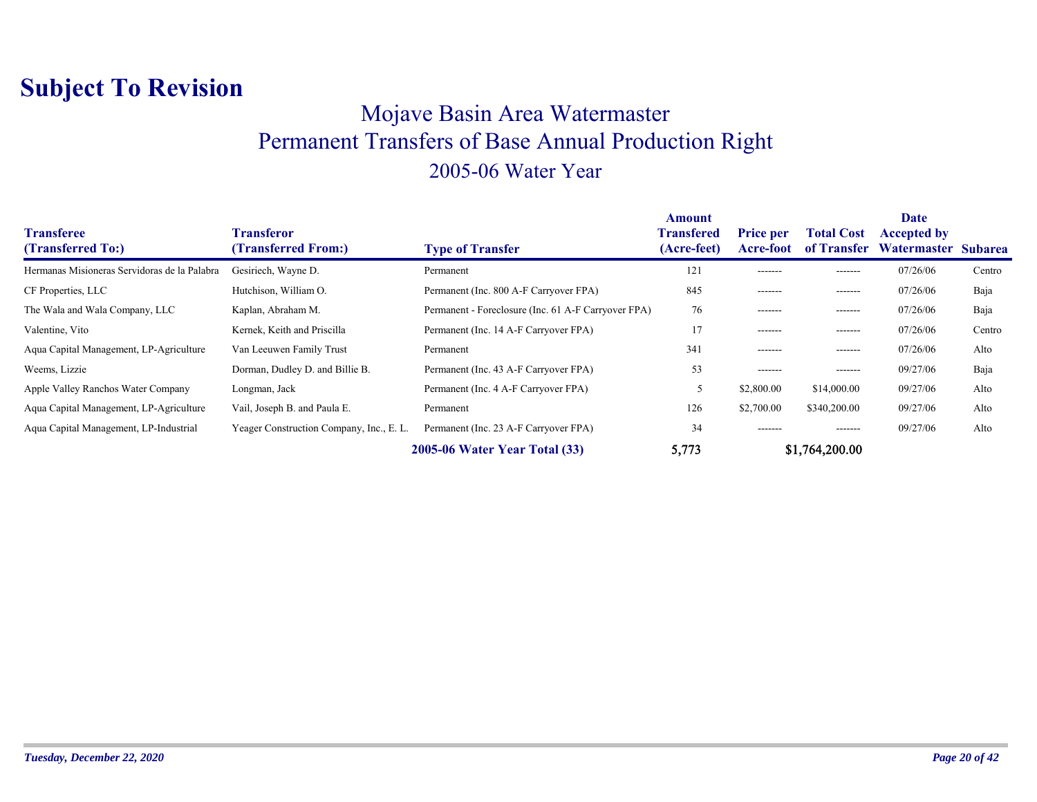### Mojave Basin Area Watermaster Permanent Transfers of Base Annual Production Right 2005-06 Water Year

| <b>Transferee</b><br>(Transferred To:)       | <b>Transferor</b><br>(Transferred From:) | <b>Type of Transfer</b>                             | Amount<br><b>Transfered</b><br>(Acre-feet) | <b>Price per</b><br><b>Acre-foot</b> | <b>Total Cost</b><br>of Transfer | <b>Date</b><br><b>Accepted by</b><br>Watermaster Subarea |        |
|----------------------------------------------|------------------------------------------|-----------------------------------------------------|--------------------------------------------|--------------------------------------|----------------------------------|----------------------------------------------------------|--------|
| Hermanas Misioneras Servidoras de la Palabra | Gesiriech, Wayne D.                      | Permanent                                           | 121                                        | -------                              | -------                          | 07/26/06                                                 | Centro |
| CF Properties, LLC                           | Hutchison, William O.                    | Permanent (Inc. 800 A-F Carryover FPA)              | 845                                        | -------                              | -------                          | 07/26/06                                                 | Baja   |
| The Wala and Wala Company, LLC               | Kaplan, Abraham M.                       | Permanent - Foreclosure (Inc. 61 A-F Carryover FPA) | 76                                         | -------                              | -------                          | 07/26/06                                                 | Baja   |
| Valentine, Vito                              | Kernek, Keith and Priscilla              | Permanent (Inc. 14 A-F Carryover FPA)               | 17                                         | -------                              | -------                          | 07/26/06                                                 | Centro |
| Aqua Capital Management, LP-Agriculture      | Van Leeuwen Family Trust                 | Permanent                                           | 341                                        | -------                              | -------                          | 07/26/06                                                 | Alto   |
| Weems, Lizzie                                | Dorman, Dudley D. and Billie B.          | Permanent (Inc. 43 A-F Carryover FPA)               | 53                                         | -------                              | -------                          | 09/27/06                                                 | Baja   |
| Apple Valley Ranchos Water Company           | Longman, Jack                            | Permanent (Inc. 4 A-F Carryover FPA)                |                                            | \$2,800.00                           | \$14,000.00                      | 09/27/06                                                 | Alto   |
| Aqua Capital Management, LP-Agriculture      | Vail, Joseph B. and Paula E.             | Permanent                                           | 126                                        | \$2,700.00                           | \$340,200.00                     | 09/27/06                                                 | Alto   |
| Aqua Capital Management, LP-Industrial       | Yeager Construction Company, Inc., E. L. | Permanent (Inc. 23 A-F Carryover FPA)               | 34                                         | -------                              | -------                          | 09/27/06                                                 | Alto   |
|                                              |                                          | <b>2005-06 Water Year Total (33)</b>                | 5,773                                      |                                      | \$1,764,200.00                   |                                                          |        |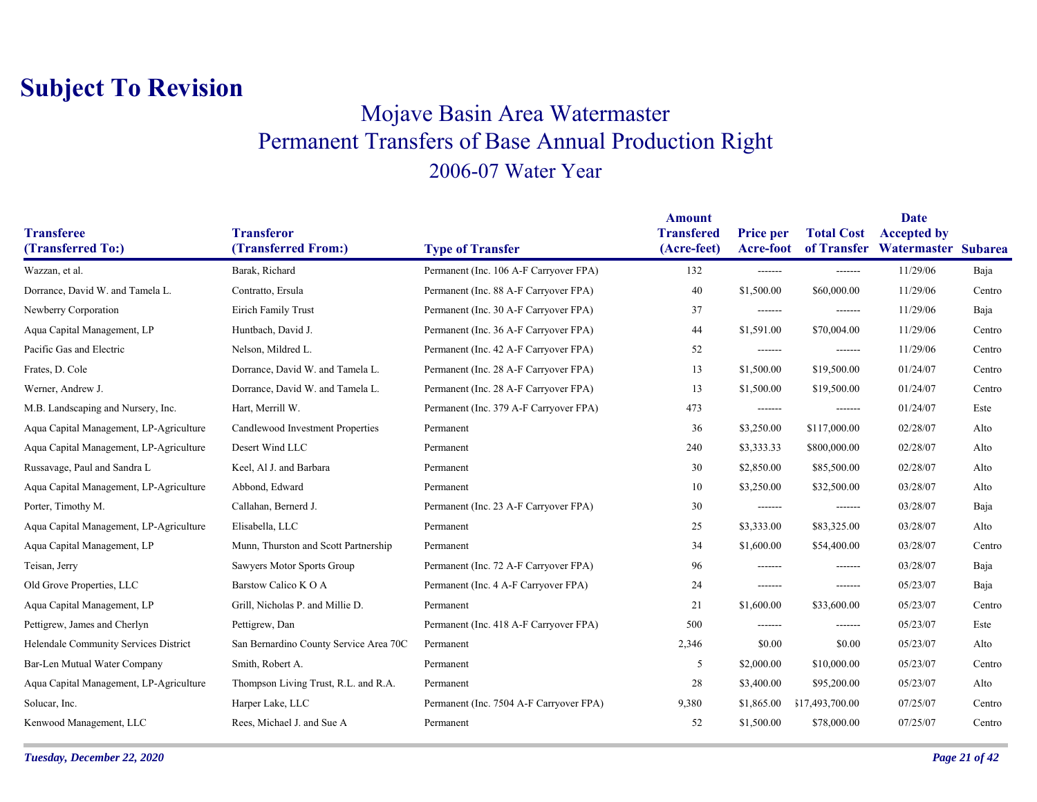### Mojave Basin Area Watermaster Permanent Transfers of Base Annual Production Right 2006-07 Water Year

| <b>Transferee</b><br>(Transferred To:)  | <b>Transferor</b><br>(Transferred From:) | <b>Type of Transfer</b>                 | <b>Amount</b><br><b>Transfered</b><br>(Acre-feet) | <b>Price per</b><br><b>Acre-foot</b> | <b>Total Cost</b><br>of Transfer | Date<br><b>Accepted by</b><br>Watermaster Subarea |        |
|-----------------------------------------|------------------------------------------|-----------------------------------------|---------------------------------------------------|--------------------------------------|----------------------------------|---------------------------------------------------|--------|
| Wazzan, et al.                          | Barak, Richard                           | Permanent (Inc. 106 A-F Carryover FPA)  | 132                                               | -------                              | -------                          | 11/29/06                                          | Baja   |
| Dorrance, David W. and Tamela L.        | Contratto, Ersula                        | Permanent (Inc. 88 A-F Carryover FPA)   | 40                                                | \$1,500.00                           | \$60,000.00                      | 11/29/06                                          | Centro |
| Newberry Corporation                    | Eirich Family Trust                      | Permanent (Inc. 30 A-F Carryover FPA)   | 37                                                | -------                              | -------                          | 11/29/06                                          | Baja   |
| Aqua Capital Management, LP             | Huntbach, David J.                       | Permanent (Inc. 36 A-F Carryover FPA)   | 44                                                | \$1,591.00                           | \$70,004.00                      | 11/29/06                                          | Centro |
| Pacific Gas and Electric                | Nelson, Mildred L.                       | Permanent (Inc. 42 A-F Carryover FPA)   | 52                                                | -------                              | -------                          | 11/29/06                                          | Centro |
| Frates, D. Cole                         | Dorrance, David W. and Tamela L.         | Permanent (Inc. 28 A-F Carryover FPA)   | 13                                                | \$1,500.00                           | \$19,500.00                      | 01/24/07                                          | Centro |
| Werner, Andrew J.                       | Dorrance, David W. and Tamela L.         | Permanent (Inc. 28 A-F Carryover FPA)   | 13                                                | \$1,500.00                           | \$19,500.00                      | 01/24/07                                          | Centro |
| M.B. Landscaping and Nursery, Inc.      | Hart, Merrill W.                         | Permanent (Inc. 379 A-F Carryover FPA)  | 473                                               | -------                              | -------                          | 01/24/07                                          | Este   |
| Aqua Capital Management, LP-Agriculture | Candlewood Investment Properties         | Permanent                               | 36                                                | \$3,250.00                           | \$117,000.00                     | 02/28/07                                          | Alto   |
| Aqua Capital Management, LP-Agriculture | Desert Wind LLC                          | Permanent                               | 240                                               | \$3,333.33                           | \$800,000.00                     | 02/28/07                                          | Alto   |
| Russavage, Paul and Sandra L            | Keel, Al J. and Barbara                  | Permanent                               | 30                                                | \$2,850.00                           | \$85,500.00                      | 02/28/07                                          | Alto   |
| Aqua Capital Management, LP-Agriculture | Abbond, Edward                           | Permanent                               | 10                                                | \$3,250.00                           | \$32,500.00                      | 03/28/07                                          | Alto   |
| Porter, Timothy M.                      | Callahan, Bernerd J.                     | Permanent (Inc. 23 A-F Carryover FPA)   | 30                                                | -------                              | -------                          | 03/28/07                                          | Baja   |
| Aqua Capital Management, LP-Agriculture | Elisabella, LLC                          | Permanent                               | 25                                                | \$3,333.00                           | \$83,325.00                      | 03/28/07                                          | Alto   |
| Aqua Capital Management, LP             | Munn, Thurston and Scott Partnership     | Permanent                               | 34                                                | \$1,600.00                           | \$54,400.00                      | 03/28/07                                          | Centro |
| Teisan, Jerry                           | Sawyers Motor Sports Group               | Permanent (Inc. 72 A-F Carryover FPA)   | 96                                                | -------                              | -------                          | 03/28/07                                          | Baja   |
| Old Grove Properties, LLC               | Barstow Calico K O A                     | Permanent (Inc. 4 A-F Carryover FPA)    | 24                                                | -------                              | -------                          | 05/23/07                                          | Baja   |
| Aqua Capital Management, LP             | Grill, Nicholas P. and Millie D.         | Permanent                               | 21                                                | \$1,600.00                           | \$33,600.00                      | 05/23/07                                          | Centro |
| Pettigrew, James and Cherlyn            | Pettigrew, Dan                           | Permanent (Inc. 418 A-F Carryover FPA)  | 500                                               | -------                              | $- - - - - - -$                  | 05/23/07                                          | Este   |
| Helendale Community Services District   | San Bernardino County Service Area 70C   | Permanent                               | 2,346                                             | \$0.00                               | \$0.00                           | 05/23/07                                          | Alto   |
| Bar-Len Mutual Water Company            | Smith, Robert A.                         | Permanent                               | 5                                                 | \$2,000.00                           | \$10,000.00                      | 05/23/07                                          | Centro |
| Aqua Capital Management, LP-Agriculture | Thompson Living Trust, R.L. and R.A.     | Permanent                               | 28                                                | \$3,400.00                           | \$95,200.00                      | 05/23/07                                          | Alto   |
| Solucar, Inc.                           | Harper Lake, LLC                         | Permanent (Inc. 7504 A-F Carryover FPA) | 9,380                                             | \$1,865.00                           | \$17,493,700.00                  | 07/25/07                                          | Centro |
| Kenwood Management, LLC                 | Rees, Michael J. and Sue A               | Permanent                               | 52                                                | \$1,500.00                           | \$78,000.00                      | 07/25/07                                          | Centro |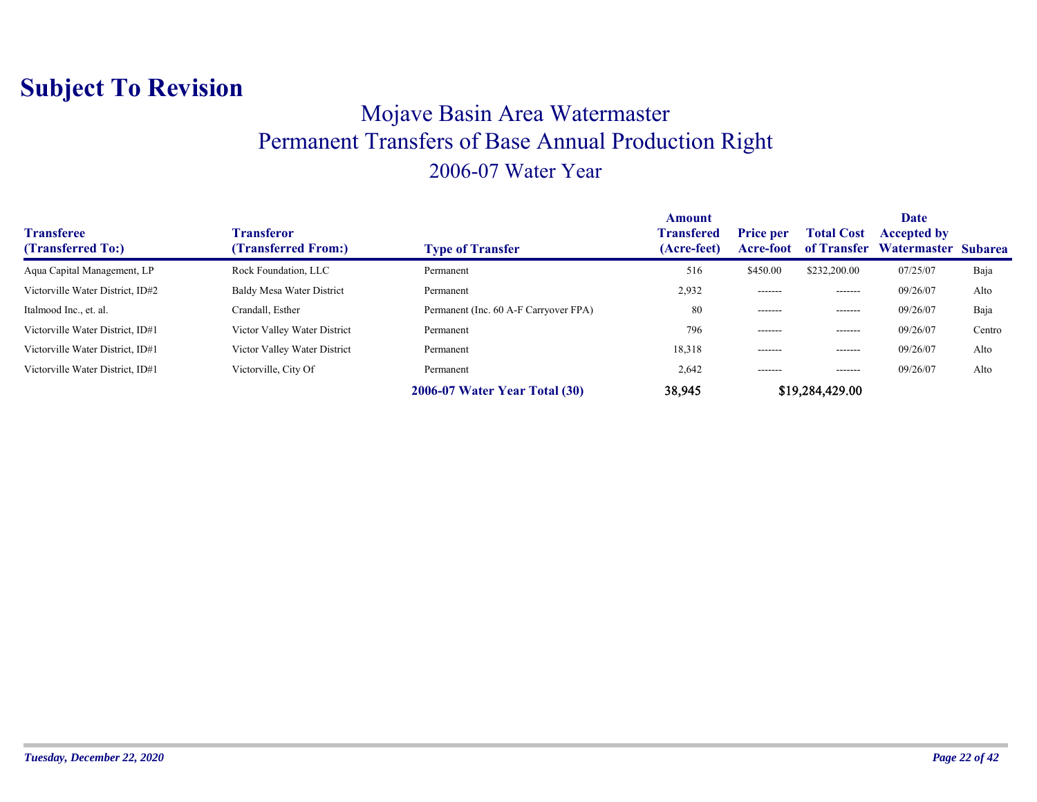### Mojave Basin Area Watermaster Permanent Transfers of Base Annual Production Right 2006-07 Water Year

| <b>Transferee</b><br>(Transferred To:) | Transferor<br>(Transferred From:) | <b>Type of Transfer</b>               | Amount<br><b>Transfered</b><br>(Acre-feet) | <b>Price per</b><br>Acre-foot | <b>Total Cost</b><br>of Transfer | Date<br><b>Accepted by</b><br>Watermaster Subarea |        |
|----------------------------------------|-----------------------------------|---------------------------------------|--------------------------------------------|-------------------------------|----------------------------------|---------------------------------------------------|--------|
| Aqua Capital Management, LP            | Rock Foundation, LLC              | Permanent                             | 516                                        | \$450.00                      | \$232,200.00                     | 07/25/07                                          | Baja   |
| Victorville Water District, ID#2       | Baldy Mesa Water District         | Permanent                             | 2,932                                      | -------                       | -------                          | 09/26/07                                          | Alto   |
| Italmood Inc., et. al.                 | Crandall, Esther                  | Permanent (Inc. 60 A-F Carryover FPA) | 80                                         | -------                       | -------                          | 09/26/07                                          | Baja   |
| Victorville Water District, ID#1       | Victor Valley Water District      | Permanent                             | 796                                        | -------                       | --------                         | 09/26/07                                          | Centro |
| Victorville Water District, ID#1       | Victor Valley Water District      | Permanent                             | 18,318                                     | -------                       | -------                          | 09/26/07                                          | Alto   |
| Victorville Water District, ID#1       | Victorville, City Of              | Permanent                             | 2,642                                      | -------                       | -------                          | 09/26/07                                          | Alto   |
|                                        |                                   | <b>2006-07 Water Year Total (30)</b>  | 38,945                                     |                               | \$19,284,429.00                  |                                                   |        |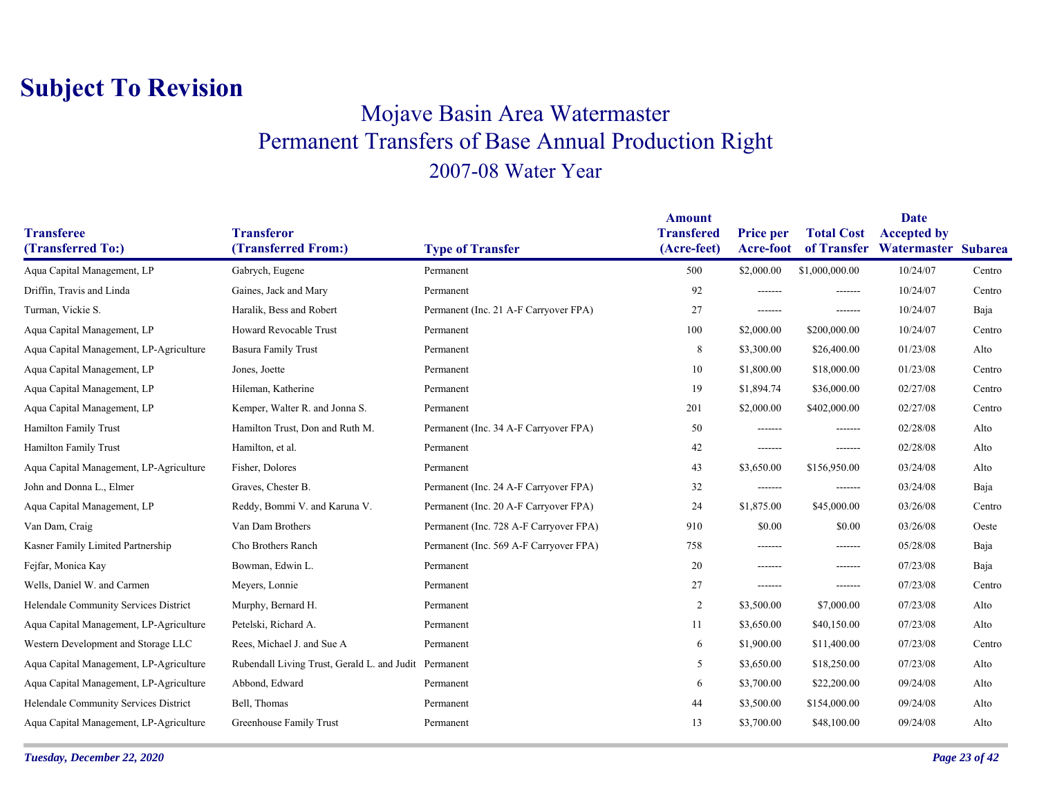### Mojave Basin Area Watermaster Permanent Transfers of Base Annual Production Right 2007-08 Water Year

|                                         |                                                       |                                        | <b>Amount</b>                    |                                      |                   | <b>Date</b>                                           |        |
|-----------------------------------------|-------------------------------------------------------|----------------------------------------|----------------------------------|--------------------------------------|-------------------|-------------------------------------------------------|--------|
| <b>Transferee</b><br>(Transferred To:)  | <b>Transferor</b><br>(Transferred From:)              | <b>Type of Transfer</b>                | <b>Transfered</b><br>(Acre-feet) | <b>Price per</b><br><b>Acre-foot</b> | <b>Total Cost</b> | <b>Accepted by</b><br>of Transfer Watermaster Subarea |        |
| Aqua Capital Management, LP             | Gabrych, Eugene                                       | Permanent                              | 500                              | \$2,000.00                           | \$1,000,000.00    | 10/24/07                                              | Centro |
| Driffin, Travis and Linda               | Gaines, Jack and Mary                                 | Permanent                              | 92                               | -------                              | -------           | 10/24/07                                              | Centro |
| Turman, Vickie S.                       | Haralik, Bess and Robert                              | Permanent (Inc. 21 A-F Carryover FPA)  | 27                               | -------                              | -------           | 10/24/07                                              | Baja   |
| Aqua Capital Management, LP             | Howard Revocable Trust                                | Permanent                              | 100                              | \$2,000.00                           | \$200,000.00      | 10/24/07                                              | Centro |
| Aqua Capital Management, LP-Agriculture | <b>Basura Family Trust</b>                            | Permanent                              | 8                                | \$3,300.00                           | \$26,400.00       | 01/23/08                                              | Alto   |
| Aqua Capital Management, LP             | Jones, Joette                                         | Permanent                              | 10                               | \$1,800.00                           | \$18,000.00       | 01/23/08                                              | Centro |
| Aqua Capital Management, LP             | Hileman, Katherine                                    | Permanent                              | 19                               | \$1,894.74                           | \$36,000.00       | 02/27/08                                              | Centro |
| Aqua Capital Management, LP             | Kemper, Walter R. and Jonna S.                        | Permanent                              | 201                              | \$2,000.00                           | \$402,000.00      | 02/27/08                                              | Centro |
| <b>Hamilton Family Trust</b>            | Hamilton Trust, Don and Ruth M.                       | Permanent (Inc. 34 A-F Carryover FPA)  | 50                               | -------                              | -------           | 02/28/08                                              | Alto   |
| <b>Hamilton Family Trust</b>            | Hamilton, et al.                                      | Permanent                              | 42                               | -------                              | -------           | 02/28/08                                              | Alto   |
| Aqua Capital Management, LP-Agriculture | Fisher, Dolores                                       | Permanent                              | 43                               | \$3,650.00                           | \$156,950.00      | 03/24/08                                              | Alto   |
| John and Donna L., Elmer                | Graves, Chester B.                                    | Permanent (Inc. 24 A-F Carryover FPA)  | 32                               | -------                              | -------           | 03/24/08                                              | Baja   |
| Aqua Capital Management, LP             | Reddy, Bommi V. and Karuna V.                         | Permanent (Inc. 20 A-F Carryover FPA)  | 24                               | \$1,875.00                           | \$45,000.00       | 03/26/08                                              | Centro |
| Van Dam, Craig                          | Van Dam Brothers                                      | Permanent (Inc. 728 A-F Carryover FPA) | 910                              | \$0.00                               | \$0.00            | 03/26/08                                              | Oeste  |
| Kasner Family Limited Partnership       | Cho Brothers Ranch                                    | Permanent (Inc. 569 A-F Carryover FPA) | 758                              | -------                              | -------           | 05/28/08                                              | Baja   |
| Fejfar, Monica Kay                      | Bowman, Edwin L.                                      | Permanent                              | 20                               | -------                              | -------           | 07/23/08                                              | Baja   |
| Wells, Daniel W. and Carmen             | Meyers, Lonnie                                        | Permanent                              | 27                               | -------                              | -------           | 07/23/08                                              | Centro |
| Helendale Community Services District   | Murphy, Bernard H.                                    | Permanent                              | $\overline{2}$                   | \$3,500.00                           | \$7,000.00        | 07/23/08                                              | Alto   |
| Aqua Capital Management, LP-Agriculture | Petelski, Richard A.                                  | Permanent                              | 11                               | \$3,650.00                           | \$40,150.00       | 07/23/08                                              | Alto   |
| Western Development and Storage LLC     | Rees, Michael J. and Sue A                            | Permanent                              | 6                                | \$1,900.00                           | \$11,400.00       | 07/23/08                                              | Centro |
| Aqua Capital Management, LP-Agriculture | Rubendall Living Trust, Gerald L. and Judit Permanent |                                        | 5                                | \$3,650.00                           | \$18,250.00       | 07/23/08                                              | Alto   |
| Aqua Capital Management, LP-Agriculture | Abbond, Edward                                        | Permanent                              | 6                                | \$3,700.00                           | \$22,200.00       | 09/24/08                                              | Alto   |
| Helendale Community Services District   | Bell, Thomas                                          | Permanent                              | 44                               | \$3,500.00                           | \$154,000.00      | 09/24/08                                              | Alto   |
| Aqua Capital Management, LP-Agriculture | Greenhouse Family Trust                               | Permanent                              | 13                               | \$3,700.00                           | \$48,100.00       | 09/24/08                                              | Alto   |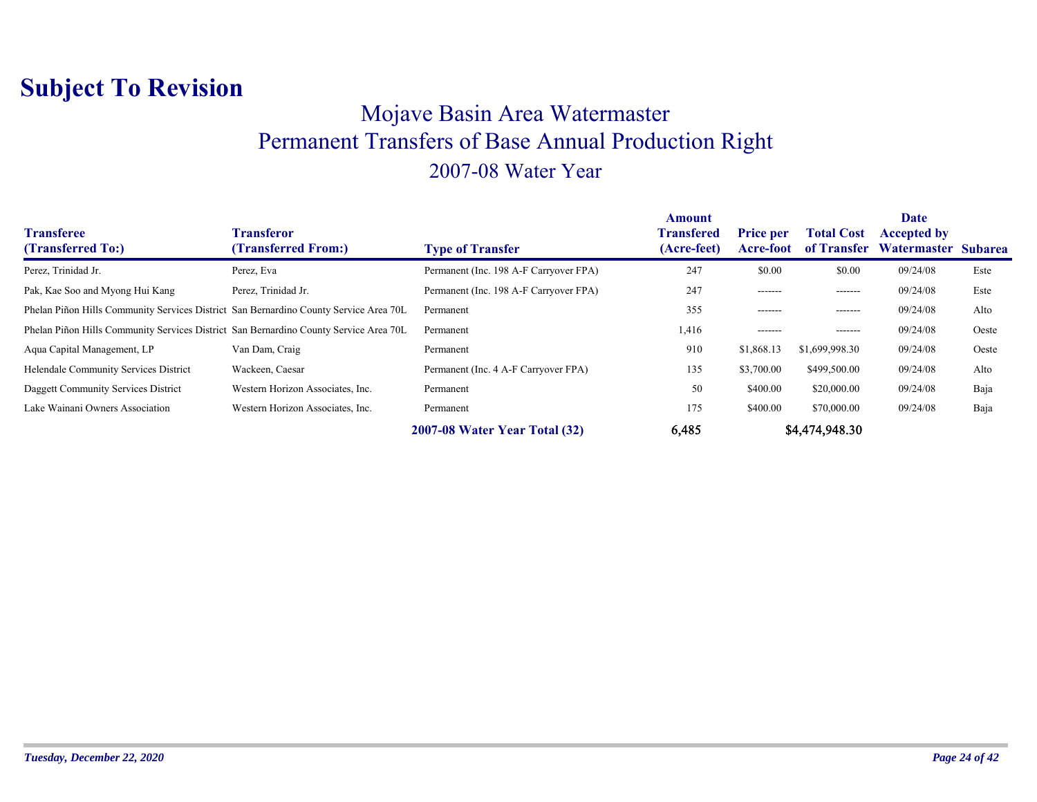### Mojave Basin Area Watermaster Permanent Transfers of Base Annual Production Right 2007-08 Water Year

| <b>Transferee</b><br>(Transferred To:)                                                | <b>Transferor</b><br>(Transferred From:) | <b>Type of Transfer</b>                | <b>Amount</b><br><b>Transfered</b><br>(Acre-feet) | <b>Price per</b><br>Acre-foot | <b>Total Cost</b><br>of Transfer | Date<br><b>Accepted by</b><br>Watermaster Subarea |       |
|---------------------------------------------------------------------------------------|------------------------------------------|----------------------------------------|---------------------------------------------------|-------------------------------|----------------------------------|---------------------------------------------------|-------|
| Perez, Trinidad Jr.                                                                   | Perez, Eva                               | Permanent (Inc. 198 A-F Carryover FPA) | 247                                               | \$0.00                        | \$0.00                           | 09/24/08                                          | Este  |
| Pak, Kae Soo and Myong Hui Kang                                                       | Perez, Trinidad Jr.                      | Permanent (Inc. 198 A-F Carryover FPA) | 247                                               | -------                       | -------                          | 09/24/08                                          | Este  |
| Phelan Piñon Hills Community Services District San Bernardino County Service Area 70L |                                          | Permanent                              | 355                                               | -------                       | -------                          | 09/24/08                                          | Alto  |
| Phelan Piñon Hills Community Services District San Bernardino County Service Area 70L |                                          | Permanent                              | 1,416                                             | -------                       | -------                          | 09/24/08                                          | Oeste |
| Aqua Capital Management, LP                                                           | Van Dam, Craig                           | Permanent                              | 910                                               | \$1,868.13                    | \$1,699,998.30                   | 09/24/08                                          | Oeste |
| Helendale Community Services District                                                 | Wackeen, Caesar                          | Permanent (Inc. 4 A-F Carryover FPA)   | 135                                               | \$3,700.00                    | \$499,500.00                     | 09/24/08                                          | Alto  |
| Daggett Community Services District                                                   | Western Horizon Associates, Inc.         | Permanent                              | 50                                                | \$400.00                      | \$20,000.00                      | 09/24/08                                          | Baja  |
| Lake Wainani Owners Association                                                       | Western Horizon Associates, Inc.         | Permanent                              | 175                                               | \$400.00                      | \$70,000.00                      | 09/24/08                                          | Baja  |
|                                                                                       |                                          | 2007-08 Water Year Total (32)          | 6,485                                             |                               | \$4,474,948.30                   |                                                   |       |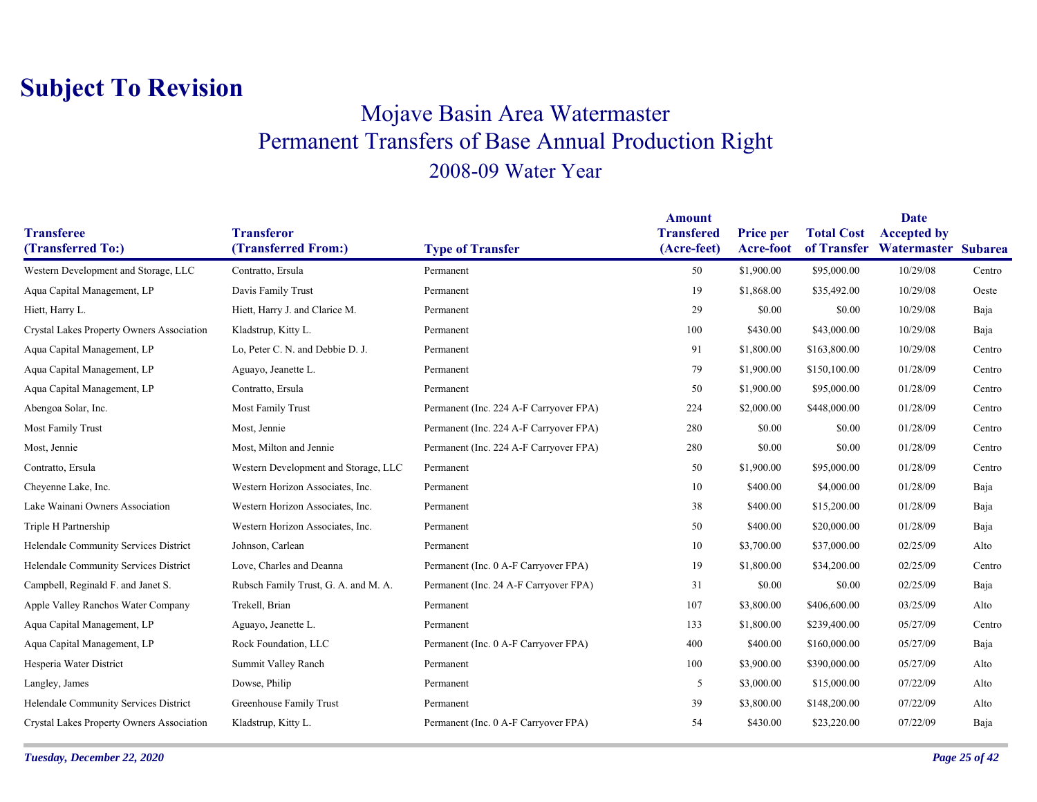### Mojave Basin Area Watermaster Permanent Transfers of Base Annual Production Right 2008-09 Water Year

|                                           |                                          |                                        | <b>Amount</b>                    |                               |                   | <b>Date</b>                                           |        |
|-------------------------------------------|------------------------------------------|----------------------------------------|----------------------------------|-------------------------------|-------------------|-------------------------------------------------------|--------|
| <b>Transferee</b><br>(Transferred To:)    | <b>Transferor</b><br>(Transferred From:) | <b>Type of Transfer</b>                | <b>Transfered</b><br>(Acre-feet) | <b>Price per</b><br>Acre-foot | <b>Total Cost</b> | <b>Accepted by</b><br>of Transfer Watermaster Subarea |        |
|                                           |                                          |                                        |                                  |                               |                   |                                                       |        |
| Western Development and Storage, LLC      | Contratto, Ersula                        | Permanent                              | 50                               | \$1,900.00                    | \$95,000.00       | 10/29/08                                              | Centro |
| Aqua Capital Management, LP               | Davis Family Trust                       | Permanent                              | 19                               | \$1,868.00                    | \$35,492.00       | 10/29/08                                              | Oeste  |
| Hiett, Harry L.                           | Hiett, Harry J. and Clarice M.           | Permanent                              | 29                               | \$0.00                        | \$0.00            | 10/29/08                                              | Baja   |
| Crystal Lakes Property Owners Association | Kladstrup, Kitty L.                      | Permanent                              | 100                              | \$430.00                      | \$43,000.00       | 10/29/08                                              | Baja   |
| Aqua Capital Management, LP               | Lo, Peter C. N. and Debbie D. J.         | Permanent                              | 91                               | \$1,800.00                    | \$163,800.00      | 10/29/08                                              | Centro |
| Aqua Capital Management, LP               | Aguayo, Jeanette L.                      | Permanent                              | 79                               | \$1,900.00                    | \$150,100.00      | 01/28/09                                              | Centro |
| Aqua Capital Management, LP               | Contratto, Ersula                        | Permanent                              | 50                               | \$1,900.00                    | \$95,000.00       | 01/28/09                                              | Centro |
| Abengoa Solar, Inc.                       | Most Family Trust                        | Permanent (Inc. 224 A-F Carryover FPA) | 224                              | \$2,000.00                    | \$448,000.00      | 01/28/09                                              | Centro |
| Most Family Trust                         | Most, Jennie                             | Permanent (Inc. 224 A-F Carryover FPA) | 280                              | \$0.00                        | \$0.00            | 01/28/09                                              | Centro |
| Most, Jennie                              | Most, Milton and Jennie                  | Permanent (Inc. 224 A-F Carryover FPA) | 280                              | \$0.00                        | \$0.00            | 01/28/09                                              | Centro |
| Contratto, Ersula                         | Western Development and Storage, LLC     | Permanent                              | 50                               | \$1,900.00                    | \$95,000.00       | 01/28/09                                              | Centro |
| Cheyenne Lake, Inc.                       | Western Horizon Associates, Inc.         | Permanent                              | 10                               | \$400.00                      | \$4,000.00        | 01/28/09                                              | Baja   |
| Lake Wainani Owners Association           | Western Horizon Associates, Inc.         | Permanent                              | 38                               | \$400.00                      | \$15,200.00       | 01/28/09                                              | Baja   |
| Triple H Partnership                      | Western Horizon Associates, Inc.         | Permanent                              | 50                               | \$400.00                      | \$20,000.00       | 01/28/09                                              | Baja   |
| Helendale Community Services District     | Johnson, Carlean                         | Permanent                              | 10                               | \$3,700.00                    | \$37,000.00       | 02/25/09                                              | Alto   |
| Helendale Community Services District     | Love, Charles and Deanna                 | Permanent (Inc. 0 A-F Carryover FPA)   | 19                               | \$1,800.00                    | \$34,200.00       | 02/25/09                                              | Centro |
| Campbell, Reginald F. and Janet S.        | Rubsch Family Trust, G. A. and M. A.     | Permanent (Inc. 24 A-F Carryover FPA)  | 31                               | \$0.00                        | \$0.00            | 02/25/09                                              | Baja   |
| Apple Valley Ranchos Water Company        | Trekell, Brian                           | Permanent                              | 107                              | \$3,800.00                    | \$406,600.00      | 03/25/09                                              | Alto   |
| Aqua Capital Management, LP               | Aguayo, Jeanette L.                      | Permanent                              | 133                              | \$1,800.00                    | \$239,400.00      | 05/27/09                                              | Centro |
| Aqua Capital Management, LP               | Rock Foundation, LLC                     | Permanent (Inc. 0 A-F Carryover FPA)   | 400                              | \$400.00                      | \$160,000.00      | 05/27/09                                              | Baja   |
| Hesperia Water District                   | Summit Valley Ranch                      | Permanent                              | 100                              | \$3,900.00                    | \$390,000.00      | 05/27/09                                              | Alto   |
| Langley, James                            | Dowse, Philip                            | Permanent                              | 5                                | \$3,000.00                    | \$15,000.00       | 07/22/09                                              | Alto   |
| Helendale Community Services District     | Greenhouse Family Trust                  | Permanent                              | 39                               | \$3,800.00                    | \$148,200.00      | 07/22/09                                              | Alto   |
| Crystal Lakes Property Owners Association | Kladstrup, Kitty L.                      | Permanent (Inc. 0 A-F Carryover FPA)   | 54                               | \$430.00                      | \$23,220.00       | 07/22/09                                              | Baja   |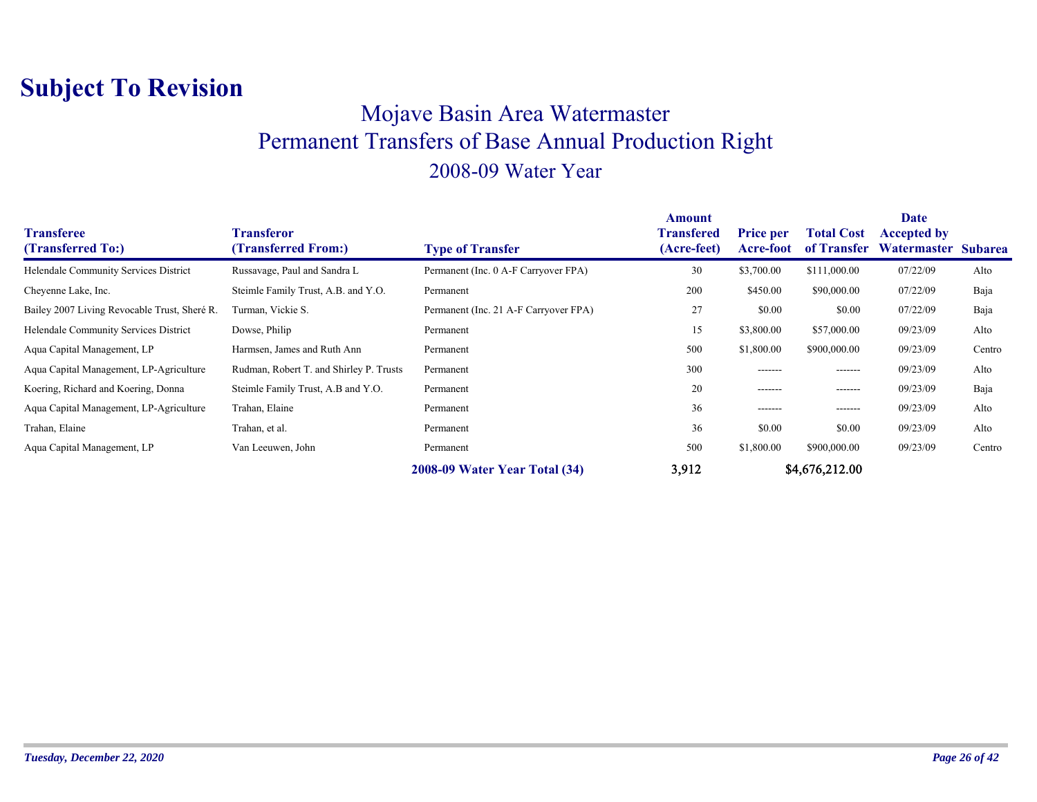### Mojave Basin Area Watermaster Permanent Transfers of Base Annual Production Right 2008-09 Water Year

| <b>Transferee</b><br>(Transferred To:)       | Transferor<br>(Transferred From:)       | <b>Type of Transfer</b>               | Amount<br><b>Transfered</b><br>(Acre-feet) | <b>Price per</b><br>Acre-foot | <b>Total Cost</b><br>of Transfer | <b>Date</b><br><b>Accepted by</b><br>Watermaster Subarea |        |
|----------------------------------------------|-----------------------------------------|---------------------------------------|--------------------------------------------|-------------------------------|----------------------------------|----------------------------------------------------------|--------|
| Helendale Community Services District        | Russavage, Paul and Sandra L            | Permanent (Inc. 0 A-F Carryover FPA)  | 30                                         | \$3,700.00                    | \$111,000.00                     | 07/22/09                                                 | Alto   |
| Cheyenne Lake, Inc.                          | Steimle Family Trust, A.B. and Y.O.     | Permanent                             | 200                                        | \$450.00                      | \$90,000.00                      | 07/22/09                                                 | Baja   |
| Bailey 2007 Living Revocable Trust, Sheré R. | Turman, Vickie S.                       | Permanent (Inc. 21 A-F Carryover FPA) | 27                                         | \$0.00                        | \$0.00                           | 07/22/09                                                 | Baja   |
| Helendale Community Services District        | Dowse, Philip                           | Permanent                             | 15                                         | \$3,800.00                    | \$57,000.00                      | 09/23/09                                                 | Alto   |
| Aqua Capital Management, LP                  | Harmsen, James and Ruth Ann             | Permanent                             | 500                                        | \$1,800.00                    | \$900,000.00                     | 09/23/09                                                 | Centro |
| Aqua Capital Management, LP-Agriculture      | Rudman, Robert T. and Shirley P. Trusts | Permanent                             | 300                                        | -------                       | -------                          | 09/23/09                                                 | Alto   |
| Koering, Richard and Koering, Donna          | Steimle Family Trust, A.B and Y.O.      | Permanent                             | 20                                         | -------                       | -------                          | 09/23/09                                                 | Baja   |
| Aqua Capital Management, LP-Agriculture      | Trahan, Elaine                          | Permanent                             | 36                                         | -------                       | -------                          | 09/23/09                                                 | Alto   |
| Trahan, Elaine                               | Trahan, et al.                          | Permanent                             | 36                                         | \$0.00                        | \$0.00                           | 09/23/09                                                 | Alto   |
| Aqua Capital Management, LP                  | Van Leeuwen, John                       | Permanent                             | 500                                        | \$1,800.00                    | \$900,000.00                     | 09/23/09                                                 | Centro |
|                                              |                                         | 2008-09 Water Year Total (34)         | 3,912                                      |                               | \$4,676,212.00                   |                                                          |        |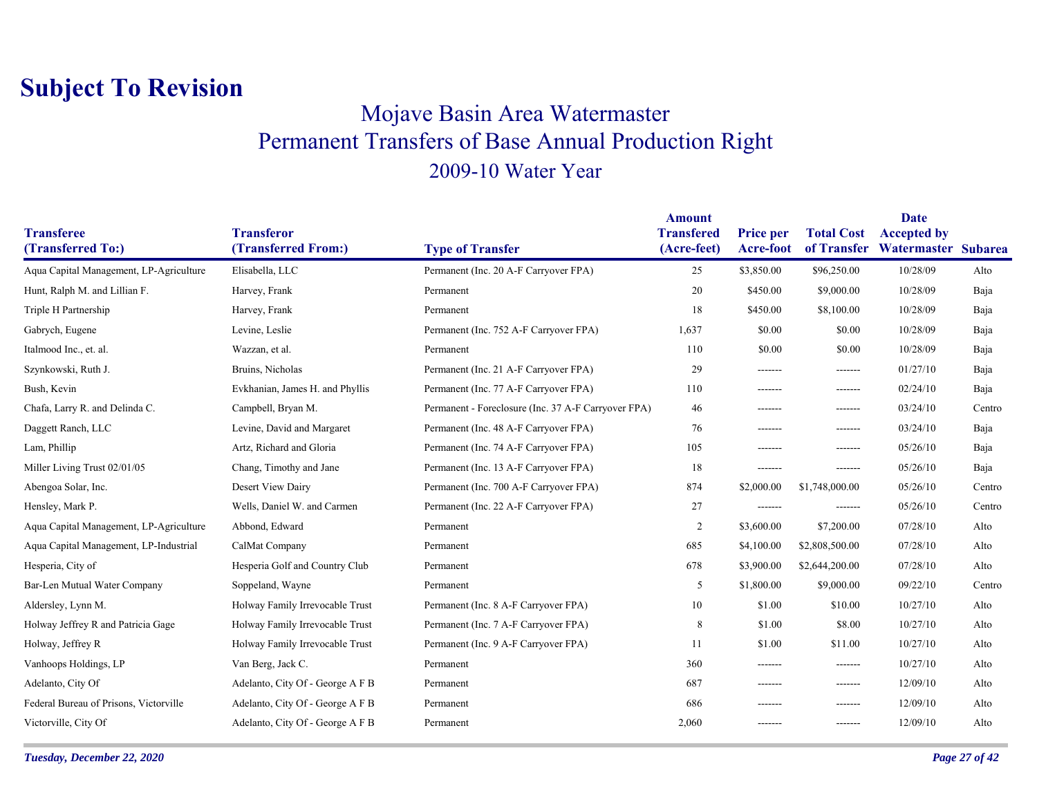### Mojave Basin Area Watermaster Permanent Transfers of Base Annual Production Right 2009-10 Water Year

| <b>Transferee</b>                       | <b>Transferor</b>                |                                                     | <b>Amount</b><br><b>Transfered</b> | <b>Price per</b> | <b>Total Cost</b> | <b>Date</b><br><b>Accepted by</b> |        |
|-----------------------------------------|----------------------------------|-----------------------------------------------------|------------------------------------|------------------|-------------------|-----------------------------------|--------|
| (Transferred To:)                       | (Transferred From:)              | <b>Type of Transfer</b>                             | (Acre-feet)                        | Acre-foot        |                   | of Transfer Watermaster Subarea   |        |
| Aqua Capital Management, LP-Agriculture | Elisabella, LLC                  | Permanent (Inc. 20 A-F Carryover FPA)               | 25                                 | \$3,850.00       | \$96,250.00       | 10/28/09                          | Alto   |
| Hunt, Ralph M. and Lillian F.           | Harvey, Frank                    | Permanent                                           | 20                                 | \$450.00         | \$9,000.00        | 10/28/09                          | Baja   |
| Triple H Partnership                    | Harvey, Frank                    | Permanent                                           | 18                                 | \$450.00         | \$8,100.00        | 10/28/09                          | Baja   |
| Gabrych, Eugene                         | Levine, Leslie                   | Permanent (Inc. 752 A-F Carryover FPA)              | 1,637                              | \$0.00           | \$0.00            | 10/28/09                          | Baja   |
| Italmood Inc., et. al.                  | Wazzan, et al.                   | Permanent                                           | 110                                | \$0.00           | \$0.00            | 10/28/09                          | Baja   |
| Szynkowski, Ruth J.                     | Bruins, Nicholas                 | Permanent (Inc. 21 A-F Carryover FPA)               | 29                                 | -------          | -------           | 01/27/10                          | Baja   |
| Bush, Kevin                             | Evkhanian, James H. and Phyllis  | Permanent (Inc. 77 A-F Carryover FPA)               | 110                                | -------          | -------           | 02/24/10                          | Baja   |
| Chafa, Larry R. and Delinda C.          | Campbell, Bryan M.               | Permanent - Foreclosure (Inc. 37 A-F Carryover FPA) | 46                                 | -------          | $- - - - - - -$   | 03/24/10                          | Centro |
| Daggett Ranch, LLC                      | Levine, David and Margaret       | Permanent (Inc. 48 A-F Carryover FPA)               | 76                                 | -------          | --------          | 03/24/10                          | Baja   |
| Lam, Phillip                            | Artz, Richard and Gloria         | Permanent (Inc. 74 A-F Carryover FPA)               | 105                                | -------          | -------           | 05/26/10                          | Baja   |
| Miller Living Trust 02/01/05            | Chang, Timothy and Jane          | Permanent (Inc. 13 A-F Carryover FPA)               | 18                                 | -------          | -------           | 05/26/10                          | Baja   |
| Abengoa Solar, Inc.                     | Desert View Dairy                | Permanent (Inc. 700 A-F Carryover FPA)              | 874                                | \$2,000.00       | \$1,748,000.00    | 05/26/10                          | Centro |
| Hensley, Mark P.                        | Wells, Daniel W. and Carmen      | Permanent (Inc. 22 A-F Carryover FPA)               | 27                                 | -------          | -------           | 05/26/10                          | Centro |
| Aqua Capital Management, LP-Agriculture | Abbond, Edward                   | Permanent                                           | 2                                  | \$3,600.00       | \$7,200.00        | 07/28/10                          | Alto   |
| Aqua Capital Management, LP-Industrial  | CalMat Company                   | Permanent                                           | 685                                | \$4,100.00       | \$2,808,500.00    | 07/28/10                          | Alto   |
| Hesperia, City of                       | Hesperia Golf and Country Club   | Permanent                                           | 678                                | \$3,900.00       | \$2,644,200.00    | 07/28/10                          | Alto   |
| Bar-Len Mutual Water Company            | Soppeland, Wayne                 | Permanent                                           | 5                                  | \$1,800.00       | \$9,000.00        | 09/22/10                          | Centro |
| Aldersley, Lynn M.                      | Holway Family Irrevocable Trust  | Permanent (Inc. 8 A-F Carryover FPA)                | 10                                 | \$1.00           | \$10.00           | 10/27/10                          | Alto   |
| Holway Jeffrey R and Patricia Gage      | Holway Family Irrevocable Trust  | Permanent (Inc. 7 A-F Carryover FPA)                | 8                                  | \$1.00           | \$8.00            | 10/27/10                          | Alto   |
| Holway, Jeffrey R                       | Holway Family Irrevocable Trust  | Permanent (Inc. 9 A-F Carryover FPA)                | 11                                 | \$1.00           | \$11.00           | 10/27/10                          | Alto   |
| Vanhoops Holdings, LP                   | Van Berg, Jack C.                | Permanent                                           | 360                                | -------          | -------           | 10/27/10                          | Alto   |
| Adelanto, City Of                       | Adelanto, City Of - George A F B | Permanent                                           | 687                                | -------          | -------           | 12/09/10                          | Alto   |
| Federal Bureau of Prisons, Victorville  | Adelanto, City Of - George A F B | Permanent                                           | 686                                | -------          | -------           | 12/09/10                          | Alto   |
| Victorville, City Of                    | Adelanto, City Of - George A F B | Permanent                                           | 2,060                              | -------          | -------           | 12/09/10                          | Alto   |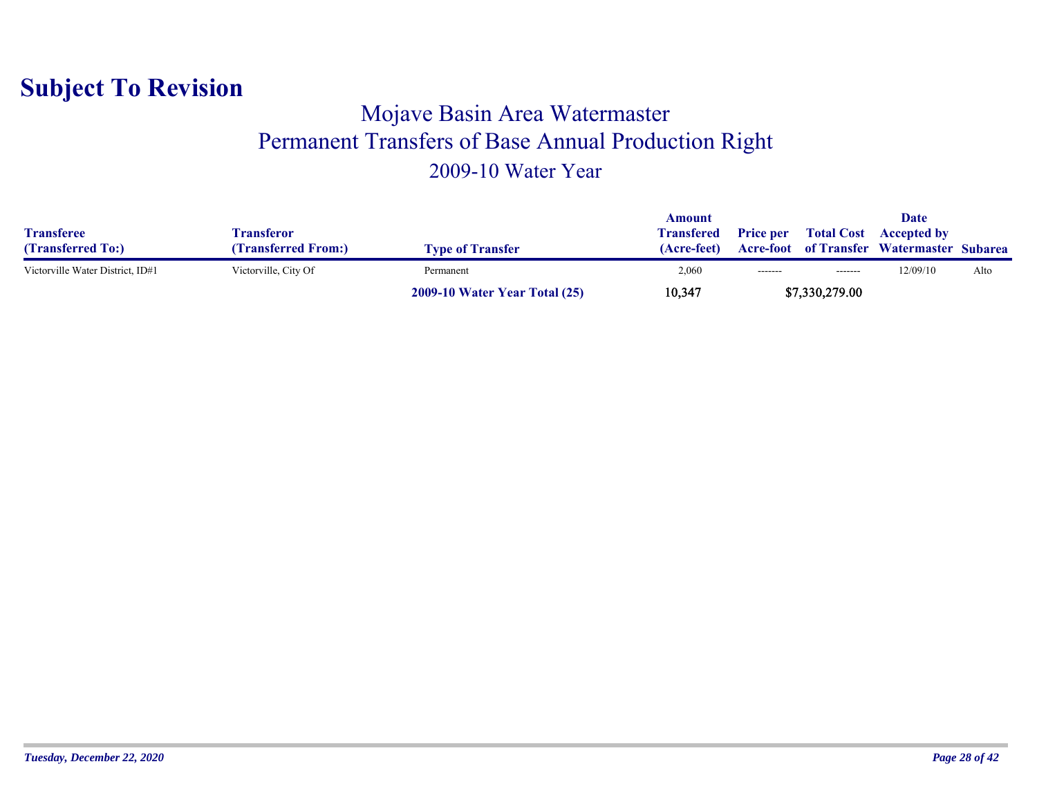#### Mojave Basin Area Watermaster Permanent Transfers of Base Annual Production Right 2009-10 Water Year

|                                  |                      |                                      | Amount            |                  |                   | Date                                             |      |
|----------------------------------|----------------------|--------------------------------------|-------------------|------------------|-------------------|--------------------------------------------------|------|
| <b>Transferee</b>                | Fransferor           |                                      | <b>Transfered</b> | <b>Price per</b> | <b>Total Cost</b> | <b>Accepted by</b>                               |      |
| (Transferred To:)                | (Transferred From:)  | <b>Type of Transfer</b>              | (Acre-feet)       |                  |                   | <b>Acre-foot</b> of Transfer Watermaster Subarea |      |
| Victorville Water District, ID#1 | Victorville, City Of | Permanent                            | 2,060             | $-----1$         | -------           | 12/09/10                                         | Alto |
|                                  |                      | <b>2009-10 Water Year Total (25)</b> | 10,347            |                  | \$7,330,279.00    |                                                  |      |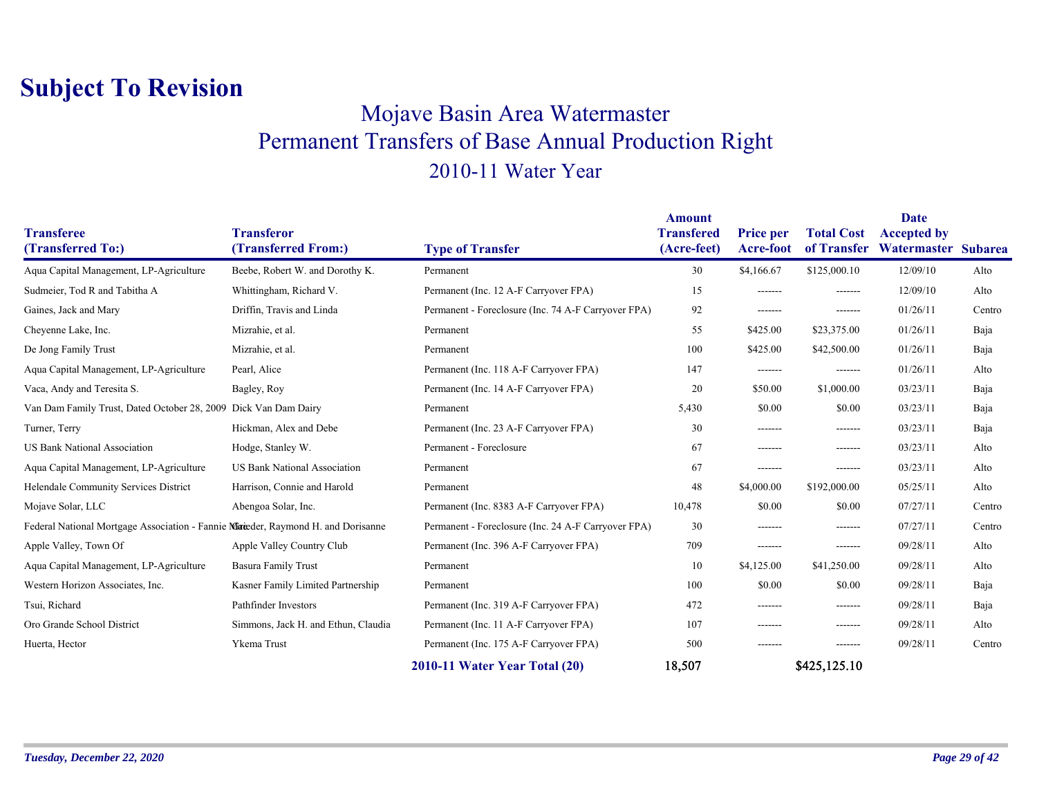### Mojave Basin Area Watermaster Permanent Transfers of Base Annual Production Right 2010-11 Water Year

|                                                                                  |                                          |                                                     | <b>Amount</b>                    |                               |                                  | Date                                      |        |
|----------------------------------------------------------------------------------|------------------------------------------|-----------------------------------------------------|----------------------------------|-------------------------------|----------------------------------|-------------------------------------------|--------|
| <b>Transferee</b><br>(Transferred To:)                                           | <b>Transferor</b><br>(Transferred From:) | <b>Type of Transfer</b>                             | <b>Transfered</b><br>(Acre-feet) | <b>Price per</b><br>Acre-foot | <b>Total Cost</b><br>of Transfer | <b>Accepted by</b><br>Watermaster Subarea |        |
|                                                                                  |                                          |                                                     |                                  |                               |                                  |                                           |        |
| Aqua Capital Management, LP-Agriculture                                          | Beebe, Robert W. and Dorothy K.          | Permanent                                           | 30                               | \$4,166.67                    | \$125,000.10                     | 12/09/10                                  | Alto   |
| Sudmeier, Tod R and Tabitha A                                                    | Whittingham, Richard V.                  | Permanent (Inc. 12 A-F Carryover FPA)               | 15                               | --------                      | -------                          | 12/09/10                                  | Alto   |
| Gaines, Jack and Mary                                                            | Driffin, Travis and Linda                | Permanent - Foreclosure (Inc. 74 A-F Carryover FPA) | 92                               | -------                       | -------                          | 01/26/11                                  | Centro |
| Cheyenne Lake, Inc.                                                              | Mizrahie, et al.                         | Permanent                                           | 55                               | \$425.00                      | \$23,375.00                      | 01/26/11                                  | Baja   |
| De Jong Family Trust                                                             | Mizrahie, et al.                         | Permanent                                           | 100                              | \$425.00                      | \$42,500.00                      | 01/26/11                                  | Baja   |
| Aqua Capital Management, LP-Agriculture                                          | Pearl, Alice                             | Permanent (Inc. 118 A-F Carryover FPA)              | 147                              | -------                       | -------                          | 01/26/11                                  | Alto   |
| Vaca, Andy and Teresita S.                                                       | Bagley, Roy                              | Permanent (Inc. 14 A-F Carryover FPA)               | 20                               | \$50.00                       | \$1,000.00                       | 03/23/11                                  | Baja   |
| Van Dam Family Trust, Dated October 28, 2009 Dick Van Dam Dairy                  |                                          | Permanent                                           | 5,430                            | \$0.00                        | \$0.00                           | 03/23/11                                  | Baja   |
| Turner, Terry                                                                    | Hickman, Alex and Debe                   | Permanent (Inc. 23 A-F Carryover FPA)               | 30                               | -------                       | -------                          | 03/23/11                                  | Baja   |
| <b>US Bank National Association</b>                                              | Hodge, Stanley W.                        | Permanent - Foreclosure                             | 67                               | -------                       | --------                         | 03/23/11                                  | Alto   |
| Aqua Capital Management, LP-Agriculture                                          | <b>US Bank National Association</b>      | Permanent                                           | 67                               | -------                       | -------                          | 03/23/11                                  | Alto   |
| Helendale Community Services District                                            | Harrison, Connie and Harold              | Permanent                                           | 48                               | \$4,000.00                    | \$192,000.00                     | 05/25/11                                  | Alto   |
| Mojave Solar, LLC                                                                | Abengoa Solar, Inc.                      | Permanent (Inc. 8383 A-F Carryover FPA)             | 10,478                           | \$0.00                        | \$0.00                           | 07/27/11                                  | Centro |
| Federal National Mortgage Association - Fannie Mareder, Raymond H. and Dorisanne |                                          | Permanent - Foreclosure (Inc. 24 A-F Carryover FPA) | 30                               | -------                       | --------                         | 07/27/11                                  | Centro |
| Apple Valley, Town Of                                                            | Apple Valley Country Club                | Permanent (Inc. 396 A-F Carryover FPA)              | 709                              | -------                       | -------                          | 09/28/11                                  | Alto   |
| Aqua Capital Management, LP-Agriculture                                          | <b>Basura Family Trust</b>               | Permanent                                           | 10                               | \$4,125.00                    | \$41,250.00                      | 09/28/11                                  | Alto   |
| Western Horizon Associates, Inc.                                                 | Kasner Family Limited Partnership        | Permanent                                           | 100                              | \$0.00                        | \$0.00                           | 09/28/11                                  | Baja   |
| Tsui, Richard                                                                    | Pathfinder Investors                     | Permanent (Inc. 319 A-F Carryover FPA)              | 472                              | -------                       | --------                         | 09/28/11                                  | Baja   |
| Oro Grande School District                                                       | Simmons, Jack H. and Ethun, Claudia      | Permanent (Inc. 11 A-F Carryover FPA)               | 107                              | -------                       | -------                          | 09/28/11                                  | Alto   |
| Huerta, Hector                                                                   | Ykema Trust                              | Permanent (Inc. 175 A-F Carryover FPA)              | 500                              | -------                       | --------                         | 09/28/11                                  | Centro |
|                                                                                  |                                          | 2010-11 Water Year Total (20)                       | 18,507                           |                               | \$425,125.10                     |                                           |        |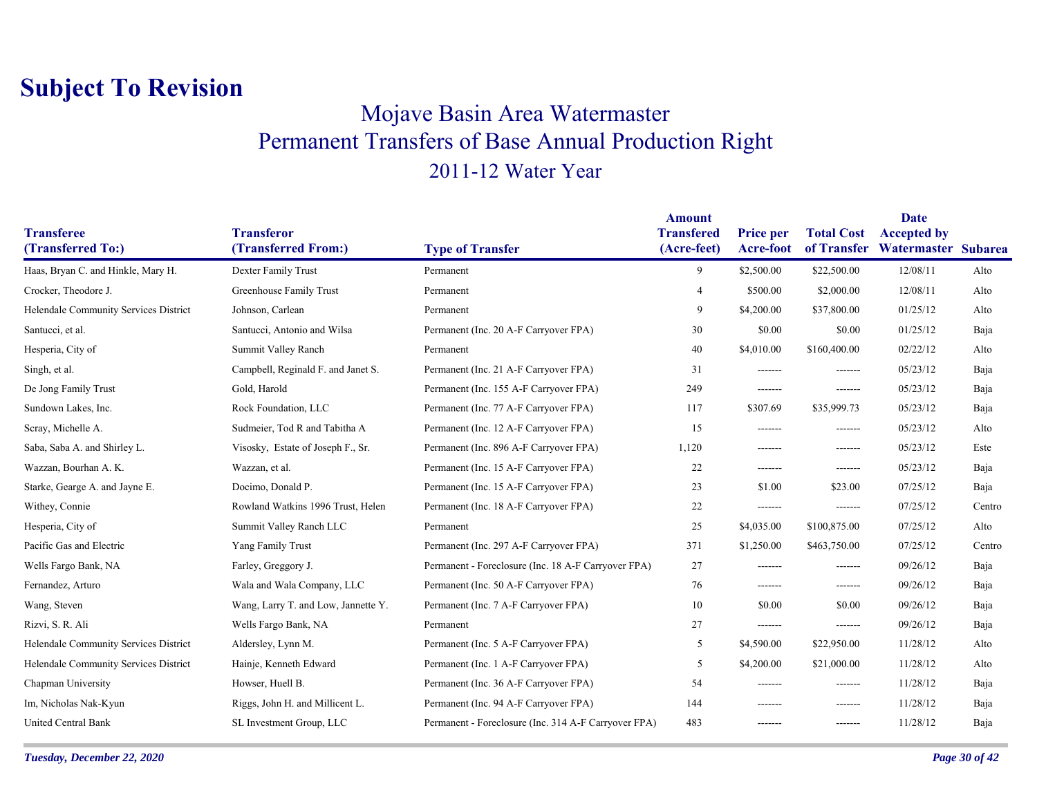### Mojave Basin Area Watermaster Permanent Transfers of Base Annual Production Right 2011-12 Water Year

|                                       |                                     |                                                      | <b>Amount</b>                    |                                      |                                  | <b>Date</b>                               |        |
|---------------------------------------|-------------------------------------|------------------------------------------------------|----------------------------------|--------------------------------------|----------------------------------|-------------------------------------------|--------|
| <b>Transferee</b>                     | <b>Transferor</b>                   |                                                      | <b>Transfered</b><br>(Acre-feet) | <b>Price per</b><br><b>Acre-foot</b> | <b>Total Cost</b><br>of Transfer | <b>Accepted by</b><br>Watermaster Subarea |        |
| (Transferred To:)                     | (Transferred From:)                 | <b>Type of Transfer</b>                              |                                  |                                      |                                  |                                           |        |
| Haas, Bryan C. and Hinkle, Mary H.    | Dexter Family Trust                 | Permanent                                            | 9                                | \$2,500.00                           | \$22,500.00                      | 12/08/11                                  | Alto   |
| Crocker, Theodore J.                  | Greenhouse Family Trust             | Permanent                                            | $\overline{4}$                   | \$500.00                             | \$2,000.00                       | 12/08/11                                  | Alto   |
| Helendale Community Services District | Johnson, Carlean                    | Permanent                                            | 9                                | \$4,200.00                           | \$37,800.00                      | 01/25/12                                  | Alto   |
| Santucci, et al.                      | Santucci, Antonio and Wilsa         | Permanent (Inc. 20 A-F Carryover FPA)                | 30                               | \$0.00                               | \$0.00                           | 01/25/12                                  | Baja   |
| Hesperia, City of                     | Summit Valley Ranch                 | Permanent                                            | 40                               | \$4,010.00                           | \$160,400.00                     | 02/22/12                                  | Alto   |
| Singh, et al.                         | Campbell, Reginald F. and Janet S.  | Permanent (Inc. 21 A-F Carryover FPA)                | 31                               | -------                              | -------                          | 05/23/12                                  | Baja   |
| De Jong Family Trust                  | Gold, Harold                        | Permanent (Inc. 155 A-F Carryover FPA)               | 249                              | -------                              | -------                          | 05/23/12                                  | Baja   |
| Sundown Lakes, Inc.                   | Rock Foundation, LLC                | Permanent (Inc. 77 A-F Carryover FPA)                | 117                              | \$307.69                             | \$35,999.73                      | 05/23/12                                  | Baja   |
| Scray, Michelle A.                    | Sudmeier, Tod R and Tabitha A       | Permanent (Inc. 12 A-F Carryover FPA)                | 15                               | -------                              | -------                          | 05/23/12                                  | Alto   |
| Saba, Saba A. and Shirley L.          | Visosky, Estate of Joseph F., Sr.   | Permanent (Inc. 896 A-F Carryover FPA)               | 1,120                            | -------                              | -------                          | 05/23/12                                  | Este   |
| Wazzan, Bourhan A. K.                 | Wazzan, et al.                      | Permanent (Inc. 15 A-F Carryover FPA)                | 22                               | -------                              | -------                          | 05/23/12                                  | Baja   |
| Starke, Gearge A. and Jayne E.        | Docimo, Donald P.                   | Permanent (Inc. 15 A-F Carryover FPA)                | 23                               | \$1.00                               | \$23.00                          | 07/25/12                                  | Baja   |
| Withey, Connie                        | Rowland Watkins 1996 Trust, Helen   | Permanent (Inc. 18 A-F Carryover FPA)                | 22                               | -------                              | -------                          | 07/25/12                                  | Centro |
| Hesperia, City of                     | Summit Valley Ranch LLC             | Permanent                                            | 25                               | \$4,035.00                           | \$100,875.00                     | 07/25/12                                  | Alto   |
| Pacific Gas and Electric              | Yang Family Trust                   | Permanent (Inc. 297 A-F Carryover FPA)               | 371                              | \$1,250.00                           | \$463,750.00                     | 07/25/12                                  | Centro |
| Wells Fargo Bank, NA                  | Farley, Greggory J.                 | Permanent - Foreclosure (Inc. 18 A-F Carryover FPA)  | 27                               | -------                              | -------                          | 09/26/12                                  | Baja   |
| Fernandez, Arturo                     | Wala and Wala Company, LLC          | Permanent (Inc. 50 A-F Carryover FPA)                | 76                               | -------                              | -------                          | 09/26/12                                  | Baja   |
| Wang, Steven                          | Wang, Larry T. and Low, Jannette Y. | Permanent (Inc. 7 A-F Carryover FPA)                 | 10                               | \$0.00                               | \$0.00                           | 09/26/12                                  | Baja   |
| Rizvi, S. R. Ali                      | Wells Fargo Bank, NA                | Permanent                                            | 27                               | -------                              | -------                          | 09/26/12                                  | Baja   |
| Helendale Community Services District | Aldersley, Lynn M.                  | Permanent (Inc. 5 A-F Carryover FPA)                 | 5                                | \$4,590.00                           | \$22,950.00                      | 11/28/12                                  | Alto   |
| Helendale Community Services District | Hainje, Kenneth Edward              | Permanent (Inc. 1 A-F Carryover FPA)                 | 5                                | \$4,200.00                           | \$21,000.00                      | 11/28/12                                  | Alto   |
| Chapman University                    | Howser, Huell B.                    | Permanent (Inc. 36 A-F Carryover FPA)                | 54                               | -------                              | -------                          | 11/28/12                                  | Baja   |
| Im, Nicholas Nak-Kyun                 | Riggs, John H. and Millicent L.     | Permanent (Inc. 94 A-F Carryover FPA)                | 144                              | -------                              | -------                          | 11/28/12                                  | Baja   |
| <b>United Central Bank</b>            | SL Investment Group, LLC            | Permanent - Foreclosure (Inc. 314 A-F Carryover FPA) | 483                              | -------                              | -------                          | 11/28/12                                  | Baja   |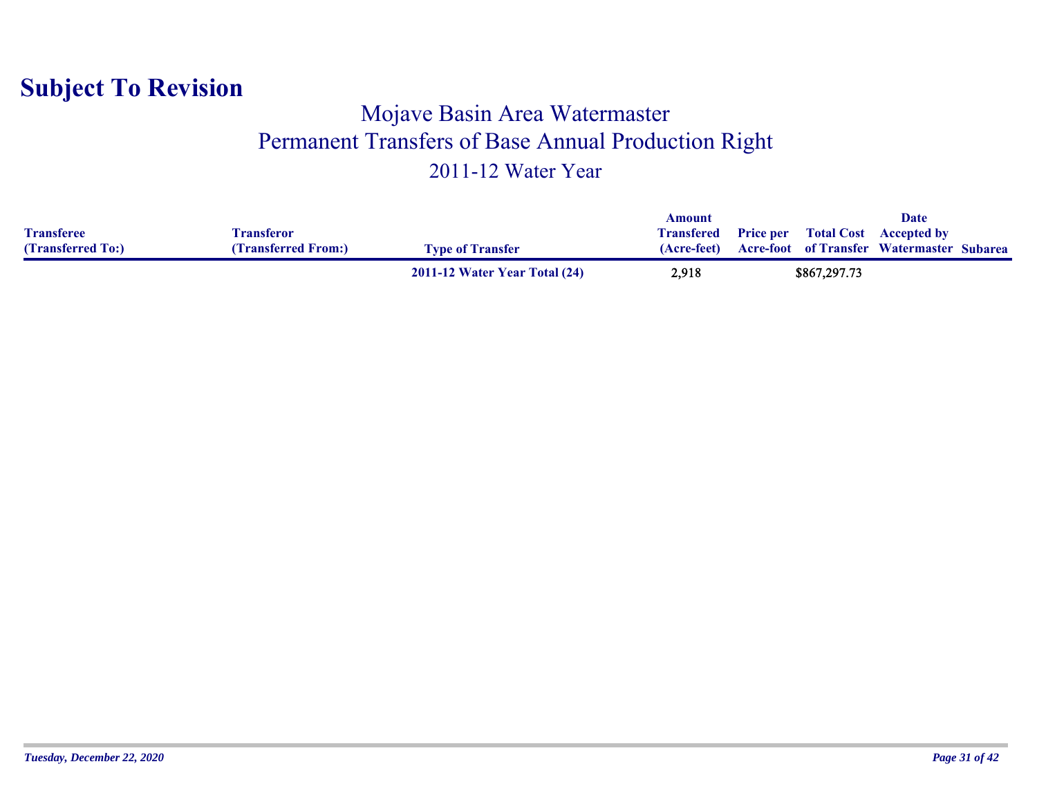#### Mojave Basin Area Watermaster Permanent Transfers of Base Annual Production Right 2011-12 Water Year

|                   |                     |                               | Amount            |              | Date                                             |  |
|-------------------|---------------------|-------------------------------|-------------------|--------------|--------------------------------------------------|--|
| <b>Transferee</b> | Fransferor          |                               | <b>Transfered</b> |              | <b>Price per</b> Total Cost Accepted by          |  |
| (Transferred To:) | (Transferred From:) | <b>Type of Transfer</b>       | (Acre-feet)       |              | <b>Acre-foot of Transfer Watermaster Subarea</b> |  |
|                   |                     | 2011-12 Water Year Total (24) | 2,918             | \$867,297.73 |                                                  |  |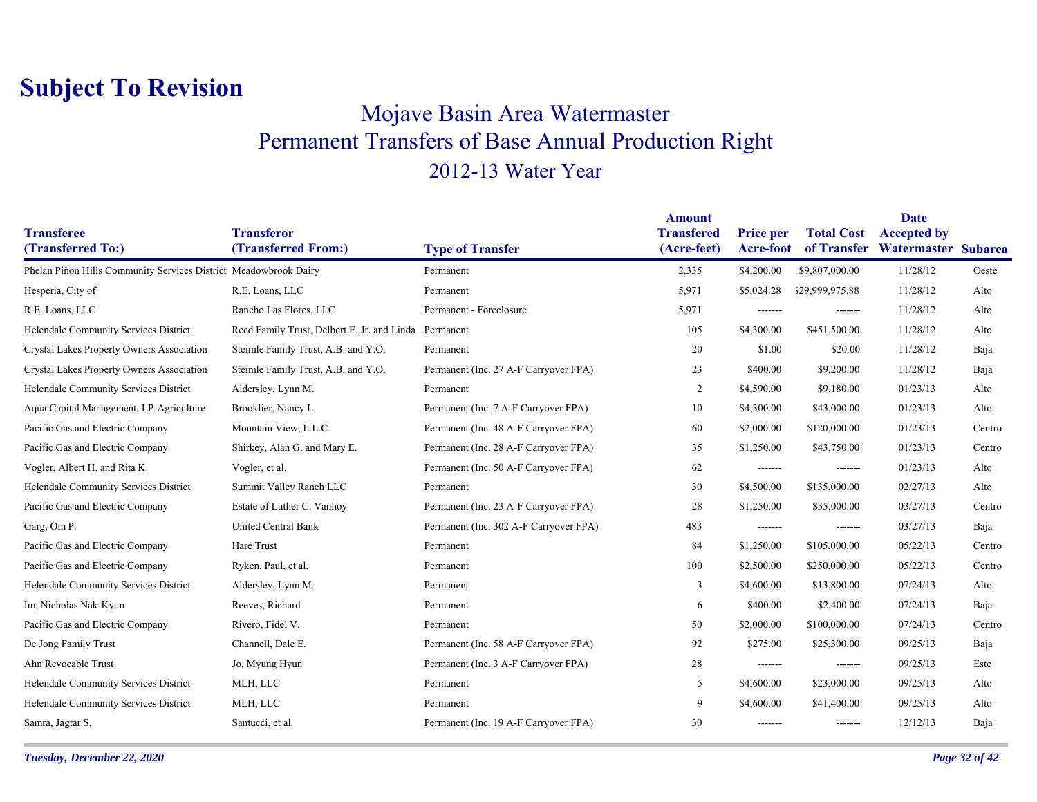### Mojave Basin Area Watermaster Permanent Transfers of Base Annual Production Right 2012-13 Water Year

|                                                                  |                                                       |                                        | <b>Amount</b>                    |                               |                                  | Date                                      |        |
|------------------------------------------------------------------|-------------------------------------------------------|----------------------------------------|----------------------------------|-------------------------------|----------------------------------|-------------------------------------------|--------|
| <b>Transferee</b><br>(Transferred To:)                           | <b>Transferor</b><br>(Transferred From:)              | <b>Type of Transfer</b>                | <b>Transfered</b><br>(Acre-feet) | <b>Price per</b><br>Acre-foot | <b>Total Cost</b><br>of Transfer | <b>Accepted by</b><br>Watermaster Subarea |        |
| Phelan Piñon Hills Community Services District Meadowbrook Dairy |                                                       | Permanent                              | 2,335                            | \$4,200.00                    | \$9,807,000.00                   | 11/28/12                                  | Oeste  |
| Hesperia, City of                                                | R.E. Loans, LLC                                       | Permanent                              | 5,971                            | \$5,024.28                    | \$29,999,975.88                  | 11/28/12                                  | Alto   |
| R.E. Loans, LLC                                                  | Rancho Las Flores, LLC                                | Permanent - Foreclosure                | 5,971                            | -------                       | -------                          | 11/28/12                                  | Alto   |
| Helendale Community Services District                            | Reed Family Trust, Delbert E. Jr. and Linda Permanent |                                        | 105                              | \$4,300.00                    | \$451,500.00                     | 11/28/12                                  | Alto   |
| Crystal Lakes Property Owners Association                        | Steimle Family Trust, A.B. and Y.O.                   | Permanent                              | 20                               | \$1.00                        | \$20.00                          | 11/28/12                                  | Baja   |
| Crystal Lakes Property Owners Association                        | Steimle Family Trust, A.B. and Y.O.                   | Permanent (Inc. 27 A-F Carryover FPA)  | 23                               | \$400.00                      | \$9,200.00                       | 11/28/12                                  | Baja   |
| Helendale Community Services District                            | Aldersley, Lynn M.                                    | Permanent                              | 2                                | \$4,590.00                    | \$9,180.00                       | 01/23/13                                  | Alto   |
| Aqua Capital Management, LP-Agriculture                          | Brooklier, Nancy L.                                   | Permanent (Inc. 7 A-F Carryover FPA)   | 10                               | \$4,300.00                    | \$43,000.00                      | 01/23/13                                  | Alto   |
| Pacific Gas and Electric Company                                 | Mountain View, L.L.C.                                 | Permanent (Inc. 48 A-F Carryover FPA)  | 60                               | \$2,000.00                    | \$120,000.00                     | 01/23/13                                  | Centro |
| Pacific Gas and Electric Company                                 | Shirkey, Alan G. and Mary E.                          | Permanent (Inc. 28 A-F Carryover FPA)  | 35                               | \$1,250.00                    | \$43,750.00                      | 01/23/13                                  | Centro |
| Vogler, Albert H. and Rita K.                                    | Vogler, et al.                                        | Permanent (Inc. 50 A-F Carryover FPA)  | 62                               | -------                       | -------                          | 01/23/13                                  | Alto   |
| Helendale Community Services District                            | Summit Valley Ranch LLC                               | Permanent                              | 30                               | \$4,500.00                    | \$135,000.00                     | 02/27/13                                  | Alto   |
| Pacific Gas and Electric Company                                 | Estate of Luther C. Vanhoy                            | Permanent (Inc. 23 A-F Carryover FPA)  | 28                               | \$1,250.00                    | \$35,000.00                      | 03/27/13                                  | Centro |
| Garg, Om P.                                                      | United Central Bank                                   | Permanent (Inc. 302 A-F Carryover FPA) | 483                              | -------                       | -------                          | 03/27/13                                  | Baja   |
| Pacific Gas and Electric Company                                 | Hare Trust                                            | Permanent                              | 84                               | \$1,250.00                    | \$105,000.00                     | 05/22/13                                  | Centro |
| Pacific Gas and Electric Company                                 | Ryken, Paul, et al.                                   | Permanent                              | 100                              | \$2,500.00                    | \$250,000.00                     | 05/22/13                                  | Centro |
| Helendale Community Services District                            | Aldersley, Lynn M.                                    | Permanent                              | $\overline{3}$                   | \$4,600.00                    | \$13,800.00                      | 07/24/13                                  | Alto   |
| Im, Nicholas Nak-Kyun                                            | Reeves, Richard                                       | Permanent                              | 6                                | \$400.00                      | \$2,400.00                       | 07/24/13                                  | Baja   |
| Pacific Gas and Electric Company                                 | Rivero, Fidel V.                                      | Permanent                              | 50                               | \$2,000.00                    | \$100,000.00                     | 07/24/13                                  | Centro |
| De Jong Family Trust                                             | Channell, Dale E.                                     | Permanent (Inc. 58 A-F Carryover FPA)  | 92                               | \$275.00                      | \$25,300.00                      | 09/25/13                                  | Baja   |
| Ahn Revocable Trust                                              | Jo, Myung Hyun                                        | Permanent (Inc. 3 A-F Carryover FPA)   | 28                               | -------                       | -------                          | 09/25/13                                  | Este   |
| Helendale Community Services District                            | MLH, LLC                                              | Permanent                              | 5                                | \$4,600.00                    | \$23,000.00                      | 09/25/13                                  | Alto   |
| Helendale Community Services District                            | MLH, LLC                                              | Permanent                              | 9                                | \$4,600.00                    | \$41,400.00                      | 09/25/13                                  | Alto   |
| Samra, Jagtar S.                                                 | Santucci, et al.                                      | Permanent (Inc. 19 A-F Carryover FPA)  | 30                               | -------                       | -------                          | 12/12/13                                  | Baja   |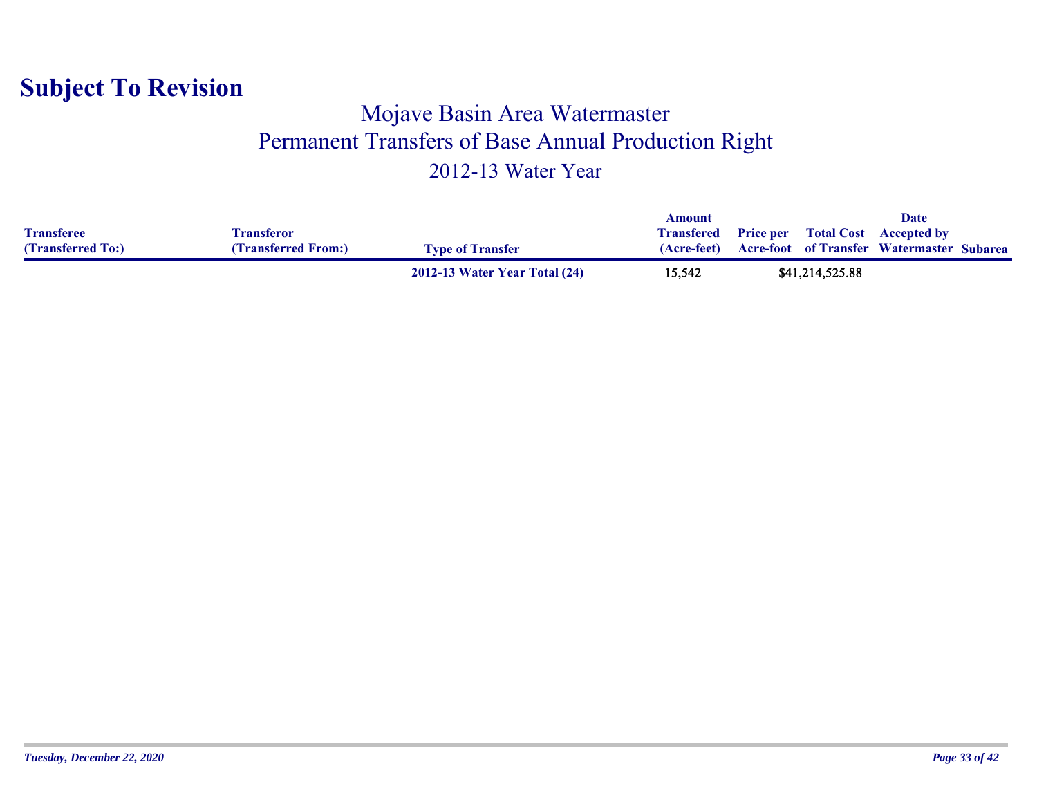#### Mojave Basin Area Watermaster Permanent Transfers of Base Annual Production Right 2012-13 Water Year

|                   |                     |                               | Amount            |                 | Date                                             |  |
|-------------------|---------------------|-------------------------------|-------------------|-----------------|--------------------------------------------------|--|
| <b>Transferee</b> | Fransferor          |                               | <b>Transfered</b> |                 | <b>Price per</b> Total Cost Accepted by          |  |
| (Transferred To:) | (Transferred From:) | <b>Type of Transfer</b>       | (Acre-feet)       |                 | <b>Acre-foot</b> of Transfer Watermaster Subarea |  |
|                   |                     | 2012-13 Water Year Total (24) | 15,542            | \$41,214,525.88 |                                                  |  |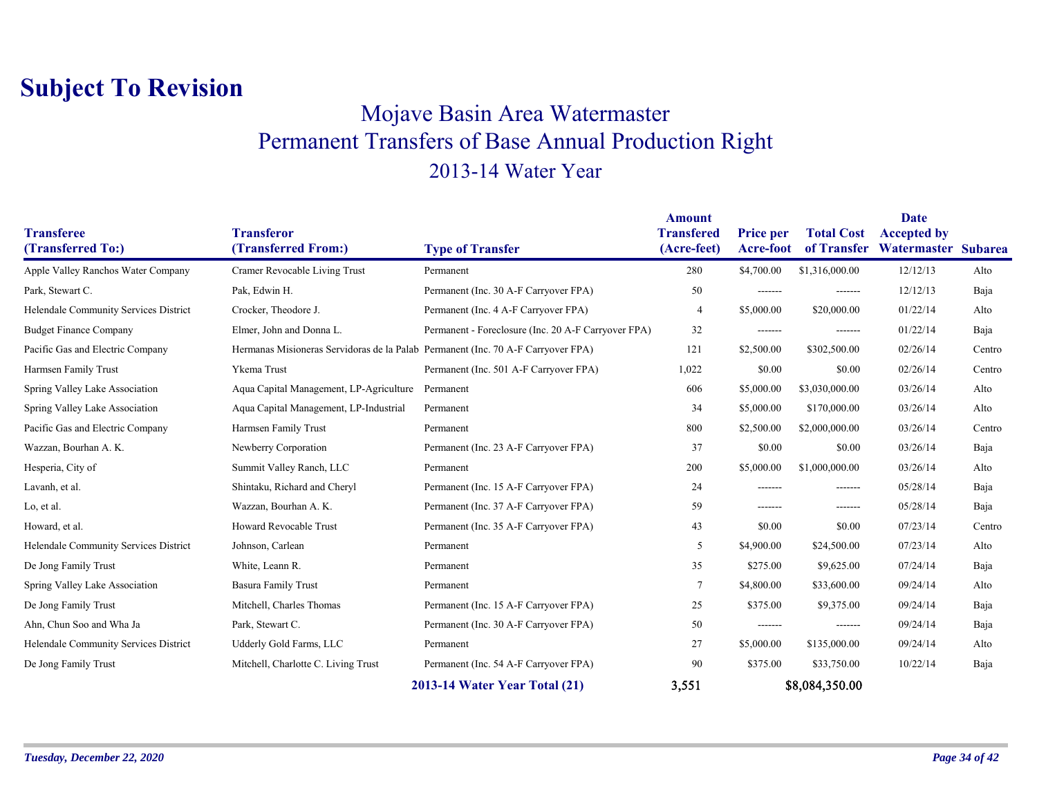### Mojave Basin Area Watermaster Permanent Transfers of Base Annual Production Right 2013-14 Water Year

|                                        |                                                                                  |                                                     | <b>Amount</b>                    |                               |                                  | <b>Date</b>                               |        |
|----------------------------------------|----------------------------------------------------------------------------------|-----------------------------------------------------|----------------------------------|-------------------------------|----------------------------------|-------------------------------------------|--------|
| <b>Transferee</b><br>(Transferred To:) | <b>Transferor</b><br>(Transferred From:)                                         | <b>Type of Transfer</b>                             | <b>Transfered</b><br>(Acre-feet) | <b>Price per</b><br>Acre-foot | <b>Total Cost</b><br>of Transfer | <b>Accepted by</b><br>Watermaster Subarea |        |
| Apple Valley Ranchos Water Company     | Cramer Revocable Living Trust                                                    | Permanent                                           | 280                              | \$4,700.00                    | \$1,316,000.00                   | 12/12/13                                  | Alto   |
| Park, Stewart C.                       | Pak, Edwin H.                                                                    | Permanent (Inc. 30 A-F Carryover FPA)               | 50                               | -------                       | -------                          | 12/12/13                                  | Baja   |
| Helendale Community Services District  | Crocker, Theodore J.                                                             | Permanent (Inc. 4 A-F Carryover FPA)                | $\overline{4}$                   | \$5,000.00                    | \$20,000.00                      | 01/22/14                                  | Alto   |
| <b>Budget Finance Company</b>          | Elmer, John and Donna L.                                                         | Permanent - Foreclosure (Inc. 20 A-F Carryover FPA) | 32                               | -------                       | -------                          | 01/22/14                                  | Baja   |
| Pacific Gas and Electric Company       | Hermanas Misioneras Servidoras de la Palab Permanent (Inc. 70 A-F Carryover FPA) |                                                     | 121                              | \$2,500.00                    | \$302,500.00                     | 02/26/14                                  | Centro |
|                                        |                                                                                  |                                                     |                                  |                               |                                  |                                           |        |
| Harmsen Family Trust                   | Ykema Trust                                                                      | Permanent (Inc. 501 A-F Carryover FPA)              | 1,022                            | \$0.00                        | \$0.00                           | 02/26/14                                  | Centro |
| Spring Valley Lake Association         | Aqua Capital Management, LP-Agriculture                                          | Permanent                                           | 606                              | \$5,000.00                    | \$3,030,000.00                   | 03/26/14                                  | Alto   |
| Spring Valley Lake Association         | Aqua Capital Management, LP-Industrial                                           | Permanent                                           | 34                               | \$5,000.00                    | \$170,000.00                     | 03/26/14                                  | Alto   |
| Pacific Gas and Electric Company       | Harmsen Family Trust                                                             | Permanent                                           | 800                              | \$2,500.00                    | \$2,000,000.00                   | 03/26/14                                  | Centro |
| Wazzan, Bourhan A. K.                  | Newberry Corporation                                                             | Permanent (Inc. 23 A-F Carryover FPA)               | 37                               | \$0.00                        | \$0.00                           | 03/26/14                                  | Baja   |
| Hesperia, City of                      | Summit Valley Ranch, LLC                                                         | Permanent                                           | 200                              | \$5,000.00                    | \$1,000,000.00                   | 03/26/14                                  | Alto   |
| Lavanh, et al.                         | Shintaku, Richard and Cheryl                                                     | Permanent (Inc. 15 A-F Carryover FPA)               | 24                               | -------                       | -------                          | 05/28/14                                  | Baja   |
| Lo, et al.                             | Wazzan, Bourhan A. K.                                                            | Permanent (Inc. 37 A-F Carryover FPA)               | 59                               | -------                       | -------                          | 05/28/14                                  | Baja   |
| Howard, et al.                         | Howard Revocable Trust                                                           | Permanent (Inc. 35 A-F Carryover FPA)               | 43                               | \$0.00                        | \$0.00                           | 07/23/14                                  | Centro |
| Helendale Community Services District  | Johnson, Carlean                                                                 | Permanent                                           | 5                                | \$4,900.00                    | \$24,500.00                      | 07/23/14                                  | Alto   |
| De Jong Family Trust                   | White, Leann R.                                                                  | Permanent                                           | 35                               | \$275.00                      | \$9,625.00                       | 07/24/14                                  | Baja   |
| Spring Valley Lake Association         | <b>Basura Family Trust</b>                                                       | Permanent                                           | $\overline{7}$                   | \$4,800.00                    | \$33,600.00                      | 09/24/14                                  | Alto   |
| De Jong Family Trust                   | Mitchell, Charles Thomas                                                         | Permanent (Inc. 15 A-F Carryover FPA)               | 25                               | \$375.00                      | \$9,375.00                       | 09/24/14                                  | Baja   |
| Ahn, Chun Soo and Wha Ja               | Park, Stewart C.                                                                 | Permanent (Inc. 30 A-F Carryover FPA)               | 50                               | -------                       | -------                          | 09/24/14                                  | Baja   |
| Helendale Community Services District  | Udderly Gold Farms, LLC                                                          | Permanent                                           | 27                               | \$5,000.00                    | \$135,000.00                     | 09/24/14                                  | Alto   |
| De Jong Family Trust                   | Mitchell, Charlotte C. Living Trust                                              | Permanent (Inc. 54 A-F Carryover FPA)               | 90                               | \$375.00                      | \$33,750.00                      | 10/22/14                                  | Baja   |
|                                        |                                                                                  | 2013-14 Water Year Total (21)                       | 3,551                            |                               | \$8,084,350.00                   |                                           |        |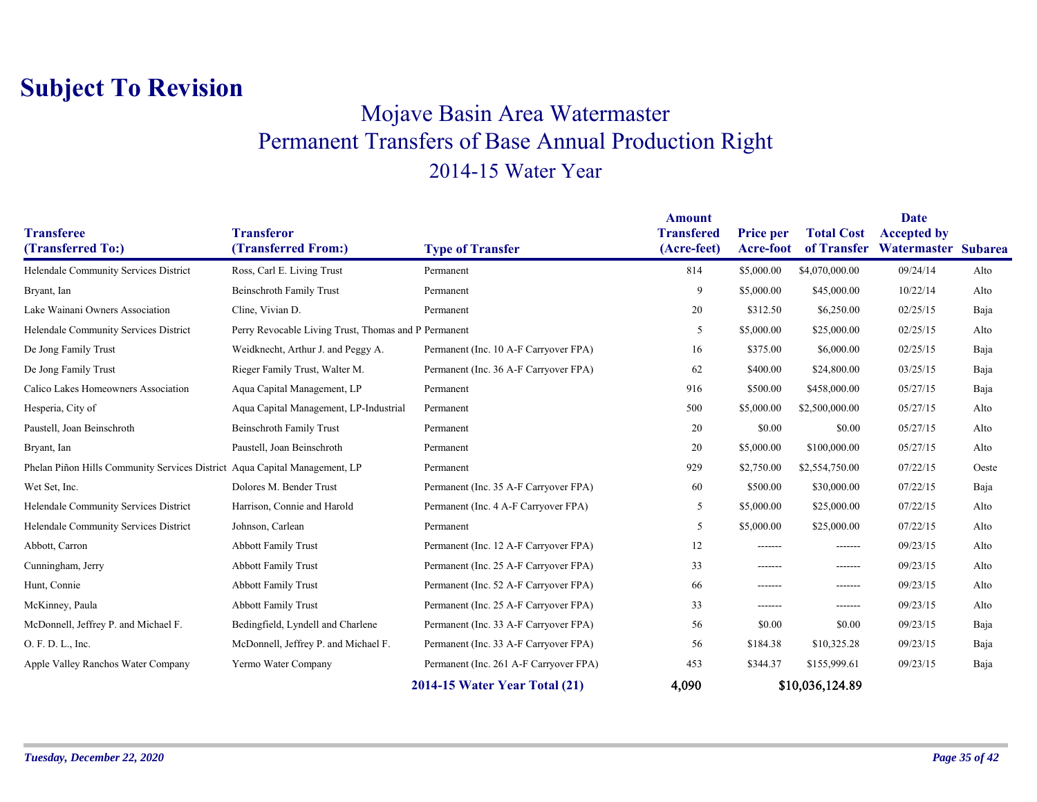### Mojave Basin Area Watermaster Permanent Transfers of Base Annual Production Right 2014-15 Water Year

| <b>Transferee</b>                                                          | <b>Transferor</b>                                    |                                        | <b>Amount</b><br><b>Transfered</b> | <b>Price per</b> | <b>Total Cost</b> | <b>Date</b><br><b>Accepted by</b> |       |
|----------------------------------------------------------------------------|------------------------------------------------------|----------------------------------------|------------------------------------|------------------|-------------------|-----------------------------------|-------|
| (Transferred To:)                                                          | (Transferred From:)                                  | <b>Type of Transfer</b>                | (Acre-feet)                        | Acre-foot        | of Transfer       | Watermaster Subarea               |       |
| Helendale Community Services District                                      | Ross, Carl E. Living Trust                           | Permanent                              | 814                                | \$5,000.00       | \$4,070,000.00    | 09/24/14                          | Alto  |
| Bryant, Ian                                                                | <b>Beinschroth Family Trust</b>                      | Permanent                              | 9                                  | \$5,000.00       | \$45,000.00       | 10/22/14                          | Alto  |
| Lake Wainani Owners Association                                            | Cline, Vivian D.                                     | Permanent                              | 20                                 | \$312.50         | \$6,250.00        | 02/25/15                          | Baja  |
| Helendale Community Services District                                      | Perry Revocable Living Trust, Thomas and P Permanent |                                        | 5                                  | \$5,000.00       | \$25,000.00       | 02/25/15                          | Alto  |
| De Jong Family Trust                                                       | Weidknecht, Arthur J. and Peggy A.                   | Permanent (Inc. 10 A-F Carryover FPA)  | 16                                 | \$375.00         | \$6,000.00        | 02/25/15                          | Baja  |
| De Jong Family Trust                                                       | Rieger Family Trust, Walter M.                       | Permanent (Inc. 36 A-F Carryover FPA)  | 62                                 | \$400.00         | \$24,800.00       | 03/25/15                          | Baja  |
| Calico Lakes Homeowners Association                                        | Aqua Capital Management, LP                          | Permanent                              | 916                                | \$500.00         | \$458,000.00      | 05/27/15                          | Baja  |
| Hesperia, City of                                                          | Aqua Capital Management, LP-Industrial               | Permanent                              | 500                                | \$5,000.00       | \$2,500,000.00    | 05/27/15                          | Alto  |
| Paustell, Joan Beinschroth                                                 | <b>Beinschroth Family Trust</b>                      | Permanent                              | 20                                 | \$0.00           | \$0.00            | 05/27/15                          | Alto  |
| Bryant, Ian                                                                | Paustell, Joan Beinschroth                           | Permanent                              | 20                                 | \$5,000.00       | \$100,000.00      | 05/27/15                          | Alto  |
| Phelan Piñon Hills Community Services District Aqua Capital Management, LP |                                                      | Permanent                              | 929                                | \$2,750.00       | \$2,554,750.00    | 07/22/15                          | Oeste |
| Wet Set, Inc.                                                              | Dolores M. Bender Trust                              | Permanent (Inc. 35 A-F Carryover FPA)  | 60                                 | \$500.00         | \$30,000.00       | 07/22/15                          | Baja  |
| Helendale Community Services District                                      | Harrison, Connie and Harold                          | Permanent (Inc. 4 A-F Carryover FPA)   | 5                                  | \$5,000.00       | \$25,000.00       | 07/22/15                          | Alto  |
| Helendale Community Services District                                      | Johnson, Carlean                                     | Permanent                              | 5                                  | \$5,000.00       | \$25,000.00       | 07/22/15                          | Alto  |
| Abbott, Carron                                                             | <b>Abbott Family Trust</b>                           | Permanent (Inc. 12 A-F Carryover FPA)  | 12                                 | -------          | -------           | 09/23/15                          | Alto  |
| Cunningham, Jerry                                                          | <b>Abbott Family Trust</b>                           | Permanent (Inc. 25 A-F Carryover FPA)  | 33                                 | -------          | -------           | 09/23/15                          | Alto  |
| Hunt, Connie                                                               | <b>Abbott Family Trust</b>                           | Permanent (Inc. 52 A-F Carryover FPA)  | 66                                 | -------          | -------           | 09/23/15                          | Alto  |
| McKinney, Paula                                                            | Abbott Family Trust                                  | Permanent (Inc. 25 A-F Carryover FPA)  | 33                                 | -------          | -------           | 09/23/15                          | Alto  |
| McDonnell, Jeffrey P. and Michael F.                                       | Bedingfield, Lyndell and Charlene                    | Permanent (Inc. 33 A-F Carryover FPA)  | 56                                 | \$0.00           | \$0.00            | 09/23/15                          | Baja  |
| O. F. D. L., Inc.                                                          | McDonnell, Jeffrey P. and Michael F.                 | Permanent (Inc. 33 A-F Carryover FPA)  | 56                                 | \$184.38         | \$10,325.28       | 09/23/15                          | Baja  |
| Apple Valley Ranchos Water Company                                         | Yermo Water Company                                  | Permanent (Inc. 261 A-F Carryover FPA) | 453                                | \$344.37         | \$155,999.61      | 09/23/15                          | Baja  |
|                                                                            |                                                      | 2014-15 Water Year Total (21)          | 4,090                              |                  | \$10,036,124.89   |                                   |       |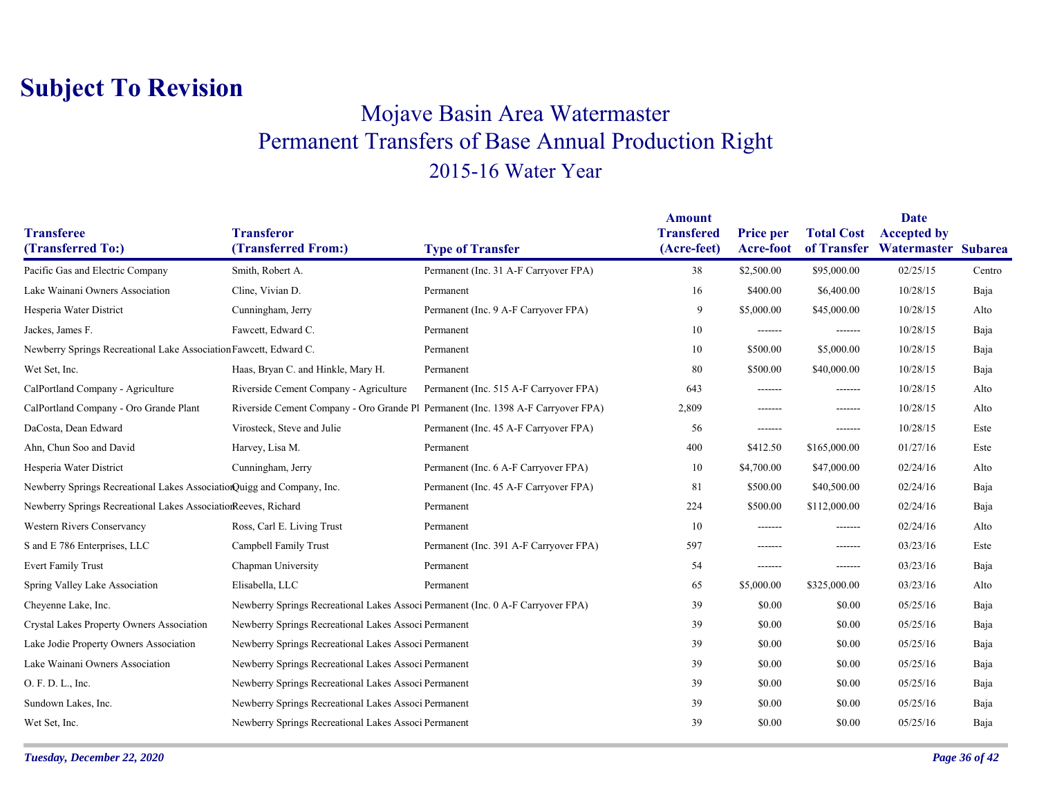### Mojave Basin Area Watermaster Permanent Transfers of Base Annual Production Right 2015-16 Water Year

|                                                                        |                                                                                  |                                        | <b>Amount</b>                    |                               |                                  | Date                                      |        |
|------------------------------------------------------------------------|----------------------------------------------------------------------------------|----------------------------------------|----------------------------------|-------------------------------|----------------------------------|-------------------------------------------|--------|
| <b>Transferee</b><br>(Transferred To:)                                 | <b>Transferor</b><br>(Transferred From:)                                         | <b>Type of Transfer</b>                | <b>Transfered</b><br>(Acre-feet) | <b>Price per</b><br>Acre-foot | <b>Total Cost</b><br>of Transfer | <b>Accepted by</b><br>Watermaster Subarea |        |
| Pacific Gas and Electric Company                                       | Smith, Robert A.                                                                 | Permanent (Inc. 31 A-F Carryover FPA)  | 38                               | \$2,500.00                    | \$95,000.00                      | 02/25/15                                  | Centro |
| Lake Wainani Owners Association                                        | Cline, Vivian D.                                                                 | Permanent                              | 16                               | \$400.00                      | \$6,400.00                       | 10/28/15                                  | Baja   |
| Hesperia Water District                                                | Cunningham, Jerry                                                                | Permanent (Inc. 9 A-F Carryover FPA)   | 9                                | \$5,000.00                    | \$45,000.00                      | 10/28/15                                  | Alto   |
| Jackes, James F.                                                       | Fawcett, Edward C.                                                               | Permanent                              | 10                               | -------                       | -------                          | 10/28/15                                  | Baja   |
|                                                                        |                                                                                  |                                        |                                  |                               |                                  |                                           |        |
| Newberry Springs Recreational Lake Association Fawcett, Edward C.      |                                                                                  | Permanent                              | 10                               | \$500.00                      | \$5,000.00                       | 10/28/15                                  | Baja   |
| Wet Set, Inc.                                                          | Haas, Bryan C. and Hinkle, Mary H.                                               | Permanent                              | 80                               | \$500.00                      | \$40,000.00                      | 10/28/15                                  | Baja   |
| CalPortland Company - Agriculture                                      | Riverside Cement Company - Agriculture                                           | Permanent (Inc. 515 A-F Carryover FPA) | 643                              | -------                       | -------                          | 10/28/15                                  | Alto   |
| CalPortland Company - Oro Grande Plant                                 | Riverside Cement Company - Oro Grande Pl Permanent (Inc. 1398 A-F Carryover FPA) |                                        | 2,809                            | -------                       | -------                          | 10/28/15                                  | Alto   |
| DaCosta, Dean Edward                                                   | Virosteck, Steve and Julie                                                       | Permanent (Inc. 45 A-F Carryover FPA)  | 56                               | -------                       | -------                          | 10/28/15                                  | Este   |
| Ahn, Chun Soo and David                                                | Harvey, Lisa M.                                                                  | Permanent                              | 400                              | \$412.50                      | \$165,000.00                     | 01/27/16                                  | Este   |
| Hesperia Water District                                                | Cunningham, Jerry                                                                | Permanent (Inc. 6 A-F Carryover FPA)   | 10                               | \$4,700.00                    | \$47,000.00                      | 02/24/16                                  | Alto   |
| Newberry Springs Recreational Lakes AssociationQuigg and Company, Inc. |                                                                                  | Permanent (Inc. 45 A-F Carryover FPA)  | 81                               | \$500.00                      | \$40,500.00                      | 02/24/16                                  | Baja   |
| Newberry Springs Recreational Lakes AssociationReeves, Richard         |                                                                                  | Permanent                              | 224                              | \$500.00                      | \$112,000.00                     | 02/24/16                                  | Baja   |
| <b>Western Rivers Conservancy</b>                                      | Ross, Carl E. Living Trust                                                       | Permanent                              | 10                               | -------                       | -------                          | 02/24/16                                  | Alto   |
| S and E 786 Enterprises, LLC                                           | Campbell Family Trust                                                            | Permanent (Inc. 391 A-F Carryover FPA) | 597                              | -------                       | -------                          | 03/23/16                                  | Este   |
| <b>Evert Family Trust</b>                                              | Chapman University                                                               | Permanent                              | 54                               | -------                       | -------                          | 03/23/16                                  | Baja   |
| Spring Valley Lake Association                                         | Elisabella, LLC                                                                  | Permanent                              | 65                               | \$5,000.00                    | \$325,000.00                     | 03/23/16                                  | Alto   |
| Cheyenne Lake, Inc.                                                    | Newberry Springs Recreational Lakes Associ Permanent (Inc. 0 A-F Carryover FPA)  |                                        | 39                               | \$0.00                        | \$0.00                           | 05/25/16                                  | Baja   |
| Crystal Lakes Property Owners Association                              | Newberry Springs Recreational Lakes Associ Permanent                             |                                        | 39                               | \$0.00                        | \$0.00                           | 05/25/16                                  | Baja   |
| Lake Jodie Property Owners Association                                 | Newberry Springs Recreational Lakes Associ Permanent                             |                                        | 39                               | \$0.00                        | \$0.00                           | 05/25/16                                  | Baja   |
| Lake Wainani Owners Association                                        | Newberry Springs Recreational Lakes Associ Permanent                             |                                        | 39                               | \$0.00                        | \$0.00                           | 05/25/16                                  | Baja   |
| O. F. D. L., Inc.                                                      | Newberry Springs Recreational Lakes Associ Permanent                             |                                        | 39                               | \$0.00                        | \$0.00                           | 05/25/16                                  | Baja   |
| Sundown Lakes, Inc.                                                    | Newberry Springs Recreational Lakes Associ Permanent                             |                                        | 39                               | \$0.00                        | \$0.00                           | 05/25/16                                  | Baja   |
| Wet Set, Inc.                                                          | Newberry Springs Recreational Lakes Associ Permanent                             |                                        | 39                               | \$0.00                        | \$0.00                           | 05/25/16                                  | Baja   |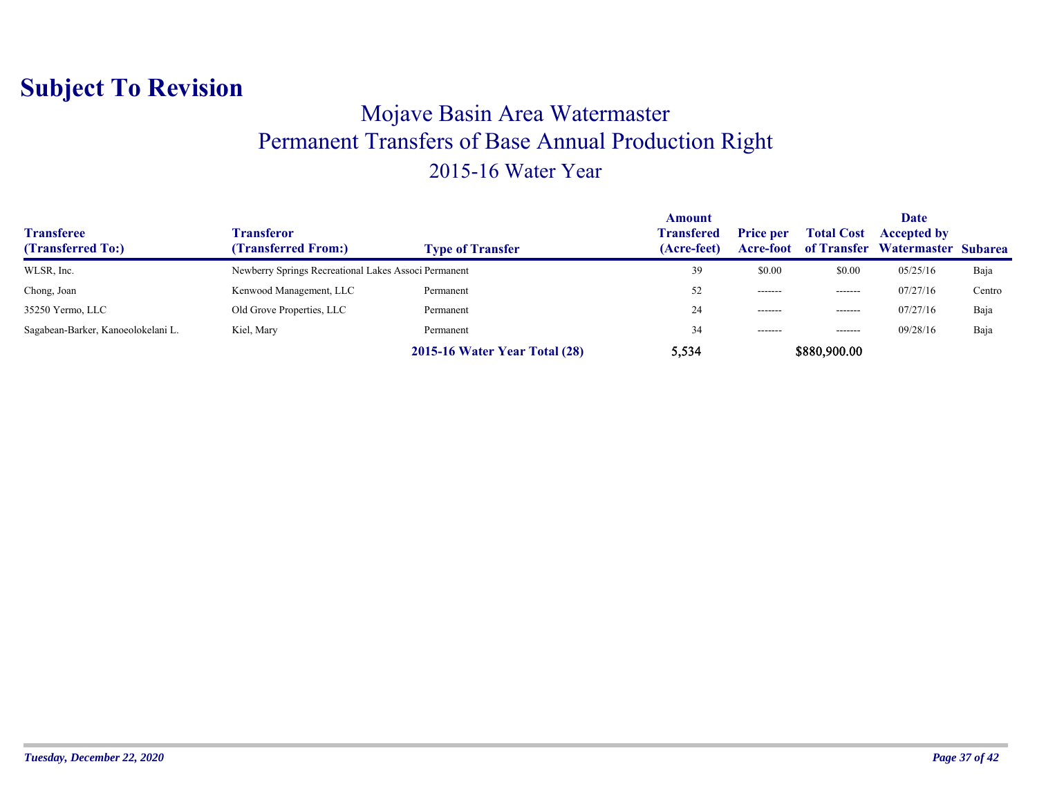### Mojave Basin Area Watermaster Permanent Transfers of Base Annual Production Right 2015-16 Water Year

| <b>Transferee</b><br>(Transferred To:) | Fransferor<br>(Transferred From:)                    | <b>Type of Transfer</b>       | Amount<br><b>Transfered</b><br>(Acre-feet) | <b>Price per</b><br>Acre-foot | <b>Total Cost</b> | <b>Date</b><br><b>Accepted by</b><br>of Transfer Watermaster Subarea |        |
|----------------------------------------|------------------------------------------------------|-------------------------------|--------------------------------------------|-------------------------------|-------------------|----------------------------------------------------------------------|--------|
| WLSR, Inc.                             | Newberry Springs Recreational Lakes Associ Permanent |                               | 39                                         | \$0.00                        | \$0.00            | 05/25/16                                                             | Baja   |
| Chong, Joan                            | Kenwood Management, LLC                              | Permanent                     | 52                                         | -------                       | --------          | 07/27/16                                                             | Centro |
| 35250 Yermo, LLC                       | Old Grove Properties, LLC                            | Permanent                     | 24                                         | $- - - - - - -$               | -------           | 07/27/16                                                             | Baja   |
| Sagabean-Barker, Kanoeolokelani L.     | Kiel, Mary                                           | Permanent                     | 34                                         | --------                      | $- - - - - - -$   | 09/28/16                                                             | Baja   |
|                                        |                                                      | 2015-16 Water Year Total (28) | 5,534                                      |                               | \$880,900.00      |                                                                      |        |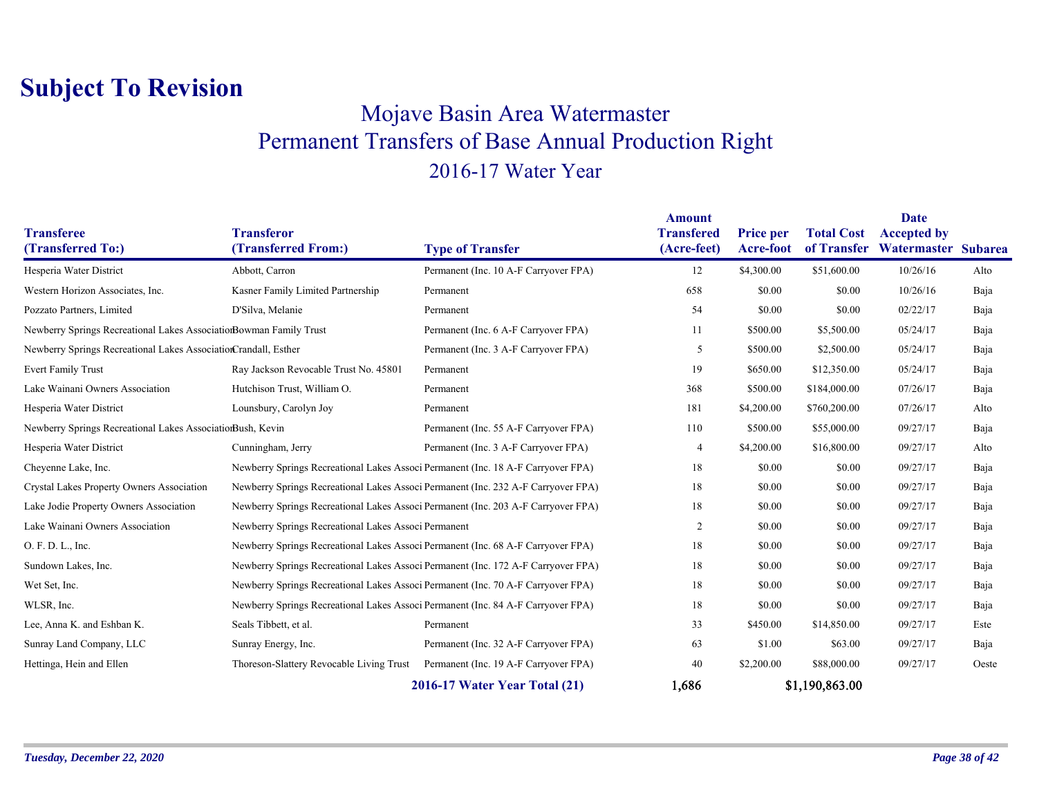### Mojave Basin Area Watermaster Permanent Transfers of Base Annual Production Right 2016-17 Water Year

|                                                                    |                                                                                   |                                                                                   | <b>Amount</b>     |                  |                   | <b>Date</b>         |       |
|--------------------------------------------------------------------|-----------------------------------------------------------------------------------|-----------------------------------------------------------------------------------|-------------------|------------------|-------------------|---------------------|-------|
| <b>Transferee</b>                                                  | <b>Transferor</b>                                                                 |                                                                                   | <b>Transfered</b> | <b>Price per</b> | <b>Total Cost</b> | <b>Accepted by</b>  |       |
| (Transferred To:)                                                  | (Transferred From:)                                                               | <b>Type of Transfer</b>                                                           | (Acre-feet)       | Acre-foot        | of Transfer       | Watermaster Subarea |       |
| Hesperia Water District                                            | Abbott, Carron                                                                    | Permanent (Inc. 10 A-F Carryover FPA)                                             | 12                | \$4,300.00       | \$51,600.00       | 10/26/16            | Alto  |
| Western Horizon Associates, Inc.                                   | Kasner Family Limited Partnership                                                 | Permanent                                                                         | 658               | \$0.00           | \$0.00            | 10/26/16            | Baja  |
| Pozzato Partners, Limited                                          | D'Silva, Melanie                                                                  | Permanent                                                                         | 54                | \$0.00           | \$0.00            | 02/22/17            | Baja  |
| Newberry Springs Recreational Lakes AssociationBowman Family Trust |                                                                                   | Permanent (Inc. 6 A-F Carryover FPA)                                              | 11                | \$500.00         | \$5,500.00        | 05/24/17            | Baja  |
| Newberry Springs Recreational Lakes AssociationCrandall, Esther    |                                                                                   | Permanent (Inc. 3 A-F Carryover FPA)                                              | 5                 | \$500.00         | \$2,500.00        | 05/24/17            | Baja  |
| <b>Evert Family Trust</b>                                          | Ray Jackson Revocable Trust No. 45801                                             | Permanent                                                                         | 19                | \$650.00         | \$12,350.00       | 05/24/17            | Baja  |
| Lake Wainani Owners Association                                    | Hutchison Trust, William O.                                                       | Permanent                                                                         | 368               | \$500.00         | \$184,000.00      | 07/26/17            | Baja  |
| Hesperia Water District                                            | Lounsbury, Carolyn Joy                                                            | Permanent                                                                         | 181               | \$4,200.00       | \$760,200.00      | 07/26/17            | Alto  |
| Newberry Springs Recreational Lakes AssociationBush, Kevin         |                                                                                   | Permanent (Inc. 55 A-F Carryover FPA)                                             | 110               | \$500.00         | \$55,000.00       | 09/27/17            | Baja  |
| Hesperia Water District                                            | Cunningham, Jerry                                                                 | Permanent (Inc. 3 A-F Carryover FPA)                                              | 4                 | \$4,200.00       | \$16,800.00       | 09/27/17            | Alto  |
| Cheyenne Lake, Inc.                                                | Newberry Springs Recreational Lakes Associ Permanent (Inc. 18 A-F Carryover FPA)  |                                                                                   | 18                | \$0.00           | \$0.00            | 09/27/17            | Baja  |
| Crystal Lakes Property Owners Association                          |                                                                                   | Newberry Springs Recreational Lakes Associ Permanent (Inc. 232 A-F Carryover FPA) | 18                | \$0.00           | \$0.00            | 09/27/17            | Baja  |
| Lake Jodie Property Owners Association                             | Newberry Springs Recreational Lakes Associ Permanent (Inc. 203 A-F Carryover FPA) |                                                                                   | 18                | \$0.00           | \$0.00            | 09/27/17            | Baja  |
| Lake Wainani Owners Association                                    | Newberry Springs Recreational Lakes Associ Permanent                              |                                                                                   | $\overline{2}$    | \$0.00           | \$0.00            | 09/27/17            | Baja  |
| O. F. D. L., Inc.                                                  | Newberry Springs Recreational Lakes Associ Permanent (Inc. 68 A-F Carryover FPA)  |                                                                                   | 18                | \$0.00           | \$0.00            | 09/27/17            | Baja  |
| Sundown Lakes, Inc.                                                |                                                                                   | Newberry Springs Recreational Lakes Associ Permanent (Inc. 172 A-F Carryover FPA) | 18                | \$0.00           | \$0.00            | 09/27/17            | Baja  |
| Wet Set, Inc.                                                      | Newberry Springs Recreational Lakes Associ Permanent (Inc. 70 A-F Carryover FPA)  |                                                                                   | 18                | \$0.00           | \$0.00            | 09/27/17            | Baja  |
| WLSR, Inc.                                                         | Newberry Springs Recreational Lakes Associ Permanent (Inc. 84 A-F Carryover FPA)  |                                                                                   | 18                | \$0.00           | \$0.00            | 09/27/17            | Baja  |
| Lee, Anna K. and Eshban K.                                         | Seals Tibbett, et al.                                                             | Permanent                                                                         | 33                | \$450.00         | \$14,850.00       | 09/27/17            | Este  |
| Sunray Land Company, LLC                                           | Sunray Energy, Inc.                                                               | Permanent (Inc. 32 A-F Carryover FPA)                                             | 63                | \$1.00           | \$63.00           | 09/27/17            | Baja  |
| Hettinga, Hein and Ellen                                           | Thoreson-Slattery Revocable Living Trust                                          | Permanent (Inc. 19 A-F Carryover FPA)                                             | 40                | \$2,200.00       | \$88,000.00       | 09/27/17            | Oeste |
|                                                                    |                                                                                   | 2016-17 Water Year Total (21)                                                     | 1,686             |                  | \$1,190,863.00    |                     |       |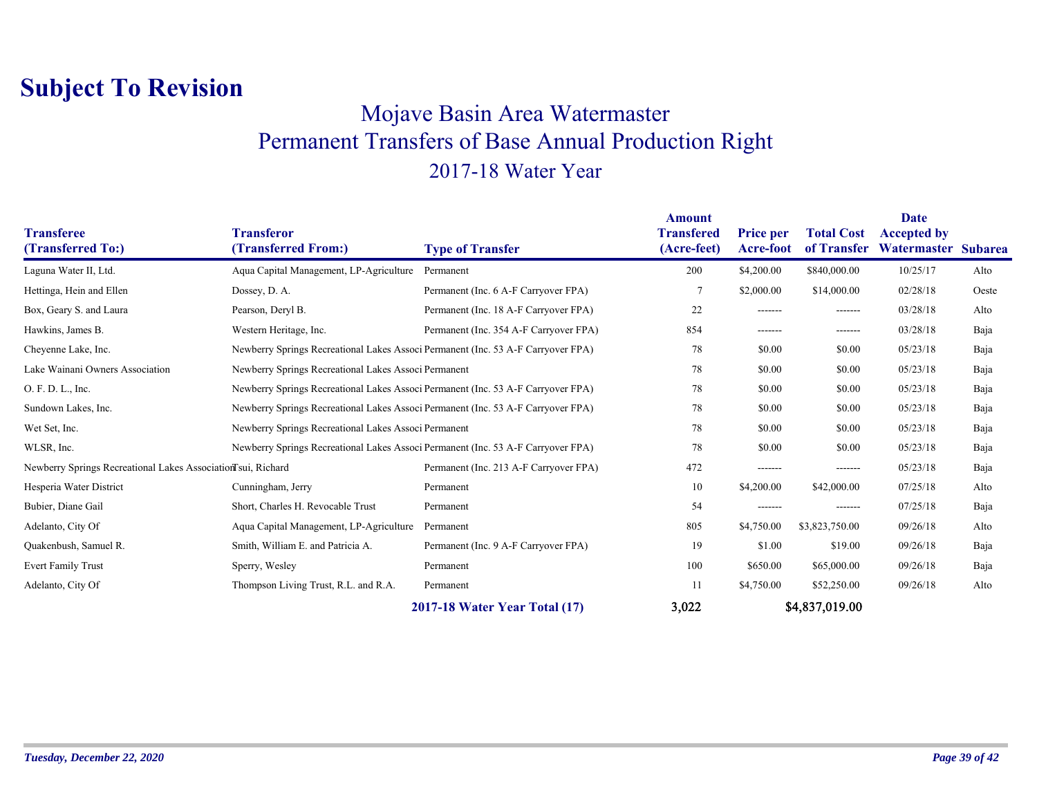#### Mojave Basin Area Watermaster Permanent Transfers of Base Annual Production Right 2017-18 Water Year

| <b>Transferee</b><br>(Transferred To:)                       | <b>Transferor</b><br>(Transferred From:)                                         | <b>Type of Transfer</b>                                                          | <b>Amount</b><br><b>Transfered</b><br>(Acre-feet) | Price per<br>Acre-foot | <b>Total Cost</b><br>of Transfer | Date<br><b>Accepted by</b><br>Watermaster | <b>Subarea</b> |
|--------------------------------------------------------------|----------------------------------------------------------------------------------|----------------------------------------------------------------------------------|---------------------------------------------------|------------------------|----------------------------------|-------------------------------------------|----------------|
| Laguna Water II, Ltd.                                        | Aqua Capital Management, LP-Agriculture                                          | Permanent                                                                        | 200                                               | \$4,200.00             | \$840,000.00                     | 10/25/17                                  | Alto           |
| Hettinga, Hein and Ellen                                     | Dossey, D. A.                                                                    | Permanent (Inc. 6 A-F Carryover FPA)                                             |                                                   | \$2,000.00             | \$14,000.00                      | 02/28/18                                  | Oeste          |
| Box, Geary S. and Laura                                      | Pearson, Deryl B.                                                                | Permanent (Inc. 18 A-F Carryover FPA)                                            | 22                                                | -------                | -------                          | 03/28/18                                  | Alto           |
| Hawkins, James B.                                            | Western Heritage, Inc.                                                           | Permanent (Inc. 354 A-F Carryover FPA)                                           | 854                                               | -------                | -------                          | 03/28/18                                  | Baja           |
| Cheyenne Lake, Inc.                                          | Newberry Springs Recreational Lakes Associ Permanent (Inc. 53 A-F Carryover FPA) |                                                                                  | 78                                                | \$0.00                 | \$0.00                           | 05/23/18                                  | Baja           |
| Lake Wainani Owners Association                              | Newberry Springs Recreational Lakes Associ Permanent                             |                                                                                  | 78                                                | \$0.00                 | \$0.00                           | 05/23/18                                  | Baja           |
| O. F. D. L., Inc.                                            | Newberry Springs Recreational Lakes Associ Permanent (Inc. 53 A-F Carryover FPA) |                                                                                  | 78                                                | \$0.00                 | \$0.00                           | 05/23/18                                  | Baja           |
| Sundown Lakes, Inc.                                          |                                                                                  | Newberry Springs Recreational Lakes Associ Permanent (Inc. 53 A-F Carryover FPA) |                                                   | \$0.00                 | \$0.00                           | 05/23/18                                  | Baja           |
| Wet Set, Inc.                                                |                                                                                  | Newberry Springs Recreational Lakes Associ Permanent                             |                                                   | \$0.00                 | \$0.00                           | 05/23/18                                  | Baja           |
| WLSR, Inc.                                                   | Newberry Springs Recreational Lakes Associ Permanent (Inc. 53 A-F Carryover FPA) |                                                                                  | 78                                                | \$0.00                 | \$0.00                           | 05/23/18                                  | Baja           |
| Newberry Springs Recreational Lakes Association sui, Richard |                                                                                  | Permanent (Inc. 213 A-F Carryover FPA)                                           | 472                                               | -------                | -------                          | 05/23/18                                  | Baja           |
| Hesperia Water District                                      | Cunningham, Jerry                                                                | Permanent                                                                        | 10                                                | \$4,200.00             | \$42,000.00                      | 07/25/18                                  | Alto           |
| Bubier, Diane Gail                                           | Short, Charles H. Revocable Trust                                                | Permanent                                                                        | 54                                                | -------                | -------                          | 07/25/18                                  | Baja           |
| Adelanto, City Of                                            | Aqua Capital Management, LP-Agriculture                                          | Permanent                                                                        | 805                                               | \$4,750.00             | \$3,823,750.00                   | 09/26/18                                  | Alto           |
| Quakenbush, Samuel R.                                        | Smith, William E. and Patricia A.                                                | Permanent (Inc. 9 A-F Carryover FPA)                                             | 19                                                | \$1.00                 | \$19.00                          | 09/26/18                                  | Baja           |
| <b>Evert Family Trust</b>                                    | Sperry, Wesley                                                                   | Permanent                                                                        | 100                                               | \$650.00               | \$65,000.00                      | 09/26/18                                  | Baja           |
| Adelanto, City Of                                            | Thompson Living Trust, R.L. and R.A.                                             | Permanent                                                                        | 11                                                | \$4,750.00             | \$52,250.00                      | 09/26/18                                  | Alto           |
|                                                              |                                                                                  | 2017-18 Water Year Total (17)                                                    | 3,022                                             |                        | \$4,837,019.00                   |                                           |                |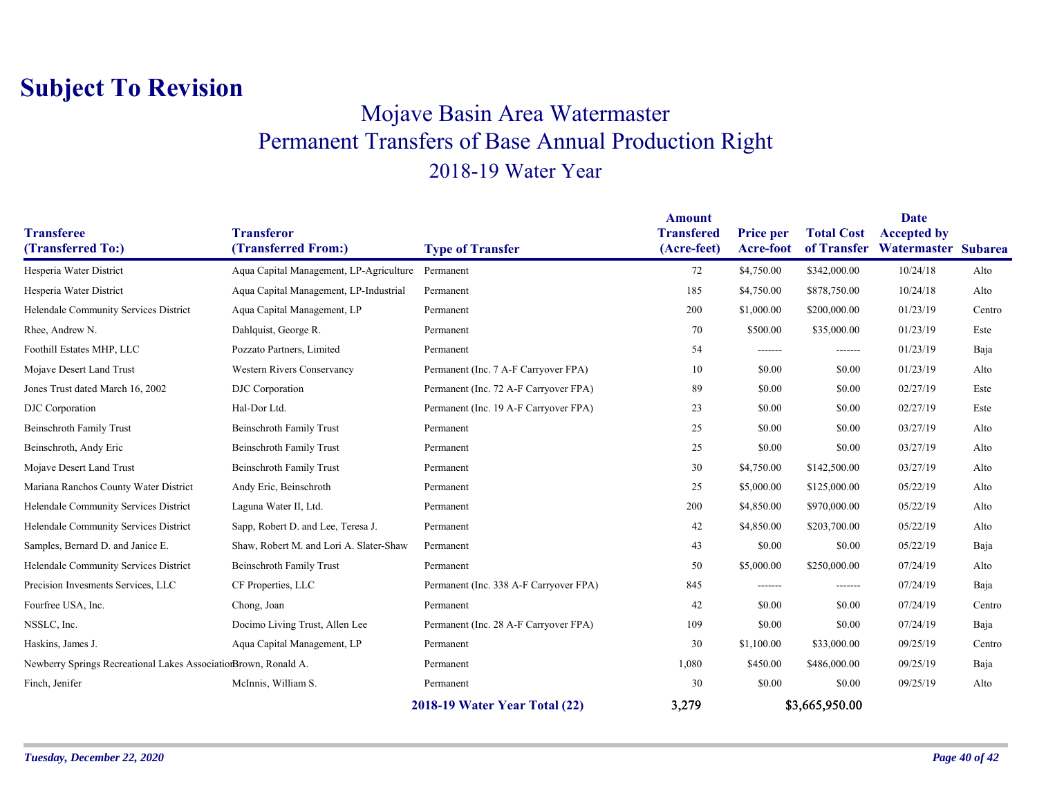### Mojave Basin Area Watermaster Permanent Transfers of Base Annual Production Right 2018-19 Water Year

| <b>Transferee</b>                                               | <b>Transferor</b>                       |                                        | <b>Amount</b><br><b>Transfered</b> | <b>Price per</b> | <b>Total Cost</b> | <b>Date</b><br><b>Accepted by</b> |        |
|-----------------------------------------------------------------|-----------------------------------------|----------------------------------------|------------------------------------|------------------|-------------------|-----------------------------------|--------|
| (Transferred To:)                                               | (Transferred From:)                     | <b>Type of Transfer</b>                | (Acre-feet)                        | Acre-foot        | of Transfer       | Watermaster Subarea               |        |
| Hesperia Water District                                         | Aqua Capital Management, LP-Agriculture | Permanent                              | 72                                 | \$4,750.00       | \$342,000.00      | 10/24/18                          | Alto   |
| Hesperia Water District                                         | Aqua Capital Management, LP-Industrial  | Permanent                              | 185                                | \$4,750.00       | \$878,750.00      | 10/24/18                          | Alto   |
| Helendale Community Services District                           | Aqua Capital Management, LP             | Permanent                              | 200                                | \$1,000.00       | \$200,000.00      | 01/23/19                          | Centro |
| Rhee, Andrew N.                                                 | Dahlquist, George R.                    | Permanent                              | 70                                 | \$500.00         | \$35,000.00       | 01/23/19                          | Este   |
| Foothill Estates MHP, LLC                                       | Pozzato Partners, Limited               | Permanent                              | 54                                 | -------          | --------          | 01/23/19                          | Baja   |
| Mojave Desert Land Trust                                        | <b>Western Rivers Conservancy</b>       | Permanent (Inc. 7 A-F Carryover FPA)   | 10                                 | \$0.00           | \$0.00            | 01/23/19                          | Alto   |
| Jones Trust dated March 16, 2002                                | DJC Corporation                         | Permanent (Inc. 72 A-F Carryover FPA)  | 89                                 | \$0.00           | \$0.00            | 02/27/19                          | Este   |
| <b>DJC</b> Corporation                                          | Hal-Dor Ltd.                            | Permanent (Inc. 19 A-F Carryover FPA)  | 23                                 | \$0.00           | \$0.00            | 02/27/19                          | Este   |
| <b>Beinschroth Family Trust</b>                                 | <b>Beinschroth Family Trust</b>         | Permanent                              | 25                                 | \$0.00           | \$0.00            | 03/27/19                          | Alto   |
| Beinschroth, Andy Eric                                          | <b>Beinschroth Family Trust</b>         | Permanent                              | 25                                 | \$0.00           | \$0.00            | 03/27/19                          | Alto   |
| Mojave Desert Land Trust                                        | <b>Beinschroth Family Trust</b>         | Permanent                              | 30                                 | \$4,750.00       | \$142,500.00      | 03/27/19                          | Alto   |
| Mariana Ranchos County Water District                           | Andy Eric, Beinschroth                  | Permanent                              | 25                                 | \$5,000.00       | \$125,000.00      | 05/22/19                          | Alto   |
| Helendale Community Services District                           | Laguna Water II, Ltd.                   | Permanent                              | 200                                | \$4,850.00       | \$970,000.00      | 05/22/19                          | Alto   |
| Helendale Community Services District                           | Sapp, Robert D. and Lee, Teresa J.      | Permanent                              | 42                                 | \$4,850.00       | \$203,700.00      | 05/22/19                          | Alto   |
| Samples, Bernard D. and Janice E.                               | Shaw, Robert M. and Lori A. Slater-Shaw | Permanent                              | 43                                 | \$0.00           | \$0.00            | 05/22/19                          | Baja   |
| Helendale Community Services District                           | <b>Beinschroth Family Trust</b>         | Permanent                              | 50                                 | \$5,000.00       | \$250,000.00      | 07/24/19                          | Alto   |
| Precision Invesments Services, LLC                              | CF Properties, LLC                      | Permanent (Inc. 338 A-F Carryover FPA) | 845                                | -------          | -------           | 07/24/19                          | Baja   |
| Fourfree USA, Inc.                                              | Chong, Joan                             | Permanent                              | 42                                 | \$0.00           | \$0.00            | 07/24/19                          | Centro |
| NSSLC, Inc.                                                     | Docimo Living Trust, Allen Lee          | Permanent (Inc. 28 A-F Carryover FPA)  | 109                                | \$0.00           | \$0.00            | 07/24/19                          | Baja   |
| Haskins, James J.                                               | Aqua Capital Management, LP             | Permanent                              | 30                                 | \$1,100.00       | \$33,000.00       | 09/25/19                          | Centro |
| Newberry Springs Recreational Lakes AssociationBrown, Ronald A. |                                         | Permanent                              | 1,080                              | \$450.00         | \$486,000.00      | 09/25/19                          | Baja   |
| Finch, Jenifer                                                  | McInnis, William S.                     | Permanent                              | 30                                 | \$0.00           | \$0.00            | 09/25/19                          | Alto   |
|                                                                 |                                         | 2018-19 Water Year Total (22)          | 3,279                              |                  | \$3,665,950.00    |                                   |        |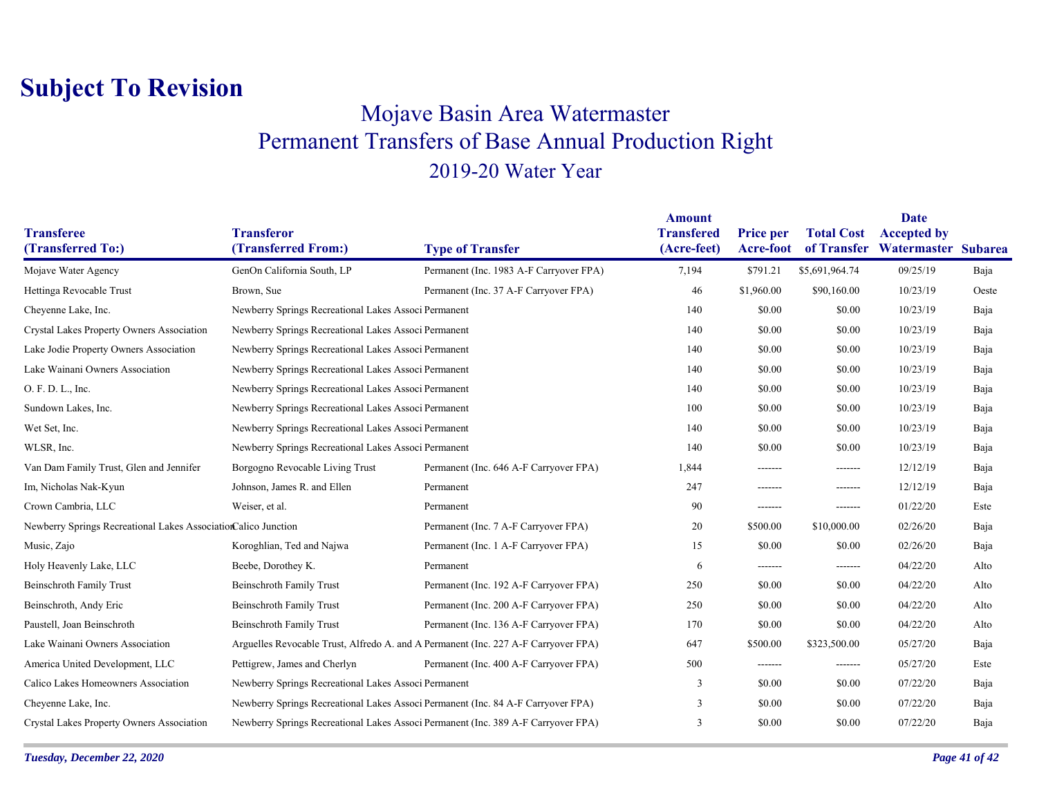### Mojave Basin Area Watermaster Permanent Transfers of Base Annual Production Right 2019-20 Water Year

|                                                                |                                                      |                                                                                    | <b>Amount</b>                    |                                      |                   | <b>Date</b>                                           |       |
|----------------------------------------------------------------|------------------------------------------------------|------------------------------------------------------------------------------------|----------------------------------|--------------------------------------|-------------------|-------------------------------------------------------|-------|
| <b>Transferee</b><br>(Transferred To:)                         | <b>Transferor</b><br>(Transferred From:)             | <b>Type of Transfer</b>                                                            | <b>Transfered</b><br>(Acre-feet) | <b>Price per</b><br><b>Acre-foot</b> | <b>Total Cost</b> | <b>Accepted by</b><br>of Transfer Watermaster Subarea |       |
| Mojave Water Agency                                            | GenOn California South, LP                           | Permanent (Inc. 1983 A-F Carryover FPA)                                            | 7,194                            | \$791.21                             | \$5,691,964.74    | 09/25/19                                              | Baja  |
|                                                                |                                                      |                                                                                    |                                  |                                      |                   |                                                       |       |
| Hettinga Revocable Trust                                       | Brown, Sue                                           | Permanent (Inc. 37 A-F Carryover FPA)                                              | 46                               | \$1,960.00                           | \$90,160.00       | 10/23/19                                              | Oeste |
| Cheyenne Lake, Inc.                                            | Newberry Springs Recreational Lakes Associ Permanent |                                                                                    | 140                              | \$0.00                               | \$0.00            | 10/23/19                                              | Baja  |
| Crystal Lakes Property Owners Association                      | Newberry Springs Recreational Lakes Associ Permanent |                                                                                    | 140                              | \$0.00                               | \$0.00            | 10/23/19                                              | Baja  |
| Lake Jodie Property Owners Association                         |                                                      | Newberry Springs Recreational Lakes Associ Permanent                               |                                  | \$0.00                               | \$0.00            | 10/23/19                                              | Baja  |
| Lake Wainani Owners Association                                | Newberry Springs Recreational Lakes Associ Permanent |                                                                                    | 140                              | \$0.00                               | \$0.00            | 10/23/19                                              | Baja  |
| O. F. D. L., Inc.                                              | Newberry Springs Recreational Lakes Associ Permanent |                                                                                    | 140                              | \$0.00                               | \$0.00            | 10/23/19                                              | Baja  |
| Sundown Lakes, Inc.                                            | Newberry Springs Recreational Lakes Associ Permanent |                                                                                    | 100                              | \$0.00                               | \$0.00            | 10/23/19                                              | Baja  |
| Wet Set, Inc.                                                  | Newberry Springs Recreational Lakes Associ Permanent |                                                                                    | 140                              | \$0.00                               | \$0.00            | 10/23/19                                              | Baja  |
| WLSR, Inc.                                                     | Newberry Springs Recreational Lakes Associ Permanent |                                                                                    | 140                              | \$0.00                               | \$0.00            | 10/23/19                                              | Baja  |
| Van Dam Family Trust, Glen and Jennifer                        | Borgogno Revocable Living Trust                      | Permanent (Inc. 646 A-F Carryover FPA)                                             | 1,844                            | -------                              | -------           | 12/12/19                                              | Baja  |
| Im, Nicholas Nak-Kyun                                          | Johnson, James R. and Ellen                          | Permanent                                                                          | 247                              | -------                              | -------           | 12/12/19                                              | Baja  |
| Crown Cambria, LLC                                             | Weiser, et al.                                       | Permanent                                                                          | 90                               | -------                              | -------           | 01/22/20                                              | Este  |
| Newberry Springs Recreational Lakes AssociationCalico Junction |                                                      | Permanent (Inc. 7 A-F Carryover FPA)                                               | 20                               | \$500.00                             | \$10,000.00       | 02/26/20                                              | Baja  |
| Music, Zajo                                                    | Koroghlian, Ted and Najwa                            | Permanent (Inc. 1 A-F Carryover FPA)                                               | 15                               | \$0.00                               | \$0.00            | 02/26/20                                              | Baja  |
| Holy Heavenly Lake, LLC                                        | Beebe, Dorothey K.                                   | Permanent                                                                          | 6                                | -------                              | -------           | 04/22/20                                              | Alto  |
| <b>Beinschroth Family Trust</b>                                | <b>Beinschroth Family Trust</b>                      | Permanent (Inc. 192 A-F Carryover FPA)                                             | 250                              | \$0.00                               | \$0.00            | 04/22/20                                              | Alto  |
| Beinschroth, Andy Eric                                         | <b>Beinschroth Family Trust</b>                      | Permanent (Inc. 200 A-F Carryover FPA)                                             | 250                              | \$0.00                               | \$0.00            | 04/22/20                                              | Alto  |
| Paustell, Joan Beinschroth                                     | <b>Beinschroth Family Trust</b>                      | Permanent (Inc. 136 A-F Carryover FPA)                                             | 170                              | \$0.00                               | \$0.00            | 04/22/20                                              | Alto  |
| Lake Wainani Owners Association                                |                                                      | Arguelles Revocable Trust, Alfredo A. and A Permanent (Inc. 227 A-F Carryover FPA) | 647                              | \$500.00                             | \$323,500.00      | 05/27/20                                              | Baja  |
| America United Development, LLC                                | Pettigrew, James and Cherlyn                         | Permanent (Inc. 400 A-F Carryover FPA)                                             | 500                              | -------                              | -------           | 05/27/20                                              | Este  |
| Calico Lakes Homeowners Association                            | Newberry Springs Recreational Lakes Associ Permanent |                                                                                    | 3                                | \$0.00                               | \$0.00            | 07/22/20                                              | Baja  |
| Cheyenne Lake, Inc.                                            |                                                      | Newberry Springs Recreational Lakes Associ Permanent (Inc. 84 A-F Carryover FPA)   | 3                                | \$0.00                               | \$0.00            | 07/22/20                                              | Baja  |
| Crystal Lakes Property Owners Association                      |                                                      | Newberry Springs Recreational Lakes Associ Permanent (Inc. 389 A-F Carryover FPA)  | 3                                | \$0.00                               | \$0.00            | 07/22/20                                              | Baja  |